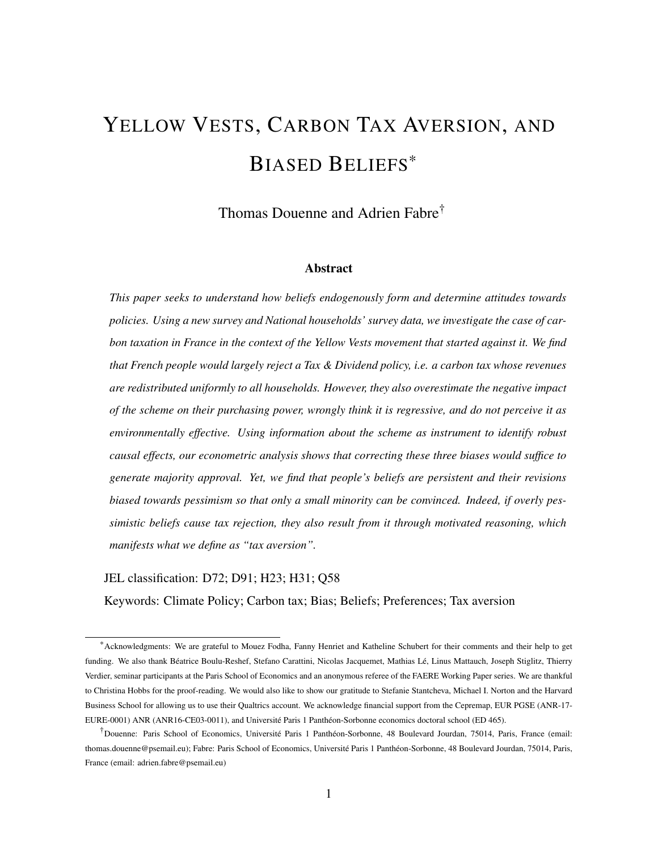# <span id="page-0-0"></span>YELLOW VESTS, CARBON TAX AVERSION, AND BIASED BELIEFS\*

Thomas Douenne and Adrien Fabre†

#### Abstract

*This paper seeks to understand how beliefs endogenously form and determine attitudes towards policies. Using a new survey and National households' survey data, we investigate the case of carbon taxation in France in the context of the Yellow Vests movement that started against it. We find that French people would largely reject a Tax & Dividend policy, i.e. a carbon tax whose revenues are redistributed uniformly to all households. However, they also overestimate the negative impact of the scheme on their purchasing power, wrongly think it is regressive, and do not perceive it as environmentally effective. Using information about the scheme as instrument to identify robust causal effects, our econometric analysis shows that correcting these three biases would suffice to generate majority approval. Yet, we find that people's beliefs are persistent and their revisions biased towards pessimism so that only a small minority can be convinced. Indeed, if overly pessimistic beliefs cause tax rejection, they also result from it through motivated reasoning, which manifests what we define as "tax aversion".*

#### JEL classification: D72; D91; H23; H31; Q58

Keywords: Climate Policy; Carbon tax; Bias; Beliefs; Preferences; Tax aversion

<sup>\*</sup>Acknowledgments: We are grateful to Mouez Fodha, Fanny Henriet and Katheline Schubert for their comments and their help to get funding. We also thank Béatrice Boulu-Reshef, Stefano Carattini, Nicolas Jacquemet, Mathias Lé, Linus Mattauch, Joseph Stiglitz, Thierry Verdier, seminar participants at the Paris School of Economics and an anonymous referee of the FAERE Working Paper series. We are thankful to Christina Hobbs for the proof-reading. We would also like to show our gratitude to Stefanie Stantcheva, Michael I. Norton and the Harvard Business School for allowing us to use their Qualtrics account. We acknowledge financial support from the Cepremap, EUR PGSE (ANR-17- EURE-0001) ANR (ANR16-CE03-0011), and Université Paris 1 Panthéon-Sorbonne economics doctoral school (ED 465).

<sup>†</sup>Douenne: Paris School of Economics, Université Paris 1 Panthéon-Sorbonne, 48 Boulevard Jourdan, 75014, Paris, France (email: thomas.douenne@psemail.eu); Fabre: Paris School of Economics, Université Paris 1 Panthéon-Sorbonne, 48 Boulevard Jourdan, 75014, Paris, France (email: adrien.fabre@psemail.eu)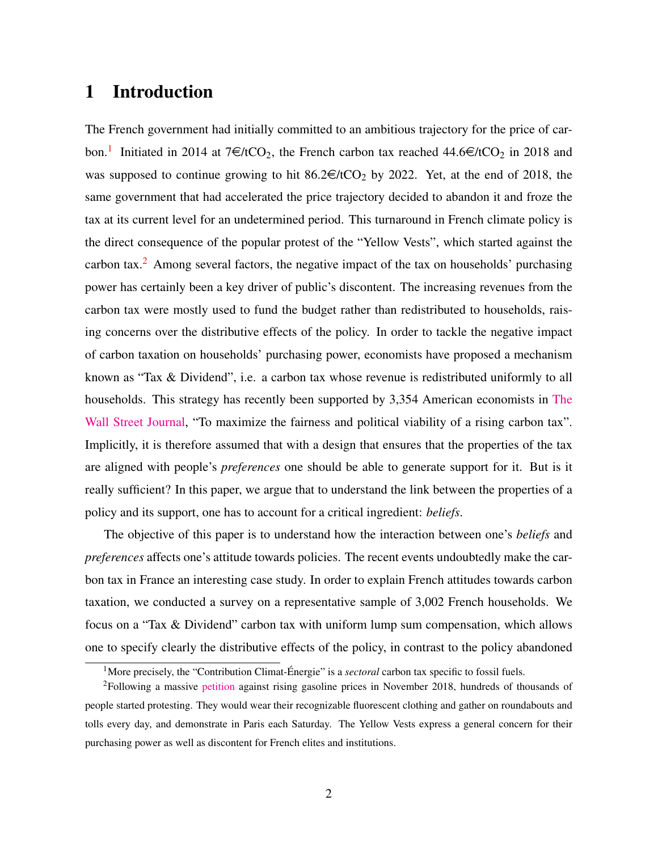# 1 Introduction

The French government had initially committed to an ambitious trajectory for the price of car-bon.<sup>[1](#page-0-0)</sup> Initiated in 2014 at  $7 \in /tCO_2$ , the French carbon tax reached 44.6 $\in /tCO_2$  in 2018 and was supposed to continue growing to hit  $86.2 \in \text{HCO}_2$  by 2022. Yet, at the end of 2018, the same government that had accelerated the price trajectory decided to abandon it and froze the tax at its current level for an undetermined period. This turnaround in French climate policy is the direct consequence of the popular protest of the "Yellow Vests", which started against the carbon tax.<sup>[2](#page-0-0)</sup> Among several factors, the negative impact of the tax on households' purchasing power has certainly been a key driver of public's discontent. The increasing revenues from the carbon tax were mostly used to fund the budget rather than redistributed to households, raising concerns over the distributive effects of the policy. In order to tackle the negative impact of carbon taxation on households' purchasing power, economists have proposed a mechanism known as "Tax & Dividend", i.e. a carbon tax whose revenue is redistributed uniformly to all households. This strategy has recently been supported by 3,354 American economists in [The](https://www.clcouncil.org/media/EconomistsStatement.pdf) [Wall Street Journal,](https://www.clcouncil.org/media/EconomistsStatement.pdf) "To maximize the fairness and political viability of a rising carbon tax". Implicitly, it is therefore assumed that with a design that ensures that the properties of the tax are aligned with people's *preferences* one should be able to generate support for it. But is it really sufficient? In this paper, we argue that to understand the link between the properties of a policy and its support, one has to account for a critical ingredient: *beliefs*.

The objective of this paper is to understand how the interaction between one's *beliefs* and *preferences* affects one's attitude towards policies. The recent events undoubtedly make the carbon tax in France an interesting case study. In order to explain French attitudes towards carbon taxation, we conducted a survey on a representative sample of 3,002 French households. We focus on a "Tax & Dividend" carbon tax with uniform lump sum compensation, which allows one to specify clearly the distributive effects of the policy, in contrast to the policy abandoned

<sup>&</sup>lt;sup>1</sup>More precisely, the "Contribution Climat-Énergie" is a *sectoral* carbon tax specific to fossil fuels.

<sup>2</sup>Following a massive [petition](https://www.change.org/p/pour-une-baisse-des-prix-%C3%A0-la-pompe-essence-diesel) against rising gasoline prices in November 2018, hundreds of thousands of people started protesting. They would wear their recognizable fluorescent clothing and gather on roundabouts and tolls every day, and demonstrate in Paris each Saturday. The Yellow Vests express a general concern for their purchasing power as well as discontent for French elites and institutions.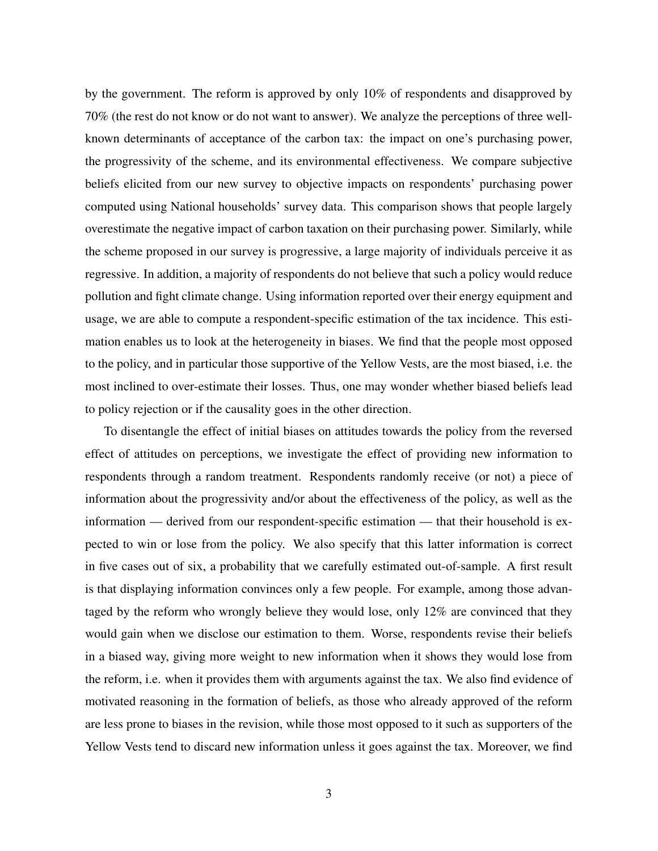by the government. The reform is approved by only 10% of respondents and disapproved by 70% (the rest do not know or do not want to answer). We analyze the perceptions of three wellknown determinants of acceptance of the carbon tax: the impact on one's purchasing power, the progressivity of the scheme, and its environmental effectiveness. We compare subjective beliefs elicited from our new survey to objective impacts on respondents' purchasing power computed using National households' survey data. This comparison shows that people largely overestimate the negative impact of carbon taxation on their purchasing power. Similarly, while the scheme proposed in our survey is progressive, a large majority of individuals perceive it as regressive. In addition, a majority of respondents do not believe that such a policy would reduce pollution and fight climate change. Using information reported over their energy equipment and usage, we are able to compute a respondent-specific estimation of the tax incidence. This estimation enables us to look at the heterogeneity in biases. We find that the people most opposed to the policy, and in particular those supportive of the Yellow Vests, are the most biased, i.e. the most inclined to over-estimate their losses. Thus, one may wonder whether biased beliefs lead to policy rejection or if the causality goes in the other direction.

To disentangle the effect of initial biases on attitudes towards the policy from the reversed effect of attitudes on perceptions, we investigate the effect of providing new information to respondents through a random treatment. Respondents randomly receive (or not) a piece of information about the progressivity and/or about the effectiveness of the policy, as well as the information — derived from our respondent-specific estimation — that their household is expected to win or lose from the policy. We also specify that this latter information is correct in five cases out of six, a probability that we carefully estimated out-of-sample. A first result is that displaying information convinces only a few people. For example, among those advantaged by the reform who wrongly believe they would lose, only 12% are convinced that they would gain when we disclose our estimation to them. Worse, respondents revise their beliefs in a biased way, giving more weight to new information when it shows they would lose from the reform, i.e. when it provides them with arguments against the tax. We also find evidence of motivated reasoning in the formation of beliefs, as those who already approved of the reform are less prone to biases in the revision, while those most opposed to it such as supporters of the Yellow Vests tend to discard new information unless it goes against the tax. Moreover, we find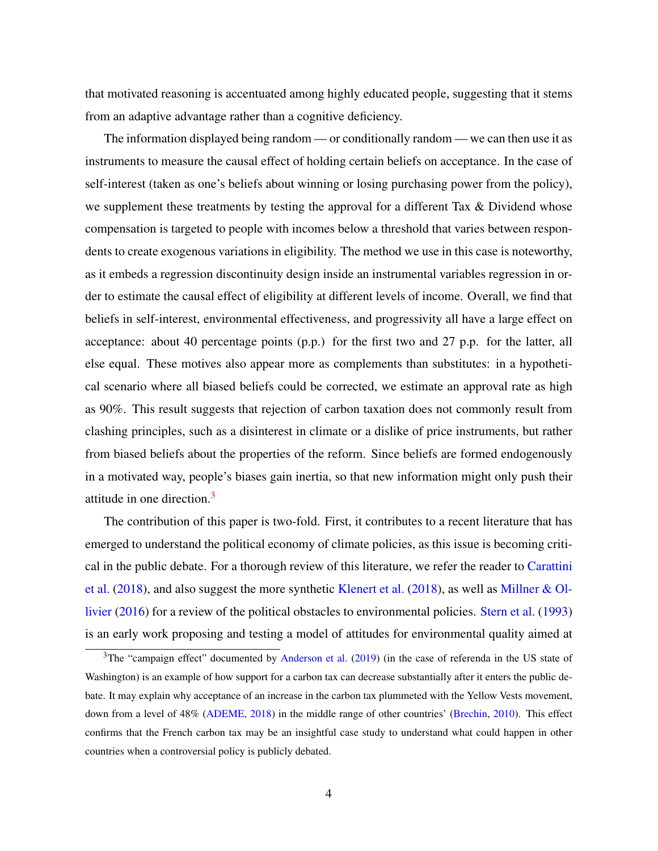that motivated reasoning is accentuated among highly educated people, suggesting that it stems from an adaptive advantage rather than a cognitive deficiency.

The information displayed being random — or conditionally random — we can then use it as instruments to measure the causal effect of holding certain beliefs on acceptance. In the case of self-interest (taken as one's beliefs about winning or losing purchasing power from the policy), we supplement these treatments by testing the approval for a different Tax & Dividend whose compensation is targeted to people with incomes below a threshold that varies between respondents to create exogenous variations in eligibility. The method we use in this case is noteworthy, as it embeds a regression discontinuity design inside an instrumental variables regression in order to estimate the causal effect of eligibility at different levels of income. Overall, we find that beliefs in self-interest, environmental effectiveness, and progressivity all have a large effect on acceptance: about 40 percentage points (p.p.) for the first two and 27 p.p. for the latter, all else equal. These motives also appear more as complements than substitutes: in a hypothetical scenario where all biased beliefs could be corrected, we estimate an approval rate as high as 90%. This result suggests that rejection of carbon taxation does not commonly result from clashing principles, such as a disinterest in climate or a dislike of price instruments, but rather from biased beliefs about the properties of the reform. Since beliefs are formed endogenously in a motivated way, people's biases gain inertia, so that new information might only push their attitude in one direction.[3](#page-0-0)

The contribution of this paper is two-fold. First, it contributes to a recent literature that has emerged to understand the political economy of climate policies, as this issue is becoming critical in the public debate. For a thorough review of this literature, we refer the reader to [Carattini](#page-39-0) [et al.](#page-39-0) [\(2018\)](#page-39-0), and also suggest the more synthetic [Klenert et al.](#page-41-0) [\(2018\)](#page-41-0), as well as [Millner & Ol](#page-41-1)[livier](#page-41-1) [\(2016\)](#page-41-1) for a review of the political obstacles to environmental policies. [Stern et al.](#page-42-0) [\(1993\)](#page-42-0) is an early work proposing and testing a model of attitudes for environmental quality aimed at

 $3$ The "campaign effect" documented by [Anderson et al.](#page-38-0) [\(2019\)](#page-38-0) (in the case of referenda in the US state of Washington) is an example of how support for a carbon tax can decrease substantially after it enters the public debate. It may explain why acceptance of an increase in the carbon tax plummeted with the Yellow Vests movement, down from a level of 48% [\(ADEME,](#page-38-1) [2018\)](#page-38-1) in the middle range of other countries' [\(Brechin,](#page-39-1) [2010\)](#page-39-1). This effect confirms that the French carbon tax may be an insightful case study to understand what could happen in other countries when a controversial policy is publicly debated.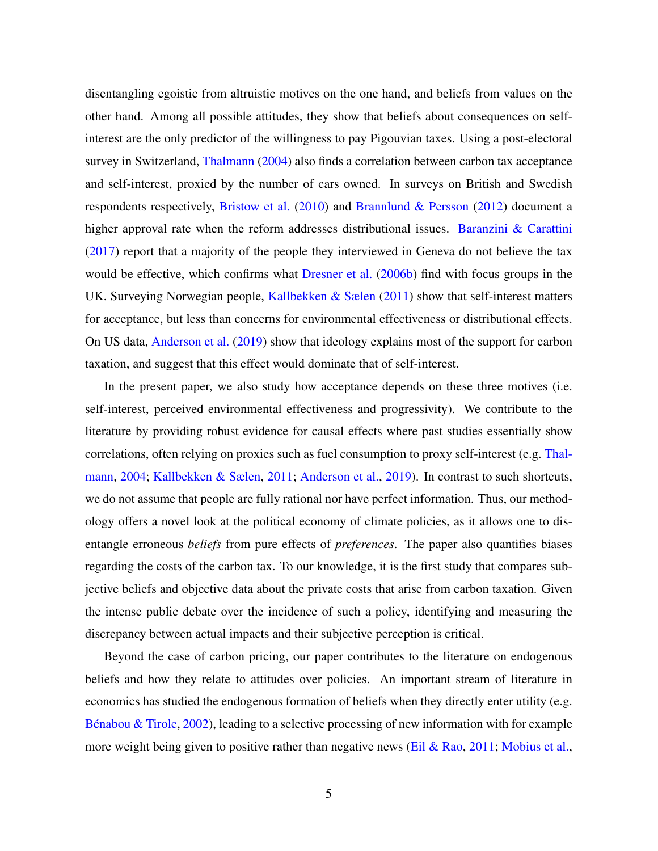disentangling egoistic from altruistic motives on the one hand, and beliefs from values on the other hand. Among all possible attitudes, they show that beliefs about consequences on selfinterest are the only predictor of the willingness to pay Pigouvian taxes. Using a post-electoral survey in Switzerland, [Thalmann](#page-43-0) [\(2004\)](#page-43-0) also finds a correlation between carbon tax acceptance and self-interest, proxied by the number of cars owned. In surveys on British and Swedish respondents respectively, [Bristow et al.](#page-39-2) [\(2010\)](#page-39-2) and [Brannlund & Persson](#page-38-2) [\(2012\)](#page-38-2) document a higher approval rate when the reform addresses distributional issues. Baranzini  $\&$  Carattini [\(2017\)](#page-38-3) report that a majority of the people they interviewed in Geneva do not believe the tax would be effective, which confirms what [Dresner et al.](#page-39-3) [\(2006b\)](#page-39-3) find with focus groups in the UK. Surveying Norwegian people, [Kallbekken & Sælen](#page-41-2) [\(2011\)](#page-41-2) show that self-interest matters for acceptance, but less than concerns for environmental effectiveness or distributional effects. On US data, [Anderson et al.](#page-38-0) [\(2019\)](#page-38-0) show that ideology explains most of the support for carbon taxation, and suggest that this effect would dominate that of self-interest.

In the present paper, we also study how acceptance depends on these three motives (i.e. self-interest, perceived environmental effectiveness and progressivity). We contribute to the literature by providing robust evidence for causal effects where past studies essentially show correlations, often relying on proxies such as fuel consumption to proxy self-interest (e.g. [Thal](#page-43-0)[mann,](#page-43-0) [2004;](#page-43-0) [Kallbekken & Sælen,](#page-41-2) [2011;](#page-41-2) [Anderson et al.,](#page-38-0) [2019\)](#page-38-0). In contrast to such shortcuts, we do not assume that people are fully rational nor have perfect information. Thus, our methodology offers a novel look at the political economy of climate policies, as it allows one to disentangle erroneous *beliefs* from pure effects of *preferences*. The paper also quantifies biases regarding the costs of the carbon tax. To our knowledge, it is the first study that compares subjective beliefs and objective data about the private costs that arise from carbon taxation. Given the intense public debate over the incidence of such a policy, identifying and measuring the discrepancy between actual impacts and their subjective perception is critical.

Beyond the case of carbon pricing, our paper contributes to the literature on endogenous beliefs and how they relate to attitudes over policies. An important stream of literature in economics has studied the endogenous formation of beliefs when they directly enter utility (e.g. [Bénabou & Tirole,](#page-38-4) [2002\)](#page-38-4), leading to a selective processing of new information with for example more weight being given to positive rather than negative news [\(Eil & Rao,](#page-40-0) [2011;](#page-40-0) [Mobius et al.,](#page-42-1)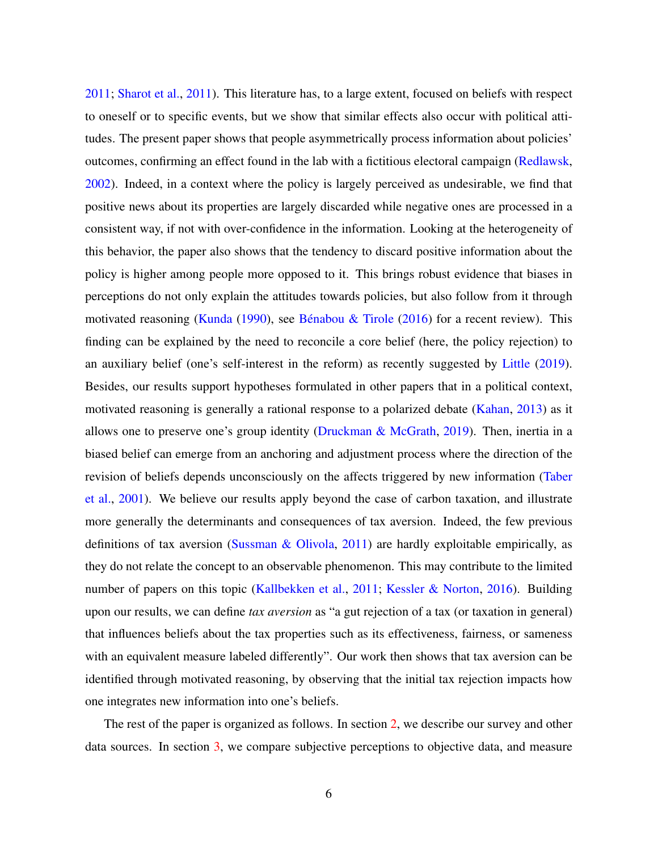[2011;](#page-42-1) [Sharot et al.,](#page-42-2) [2011\)](#page-42-2). This literature has, to a large extent, focused on beliefs with respect to oneself or to specific events, but we show that similar effects also occur with political attitudes. The present paper shows that people asymmetrically process information about policies' outcomes, confirming an effect found in the lab with a fictitious electoral campaign [\(Redlawsk,](#page-42-3) [2002\)](#page-42-3). Indeed, in a context where the policy is largely perceived as undesirable, we find that positive news about its properties are largely discarded while negative ones are processed in a consistent way, if not with over-confidence in the information. Looking at the heterogeneity of this behavior, the paper also shows that the tendency to discard positive information about the policy is higher among people more opposed to it. This brings robust evidence that biases in perceptions do not only explain the attitudes towards policies, but also follow from it through motivated reasoning [\(Kunda](#page-41-3) [\(1990\)](#page-41-3), see [Bénabou & Tirole](#page-38-5) [\(2016\)](#page-38-5) for a recent review). This finding can be explained by the need to reconcile a core belief (here, the policy rejection) to an auxiliary belief (one's self-interest in the reform) as recently suggested by [Little](#page-41-4) [\(2019\)](#page-41-4). Besides, our results support hypotheses formulated in other papers that in a political context, motivated reasoning is generally a rational response to a polarized debate [\(Kahan,](#page-41-5) [2013\)](#page-41-5) as it allows one to preserve one's group identity [\(Druckman & McGrath,](#page-40-1) [2019\)](#page-40-1). Then, inertia in a biased belief can emerge from an anchoring and adjustment process where the direction of the revision of beliefs depends unconsciously on the affects triggered by new information [\(Taber](#page-43-1) [et al.,](#page-43-1) [2001\)](#page-43-1). We believe our results apply beyond the case of carbon taxation, and illustrate more generally the determinants and consequences of tax aversion. Indeed, the few previous definitions of tax aversion [\(Sussman & Olivola,](#page-42-4) [2011\)](#page-42-4) are hardly exploitable empirically, as they do not relate the concept to an observable phenomenon. This may contribute to the limited number of papers on this topic [\(Kallbekken et al.,](#page-41-6) [2011;](#page-41-6) [Kessler & Norton,](#page-41-7) [2016\)](#page-41-7). Building upon our results, we can define *tax aversion* as "a gut rejection of a tax (or taxation in general) that influences beliefs about the tax properties such as its effectiveness, fairness, or sameness with an equivalent measure labeled differently". Our work then shows that tax aversion can be identified through motivated reasoning, by observing that the initial tax rejection impacts how one integrates new information into one's beliefs.

The rest of the paper is organized as follows. In section [2,](#page-6-0) we describe our survey and other data sources. In section [3,](#page-15-0) we compare subjective perceptions to objective data, and measure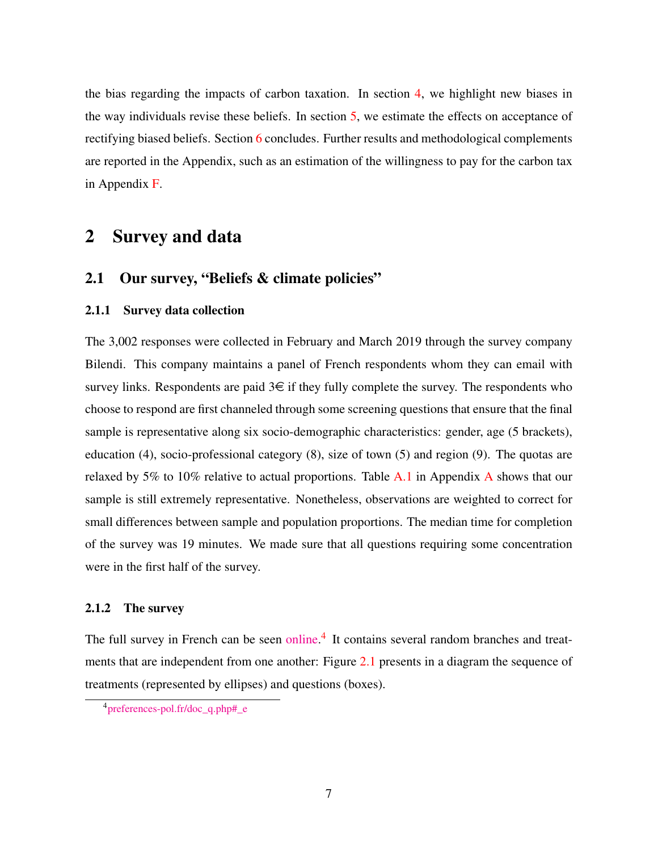the bias regarding the impacts of carbon taxation. In section [4,](#page-20-0) we highlight new biases in the way individuals revise these beliefs. In section [5,](#page-26-0) we estimate the effects on acceptance of rectifying biased beliefs. Section [6](#page-36-0) concludes. Further results and methodological complements are reported in the Appendix, such as an estimation of the willingness to pay for the carbon tax in Appendix [F.](#page-58-0)

## <span id="page-6-0"></span>2 Survey and data

#### 2.1 Our survey, "Beliefs & climate policies"

#### 2.1.1 Survey data collection

The 3,002 responses were collected in February and March 2019 through the survey company Bilendi. This company maintains a panel of French respondents whom they can email with survey links. Respondents are paid  $3 \in \mathbb{R}$  if they fully complete the survey. The respondents who choose to respond are first channeled through some screening questions that ensure that the final sample is representative along six socio-demographic characteristics: gender, age (5 brackets), education (4), socio-professional category (8), size of town (5) and region (9). The quotas are relaxed by 5% to 10% relative to actual proportions. Table  $A.1$  in [A](#page-44-1)ppendix A shows that our sample is still extremely representative. Nonetheless, observations are weighted to correct for small differences between sample and population proportions. The median time for completion of the survey was 19 minutes. We made sure that all questions requiring some concentration were in the first half of the survey.

#### <span id="page-6-1"></span>2.1.2 The survey

The full survey in French can be seen [online.](http://preferences-pol.fr/doc_q.php#_e)<sup>[4](#page-0-0)</sup> It contains several random branches and treat-ments that are independent from one another: Figure [2.1](#page-7-0) presents in a diagram the sequence of treatments (represented by ellipses) and questions (boxes).

<sup>4</sup>[preferences-pol.fr/doc\\_q.php#\\_e](http:\/\/preferences-pol.fr\/doc_q.php#_e)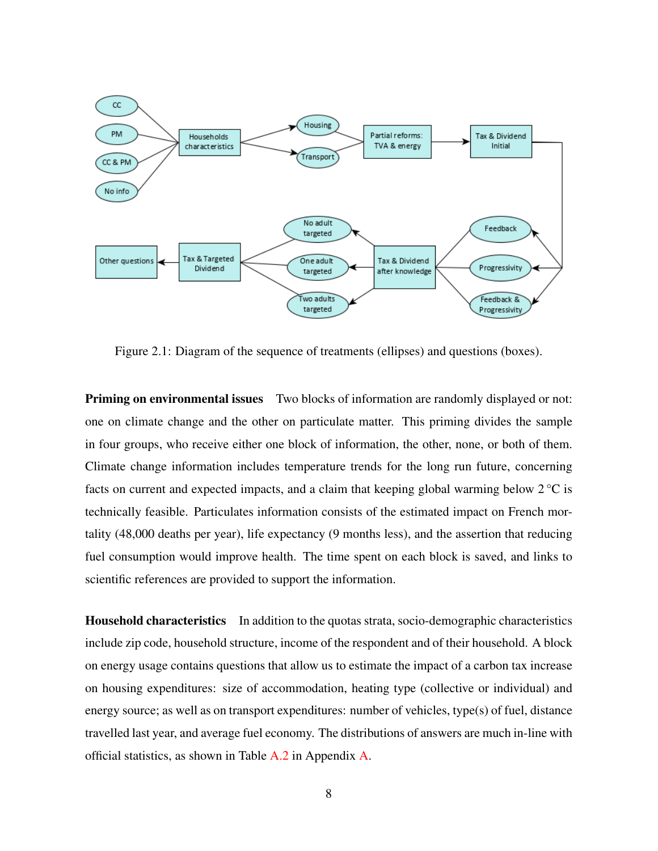<span id="page-7-0"></span>

Figure 2.1: Diagram of the sequence of treatments (ellipses) and questions (boxes).

**Priming on environmental issues** Two blocks of information are randomly displayed or not: one on climate change and the other on particulate matter. This priming divides the sample in four groups, who receive either one block of information, the other, none, or both of them. Climate change information includes temperature trends for the long run future, concerning facts on current and expected impacts, and a claim that keeping global warming below  $2^{\circ}C$  is technically feasible. Particulates information consists of the estimated impact on French mortality (48,000 deaths per year), life expectancy (9 months less), and the assertion that reducing fuel consumption would improve health. The time spent on each block is saved, and links to scientific references are provided to support the information.

Household characteristics In addition to the quotas strata, socio-demographic characteristics include zip code, household structure, income of the respondent and of their household. A block on energy usage contains questions that allow us to estimate the impact of a carbon tax increase on housing expenditures: size of accommodation, heating type (collective or individual) and energy source; as well as on transport expenditures: number of vehicles, type(s) of fuel, distance travelled last year, and average fuel economy. The distributions of answers are much in-line with official statistics, as shown in Table [A.2](#page-44-2) in Appendix [A.](#page-44-1)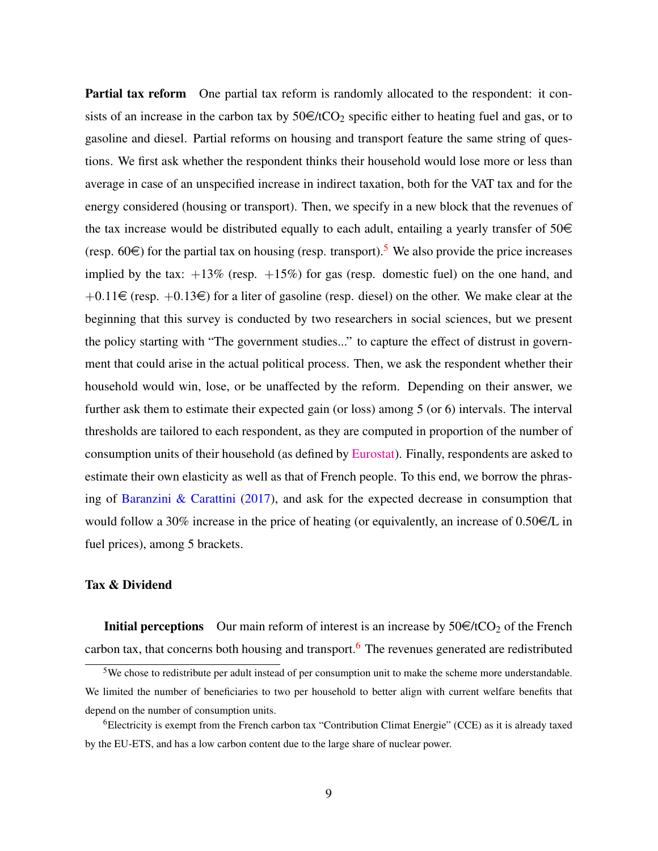Partial tax reform One partial tax reform is randomly allocated to the respondent: it consists of an increase in the carbon tax by  $50 \in \text{/tCO}_2$  specific either to heating fuel and gas, or to gasoline and diesel. Partial reforms on housing and transport feature the same string of questions. We first ask whether the respondent thinks their household would lose more or less than average in case of an unspecified increase in indirect taxation, both for the VAT tax and for the energy considered (housing or transport). Then, we specify in a new block that the revenues of the tax increase would be distributed equally to each adult, entailing a yearly transfer of  $50 \in$ (resp. 60 $\in$ ) for the partial tax on housing (resp. transport).<sup>[5](#page-0-0)</sup> We also provide the price increases implied by the tax:  $+13\%$  (resp.  $+15\%$ ) for gas (resp. domestic fuel) on the one hand, and  $+0.11 \in$  (resp.  $+0.13 \in$ ) for a liter of gasoline (resp. diesel) on the other. We make clear at the beginning that this survey is conducted by two researchers in social sciences, but we present the policy starting with "The government studies..." to capture the effect of distrust in government that could arise in the actual political process. Then, we ask the respondent whether their household would win, lose, or be unaffected by the reform. Depending on their answer, we further ask them to estimate their expected gain (or loss) among 5 (or 6) intervals. The interval thresholds are tailored to each respondent, as they are computed in proportion of the number of consumption units of their household (as defined by [Eurostat\)](http://ec.europa.eu/eurostat/statistics-explained/index.php/Glossary:Equivalised_disposable_income). Finally, respondents are asked to estimate their own elasticity as well as that of French people. To this end, we borrow the phrasing of [Baranzini & Carattini](#page-38-3) [\(2017\)](#page-38-3), and ask for the expected decrease in consumption that would follow a 30% increase in the price of heating (or equivalently, an increase of  $0.50 \in \mathcal{L}$  in fuel prices), among 5 brackets.

#### Tax & Dividend

**Initial perceptions** Our main reform of interest is an increase by  $50 \in \text{/tCO}_2$  of the French carbon tax, that concerns both housing and transport.<sup>[6](#page-0-0)</sup> The revenues generated are redistributed

<sup>&</sup>lt;sup>5</sup>We chose to redistribute per adult instead of per consumption unit to make the scheme more understandable. We limited the number of beneficiaries to two per household to better align with current welfare benefits that depend on the number of consumption units.

<sup>&</sup>lt;sup>6</sup>Electricity is exempt from the French carbon tax "Contribution Climat Energie" (CCE) as it is already taxed by the EU-ETS, and has a low carbon content due to the large share of nuclear power.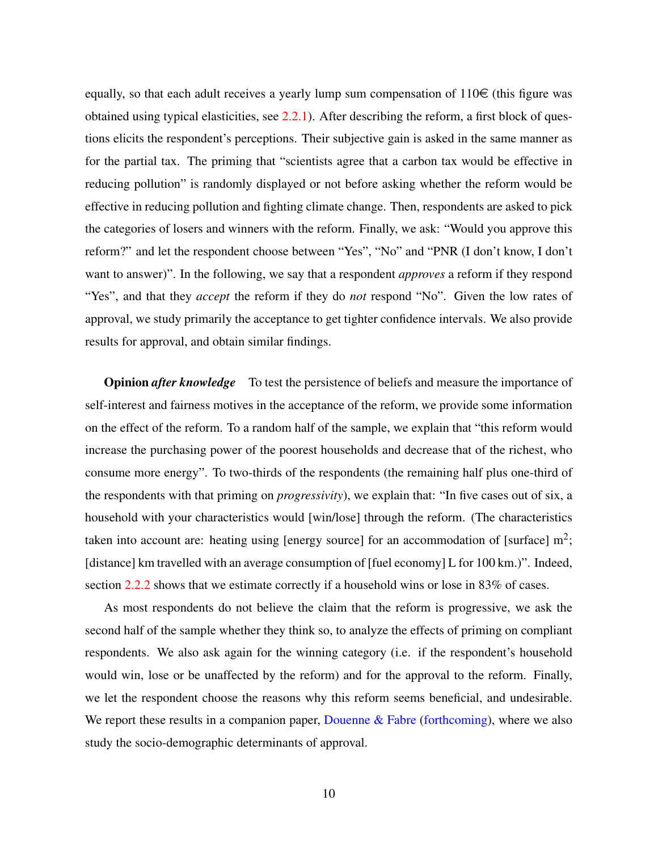equally, so that each adult receives a yearly lump sum compensation of  $110 \in$  (this figure was obtained using typical elasticities, see [2.2.1\)](#page-12-0). After describing the reform, a first block of questions elicits the respondent's perceptions. Their subjective gain is asked in the same manner as for the partial tax. The priming that "scientists agree that a carbon tax would be effective in reducing pollution" is randomly displayed or not before asking whether the reform would be effective in reducing pollution and fighting climate change. Then, respondents are asked to pick the categories of losers and winners with the reform. Finally, we ask: "Would you approve this reform?" and let the respondent choose between "Yes", "No" and "PNR (I don't know, I don't want to answer)". In the following, we say that a respondent *approves* a reform if they respond "Yes", and that they *accept* the reform if they do *not* respond "No". Given the low rates of approval, we study primarily the acceptance to get tighter confidence intervals. We also provide results for approval, and obtain similar findings.

**Opinion** *after knowledge* To test the persistence of beliefs and measure the importance of self-interest and fairness motives in the acceptance of the reform, we provide some information on the effect of the reform. To a random half of the sample, we explain that "this reform would increase the purchasing power of the poorest households and decrease that of the richest, who consume more energy". To two-thirds of the respondents (the remaining half plus one-third of the respondents with that priming on *progressivity*), we explain that: "In five cases out of six, a household with your characteristics would [win/lose] through the reform. (The characteristics taken into account are: heating using [energy source] for an accommodation of [surface]  $m^2$ ; [distance] km travelled with an average consumption of [fuel economy] L for 100 km.)". Indeed, section [2.2.2](#page-13-0) shows that we estimate correctly if a household wins or lose in 83% of cases.

As most respondents do not believe the claim that the reform is progressive, we ask the second half of the sample whether they think so, to analyze the effects of priming on compliant respondents. We also ask again for the winning category (i.e. if the respondent's household would win, lose or be unaffected by the reform) and for the approval to the reform. Finally, we let the respondent choose the reasons why this reform seems beneficial, and undesirable. We report these results in a companion paper, Douenne  $\&$  Fabre [\(forthcoming\)](#page-39-4), where we also study the socio-demographic determinants of approval.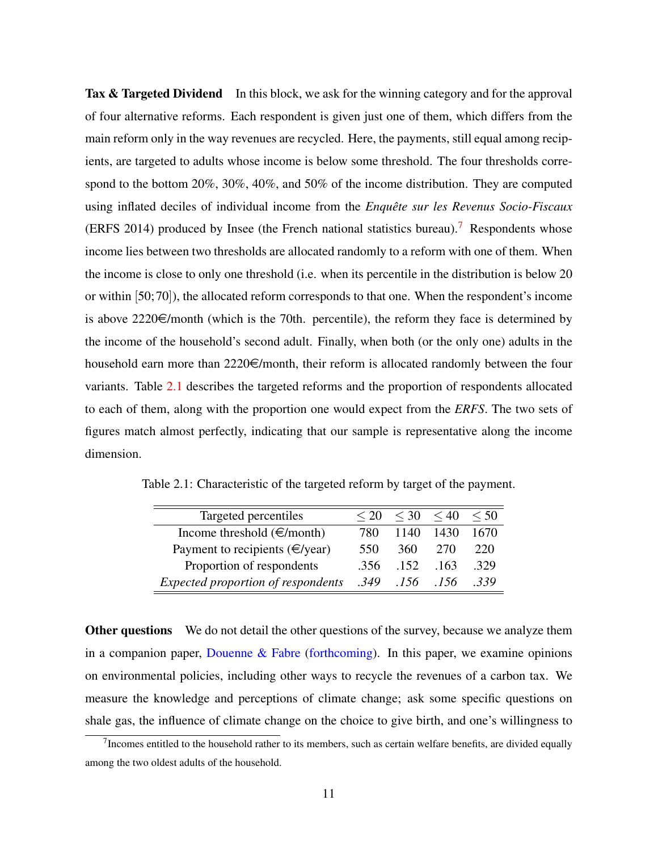Tax & Targeted Dividend In this block, we ask for the winning category and for the approval of four alternative reforms. Each respondent is given just one of them, which differs from the main reform only in the way revenues are recycled. Here, the payments, still equal among recipients, are targeted to adults whose income is below some threshold. The four thresholds correspond to the bottom 20%, 30%, 40%, and 50% of the income distribution. They are computed using inflated deciles of individual income from the *Enquête sur les Revenus Socio-Fiscaux* (ERFS 2014) produced by Insee (the French national statistics bureau).<sup>[7](#page-0-0)</sup> Respondents whose income lies between two thresholds are allocated randomly to a reform with one of them. When the income is close to only one threshold (i.e. when its percentile in the distribution is below 20 or within [50; 70]), the allocated reform corresponds to that one. When the respondent's income is above  $2220 \in$ /month (which is the 70th. percentile), the reform they face is determined by the income of the household's second adult. Finally, when both (or the only one) adults in the household earn more than  $2220\epsilon/m$  onth, their reform is allocated randomly between the four variants. Table [2.1](#page-10-0) describes the targeted reforms and the proportion of respondents allocated to each of them, along with the proportion one would expect from the *ERFS*. The two sets of figures match almost perfectly, indicating that our sample is representative along the income dimension.

| Targeted percentiles                      |      | $\leq 30$ | $\leq 40$ | $\leq 50$ |
|-------------------------------------------|------|-----------|-----------|-----------|
| Income threshold $(\in$ /month)           | 780  | 1140      | 1430      | 1670      |
| Payment to recipients $(\infty)$ year)    | 550  | 360.      | 270       | 220       |
| Proportion of respondents                 | .356 | .152      | 163       | -329      |
| <b>Expected proportion of respondents</b> | .349 | .156      | .156      | .339      |

<span id="page-10-0"></span>Table 2.1: Characteristic of the targeted reform by target of the payment.

Other questions We do not detail the other questions of the survey, because we analyze them in a companion paper, Douenne  $\&$  Fabre [\(forthcoming\)](#page-39-4). In this paper, we examine opinions on environmental policies, including other ways to recycle the revenues of a carbon tax. We measure the knowledge and perceptions of climate change; ask some specific questions on shale gas, the influence of climate change on the choice to give birth, and one's willingness to

 $7$ Incomes entitled to the household rather to its members, such as certain welfare benefits, are divided equally among the two oldest adults of the household.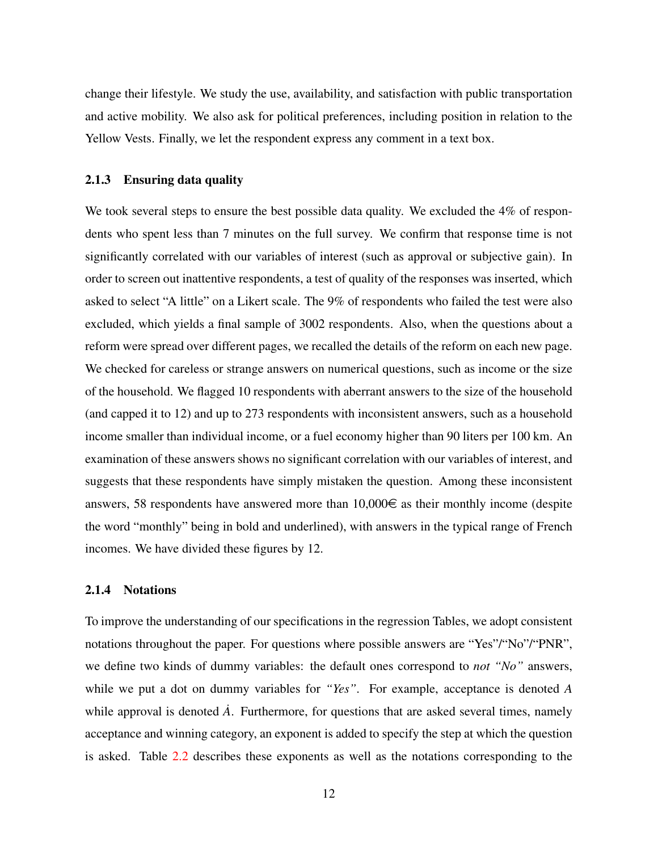change their lifestyle. We study the use, availability, and satisfaction with public transportation and active mobility. We also ask for political preferences, including position in relation to the Yellow Vests. Finally, we let the respondent express any comment in a text box.

#### 2.1.3 Ensuring data quality

We took several steps to ensure the best possible data quality. We excluded the 4% of respondents who spent less than 7 minutes on the full survey. We confirm that response time is not significantly correlated with our variables of interest (such as approval or subjective gain). In order to screen out inattentive respondents, a test of quality of the responses was inserted, which asked to select "A little" on a Likert scale. The 9% of respondents who failed the test were also excluded, which yields a final sample of 3002 respondents. Also, when the questions about a reform were spread over different pages, we recalled the details of the reform on each new page. We checked for careless or strange answers on numerical questions, such as income or the size of the household. We flagged 10 respondents with aberrant answers to the size of the household (and capped it to 12) and up to 273 respondents with inconsistent answers, such as a household income smaller than individual income, or a fuel economy higher than 90 liters per 100 km. An examination of these answers shows no significant correlation with our variables of interest, and suggests that these respondents have simply mistaken the question. Among these inconsistent answers, 58 respondents have answered more than  $10,000\in$  as their monthly income (despite the word "monthly" being in bold and underlined), with answers in the typical range of French incomes. We have divided these figures by 12.

#### 2.1.4 Notations

To improve the understanding of our specifications in the regression Tables, we adopt consistent notations throughout the paper. For questions where possible answers are "Yes"/"No"/"PNR", we define two kinds of dummy variables: the default ones correspond to *not "No"* answers, while we put a dot on dummy variables for *"Yes"*. For example, acceptance is denoted *A* while approval is denoted  $\vec{A}$ . Furthermore, for questions that are asked several times, namely acceptance and winning category, an exponent is added to specify the step at which the question is asked. Table [2.2](#page-12-1) describes these exponents as well as the notations corresponding to the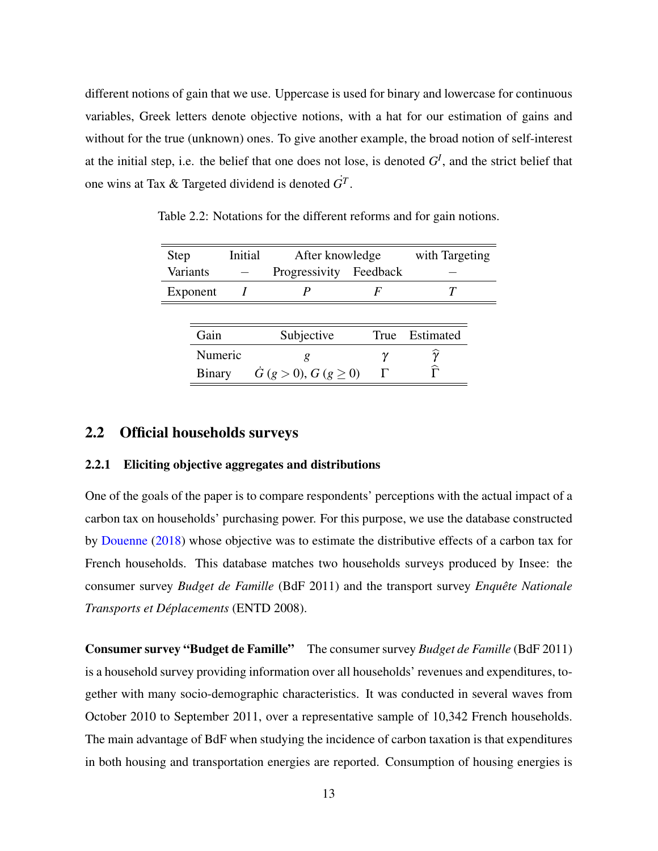different notions of gain that we use. Uppercase is used for binary and lowercase for continuous variables, Greek letters denote objective notions, with a hat for our estimation of gains and without for the true (unknown) ones. To give another example, the broad notion of self-interest at the initial step, i.e. the belief that one does not lose, is denoted  $G^I$ , and the strict belief that one wins at Tax & Targeted dividend is denoted  $G<sup>T</sup>$ .

| <b>Step</b>     |               | Initial |                      | After knowledge |           | with Targeting |
|-----------------|---------------|---------|----------------------|-----------------|-----------|----------------|
| <b>Variants</b> |               |         | Progressivity        | Feedback        |           |                |
|                 | Exponent      |         |                      | F               |           |                |
|                 |               |         |                      |                 |           |                |
|                 | Gain          |         | Subjective           | True            | Estimated |                |
|                 | Numeric       |         | g                    |                 | $\gamma$  |                |
|                 | <b>Binary</b> |         | G (g > 0), G (g > 0) |                 |           |                |

<span id="page-12-1"></span>Table 2.2: Notations for the different reforms and for gain notions.

#### 2.2 Official households surveys

#### <span id="page-12-0"></span>2.2.1 Eliciting objective aggregates and distributions

One of the goals of the paper is to compare respondents' perceptions with the actual impact of a carbon tax on households' purchasing power. For this purpose, we use the database constructed by [Douenne](#page-39-5) [\(2018\)](#page-39-5) whose objective was to estimate the distributive effects of a carbon tax for French households. This database matches two households surveys produced by Insee: the consumer survey *Budget de Famille* (BdF 2011) and the transport survey *Enquête Nationale Transports et Déplacements* (ENTD 2008).

Consumer survey "Budget de Famille" The consumer survey *Budget de Famille* (BdF 2011) is a household survey providing information over all households' revenues and expenditures, together with many socio-demographic characteristics. It was conducted in several waves from October 2010 to September 2011, over a representative sample of 10,342 French households. The main advantage of BdF when studying the incidence of carbon taxation is that expenditures in both housing and transportation energies are reported. Consumption of housing energies is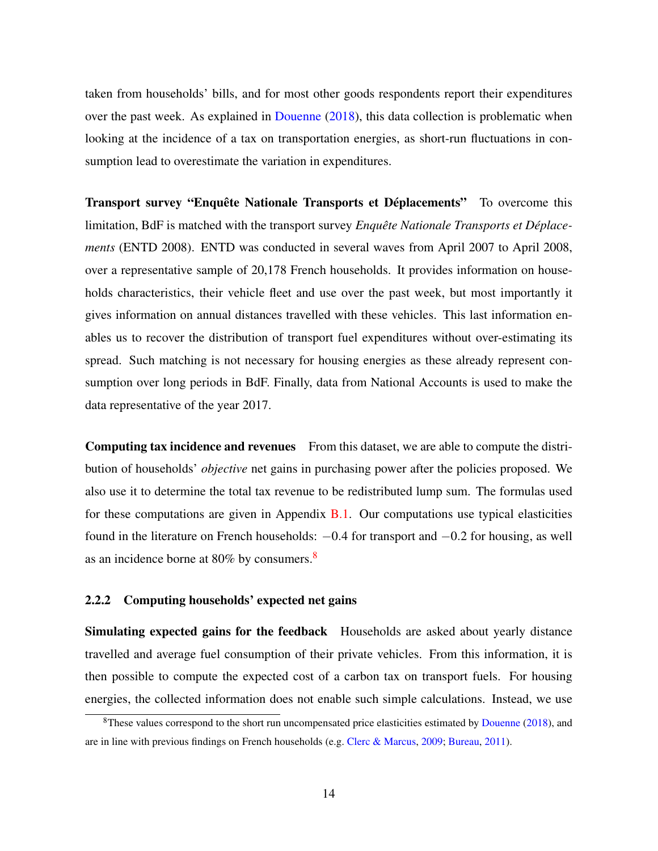taken from households' bills, and for most other goods respondents report their expenditures over the past week. As explained in [Douenne](#page-39-5) [\(2018\)](#page-39-5), this data collection is problematic when looking at the incidence of a tax on transportation energies, as short-run fluctuations in consumption lead to overestimate the variation in expenditures.

Transport survey "Enquête Nationale Transports et Déplacements" To overcome this limitation, BdF is matched with the transport survey *Enquête Nationale Transports et Déplacements* (ENTD 2008). ENTD was conducted in several waves from April 2007 to April 2008, over a representative sample of 20,178 French households. It provides information on households characteristics, their vehicle fleet and use over the past week, but most importantly it gives information on annual distances travelled with these vehicles. This last information enables us to recover the distribution of transport fuel expenditures without over-estimating its spread. Such matching is not necessary for housing energies as these already represent consumption over long periods in BdF. Finally, data from National Accounts is used to make the data representative of the year 2017.

Computing tax incidence and revenues From this dataset, we are able to compute the distribution of households' *objective* net gains in purchasing power after the policies proposed. We also use it to determine the total tax revenue to be redistributed lump sum. The formulas used for these computations are given in Appendix  $B.1$ . Our computations use typical elasticities found in the literature on French households:  $-0.4$  for transport and  $-0.2$  for housing, as well as an incidence borne at  $80\%$  $80\%$  by consumers.<sup>8</sup>

#### <span id="page-13-0"></span>2.2.2 Computing households' expected net gains

Simulating expected gains for the feedback Households are asked about yearly distance travelled and average fuel consumption of their private vehicles. From this information, it is then possible to compute the expected cost of a carbon tax on transport fuels. For housing energies, the collected information does not enable such simple calculations. Instead, we use

 $8$ These values correspond to the short run uncompensated price elasticities estimated by [Douenne](#page-39-5) [\(2018\)](#page-39-5), and are in line with previous findings on French households (e.g. [Clerc & Marcus,](#page-39-6) [2009;](#page-39-6) [Bureau,](#page-39-7) [2011\)](#page-39-7).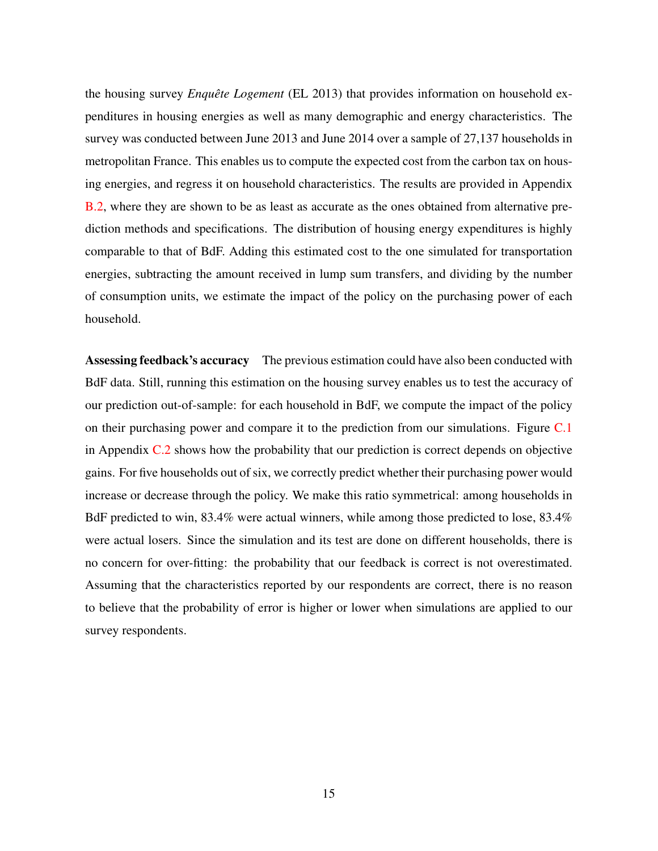the housing survey *Enquête Logement* (EL 2013) that provides information on household expenditures in housing energies as well as many demographic and energy characteristics. The survey was conducted between June 2013 and June 2014 over a sample of 27,137 households in metropolitan France. This enables us to compute the expected cost from the carbon tax on housing energies, and regress it on household characteristics. The results are provided in Appendix [B.2,](#page-46-0) where they are shown to be as least as accurate as the ones obtained from alternative prediction methods and specifications. The distribution of housing energy expenditures is highly comparable to that of BdF. Adding this estimated cost to the one simulated for transportation energies, subtracting the amount received in lump sum transfers, and dividing by the number of consumption units, we estimate the impact of the policy on the purchasing power of each household.

Assessing feedback's accuracy The previous estimation could have also been conducted with BdF data. Still, running this estimation on the housing survey enables us to test the accuracy of our prediction out-of-sample: for each household in BdF, we compute the impact of the policy on their purchasing power and compare it to the prediction from our simulations. Figure [C.1](#page-49-0) in Appendix [C.2](#page-49-1) shows how the probability that our prediction is correct depends on objective gains. For five households out of six, we correctly predict whether their purchasing power would increase or decrease through the policy. We make this ratio symmetrical: among households in BdF predicted to win, 83.4% were actual winners, while among those predicted to lose, 83.4% were actual losers. Since the simulation and its test are done on different households, there is no concern for over-fitting: the probability that our feedback is correct is not overestimated. Assuming that the characteristics reported by our respondents are correct, there is no reason to believe that the probability of error is higher or lower when simulations are applied to our survey respondents.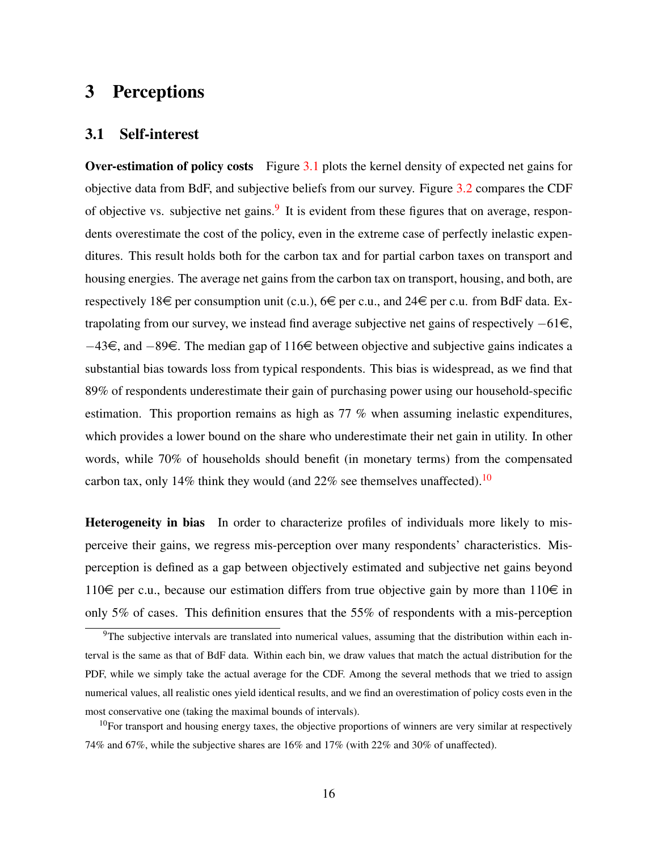# <span id="page-15-0"></span>3 Perceptions

#### <span id="page-15-1"></span>3.1 Self-interest

Over-estimation of policy costs Figure [3.1](#page-16-0) plots the kernel density of expected net gains for objective data from BdF, and subjective beliefs from our survey. Figure [3.2](#page-16-1) compares the CDF of objective vs. subjective net gains.<sup>[9](#page-0-0)</sup> It is evident from these figures that on average, respondents overestimate the cost of the policy, even in the extreme case of perfectly inelastic expenditures. This result holds both for the carbon tax and for partial carbon taxes on transport and housing energies. The average net gains from the carbon tax on transport, housing, and both, are respectively 18 $\in$  per consumption unit (c.u.), 6 $\in$  per c.u., and 24 $\in$  per c.u. from BdF data. Extrapolating from our survey, we instead find average subjective net gains of respectively  $-61\epsilon$ , −43€, and −89€. The median gap of 116€ between objective and subjective gains indicates a substantial bias towards loss from typical respondents. This bias is widespread, as we find that 89% of respondents underestimate their gain of purchasing power using our household-specific estimation. This proportion remains as high as 77 % when assuming inelastic expenditures, which provides a lower bound on the share who underestimate their net gain in utility. In other words, while 70% of households should benefit (in monetary terms) from the compensated carbon tax, only 14% think they would (and  $22\%$  see themselves unaffected).<sup>[10](#page-0-0)</sup>

Heterogeneity in bias In order to characterize profiles of individuals more likely to misperceive their gains, we regress mis-perception over many respondents' characteristics. Misperception is defined as a gap between objectively estimated and subjective net gains beyond 110 $\in$  per c.u., because our estimation differs from true objective gain by more than 110 $\in$  in only 5% of cases. This definition ensures that the 55% of respondents with a mis-perception

<sup>9</sup>The subjective intervals are translated into numerical values, assuming that the distribution within each interval is the same as that of BdF data. Within each bin, we draw values that match the actual distribution for the PDF, while we simply take the actual average for the CDF. Among the several methods that we tried to assign numerical values, all realistic ones yield identical results, and we find an overestimation of policy costs even in the most conservative one (taking the maximal bounds of intervals).

 $10$ For transport and housing energy taxes, the objective proportions of winners are very similar at respectively 74% and 67%, while the subjective shares are 16% and 17% (with 22% and 30% of unaffected).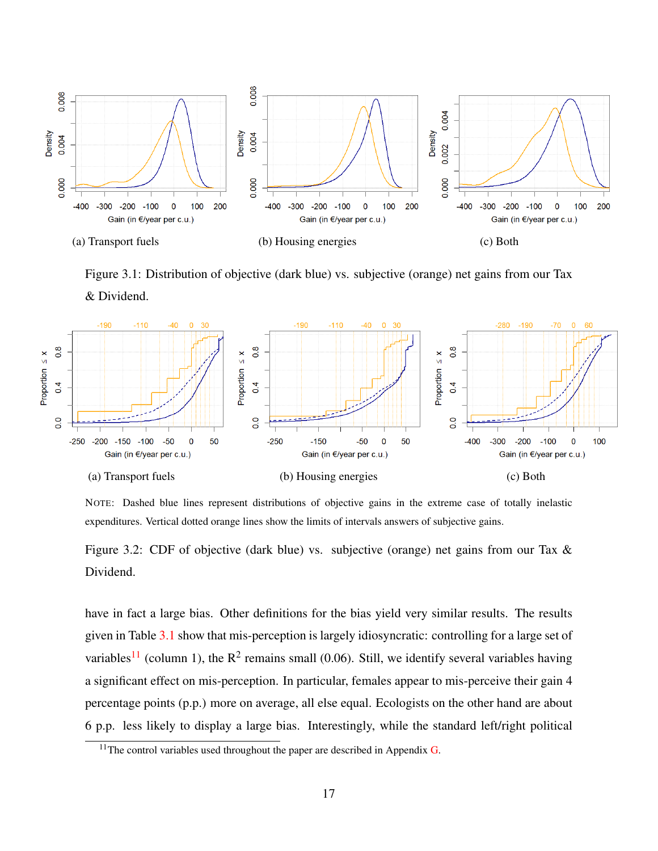<span id="page-16-0"></span>

<span id="page-16-1"></span>Figure 3.1: Distribution of objective (dark blue) vs. subjective (orange) net gains from our Tax & Dividend.



NOTE: Dashed blue lines represent distributions of objective gains in the extreme case of totally inelastic expenditures. Vertical dotted orange lines show the limits of intervals answers of subjective gains.

Figure 3.2: CDF of objective (dark blue) vs. subjective (orange) net gains from our Tax & Dividend.

have in fact a large bias. Other definitions for the bias yield very similar results. The results given in Table [3.1](#page-18-0) show that mis-perception is largely idiosyncratic: controlling for a large set of variables<sup>[11](#page-0-0)</sup> (column 1), the  $R^2$  remains small (0.06). Still, we identify several variables having a significant effect on mis-perception. In particular, females appear to mis-perceive their gain 4 percentage points (p.p.) more on average, all else equal. Ecologists on the other hand are about 6 p.p. less likely to display a large bias. Interestingly, while the standard left/right political

<sup>&</sup>lt;sup>11</sup>The control variables used throughout the paper are described in Appendix  $G$ .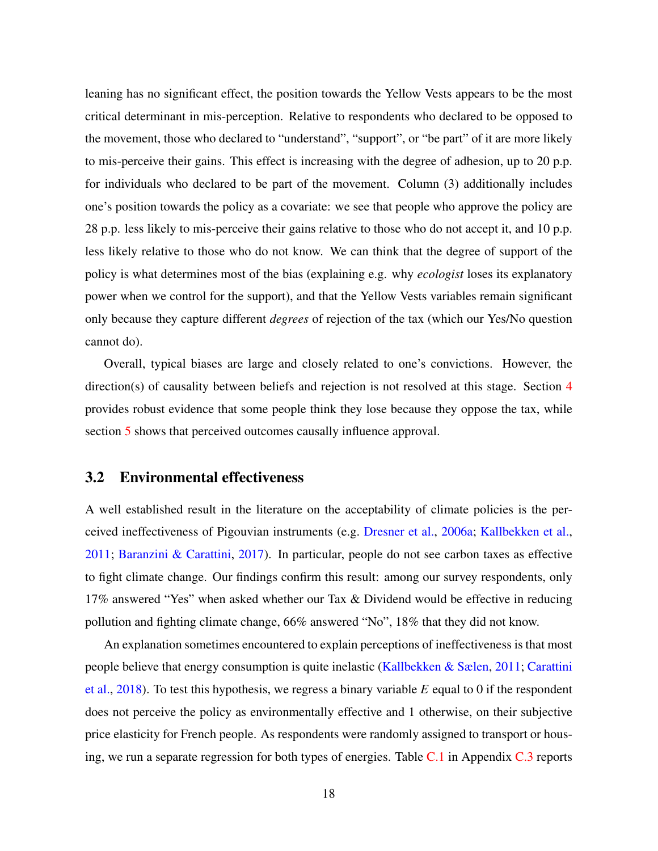leaning has no significant effect, the position towards the Yellow Vests appears to be the most critical determinant in mis-perception. Relative to respondents who declared to be opposed to the movement, those who declared to "understand", "support", or "be part" of it are more likely to mis-perceive their gains. This effect is increasing with the degree of adhesion, up to 20 p.p. for individuals who declared to be part of the movement. Column (3) additionally includes one's position towards the policy as a covariate: we see that people who approve the policy are 28 p.p. less likely to mis-perceive their gains relative to those who do not accept it, and 10 p.p. less likely relative to those who do not know. We can think that the degree of support of the policy is what determines most of the bias (explaining e.g. why *ecologist* loses its explanatory power when we control for the support), and that the Yellow Vests variables remain significant only because they capture different *degrees* of rejection of the tax (which our Yes/No question cannot do).

Overall, typical biases are large and closely related to one's convictions. However, the direction(s) of causality between beliefs and rejection is not resolved at this stage. Section [4](#page-20-0) provides robust evidence that some people think they lose because they oppose the tax, while section [5](#page-26-0) shows that perceived outcomes causally influence approval.

#### <span id="page-17-0"></span>3.2 Environmental effectiveness

A well established result in the literature on the acceptability of climate policies is the perceived ineffectiveness of Pigouvian instruments (e.g. [Dresner et al.,](#page-39-8) [2006a;](#page-39-8) [Kallbekken et al.,](#page-41-6) [2011;](#page-41-6) [Baranzini & Carattini,](#page-38-3) [2017\)](#page-38-3). In particular, people do not see carbon taxes as effective to fight climate change. Our findings confirm this result: among our survey respondents, only 17% answered "Yes" when asked whether our Tax & Dividend would be effective in reducing pollution and fighting climate change, 66% answered "No", 18% that they did not know.

An explanation sometimes encountered to explain perceptions of ineffectiveness is that most people believe that energy consumption is quite inelastic [\(Kallbekken & Sælen,](#page-41-2) [2011;](#page-41-2) [Carattini](#page-39-0) [et al.,](#page-39-0) [2018\)](#page-39-0). To test this hypothesis, we regress a binary variable *E* equal to 0 if the respondent does not perceive the policy as environmentally effective and 1 otherwise, on their subjective price elasticity for French people. As respondents were randomly assigned to transport or housing, we run a separate regression for both types of energies. Table  $C.1$  in Appendix  $C.3$  reports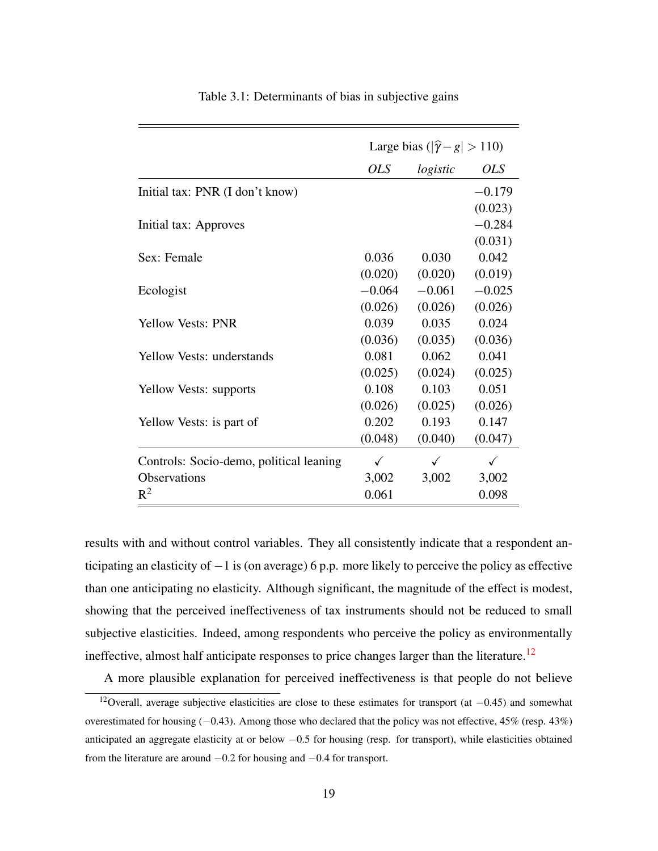<span id="page-18-0"></span>

|                                         | Large bias ( $ \hat{\gamma} - g  > 110$ ) |              |            |
|-----------------------------------------|-------------------------------------------|--------------|------------|
|                                         | <b>OLS</b>                                | logistic     | <i>OLS</i> |
| Initial tax: PNR (I don't know)         |                                           |              | $-0.179$   |
|                                         |                                           |              | (0.023)    |
| Initial tax: Approves                   |                                           |              | $-0.284$   |
|                                         |                                           |              | (0.031)    |
| Sex: Female                             | 0.036                                     | 0.030        | 0.042      |
|                                         | (0.020)                                   | (0.020)      | (0.019)    |
| Ecologist                               | $-0.064$                                  | $-0.061$     | $-0.025$   |
|                                         | (0.026)                                   | (0.026)      | (0.026)    |
| <b>Yellow Vests: PNR</b>                | 0.039                                     | 0.035        | 0.024      |
|                                         | (0.036)                                   | (0.035)      | (0.036)    |
| <b>Yellow Vests: understands</b>        | 0.081                                     | 0.062        | 0.041      |
|                                         | (0.025)                                   | (0.024)      | (0.025)    |
| Yellow Vests: supports                  | 0.108                                     | 0.103        | 0.051      |
|                                         | (0.026)                                   | (0.025)      | (0.026)    |
| Yellow Vests: is part of                | 0.202                                     | 0.193        | 0.147      |
|                                         | (0.048)                                   | (0.040)      | (0.047)    |
| Controls: Socio-demo, political leaning | $\checkmark$                              | $\checkmark$ | ✓          |
| <b>Observations</b>                     | 3,002                                     | 3,002        | 3,002      |
| $R^2$                                   | 0.061                                     |              | 0.098      |

Table 3.1: Determinants of bias in subjective gains

results with and without control variables. They all consistently indicate that a respondent anticipating an elasticity of −1 is (on average) 6 p.p. more likely to perceive the policy as effective than one anticipating no elasticity. Although significant, the magnitude of the effect is modest, showing that the perceived ineffectiveness of tax instruments should not be reduced to small subjective elasticities. Indeed, among respondents who perceive the policy as environmentally ineffective, almost half anticipate responses to price changes larger than the literature.<sup>[12](#page-0-0)</sup>

A more plausible explanation for perceived ineffectiveness is that people do not believe

<sup>12</sup>Overall, average subjective elasticities are close to these estimates for transport (at −0.45) and somewhat overestimated for housing (−0.43). Among those who declared that the policy was not effective, 45% (resp. 43%) anticipated an aggregate elasticity at or below −0.5 for housing (resp. for transport), while elasticities obtained from the literature are around −0.2 for housing and −0.4 for transport.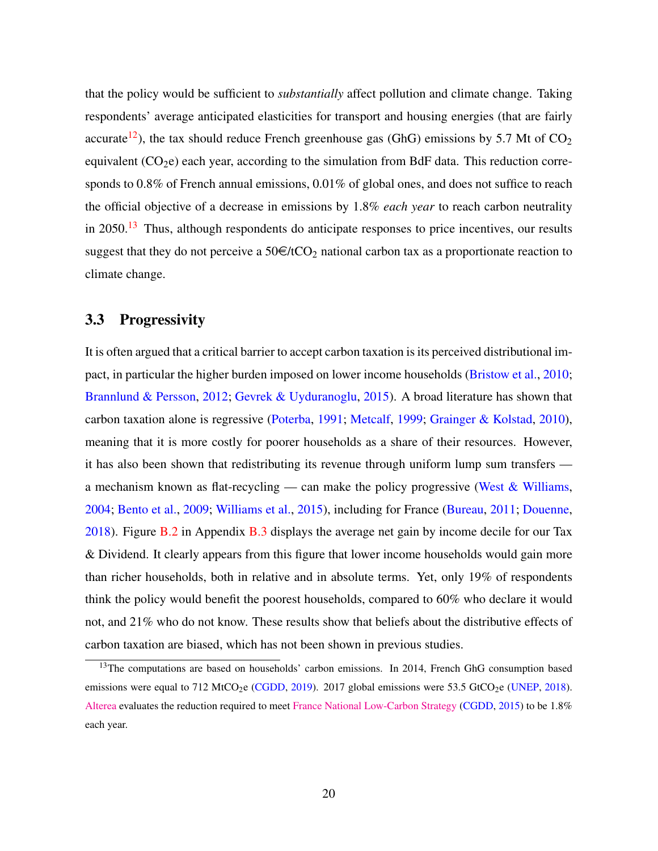that the policy would be sufficient to *substantially* affect pollution and climate change. Taking respondents' average anticipated elasticities for transport and housing energies (that are fairly accurate<sup>[12](#page-0-0)</sup>), the tax should reduce French greenhouse gas (GhG) emissions by 5.7 Mt of  $CO<sub>2</sub>$ equivalent  $(CO<sub>2</sub>e)$  each year, according to the simulation from BdF data. This reduction corresponds to 0.8% of French annual emissions, 0.01% of global ones, and does not suffice to reach the official objective of a decrease in emissions by 1.8% *each year* to reach carbon neutrality in  $2050<sup>13</sup>$  $2050<sup>13</sup>$  $2050<sup>13</sup>$  Thus, although respondents do anticipate responses to price incentives, our results suggest that they do not perceive a  $50 \in \text{/tCO}_2$  national carbon tax as a proportionate reaction to climate change.

### 3.3 Progressivity

It is often argued that a critical barrier to accept carbon taxation is its perceived distributional impact, in particular the higher burden imposed on lower income households [\(Bristow et al.,](#page-39-2) [2010;](#page-39-2) [Brannlund & Persson,](#page-38-2) [2012;](#page-38-2) [Gevrek & Uyduranoglu,](#page-40-2) [2015\)](#page-40-2). A broad literature has shown that carbon taxation alone is regressive [\(Poterba,](#page-42-5) [1991;](#page-42-5) [Metcalf,](#page-41-8) [1999;](#page-41-8) [Grainger & Kolstad,](#page-40-3) [2010\)](#page-40-3), meaning that it is more costly for poorer households as a share of their resources. However, it has also been shown that redistributing its revenue through uniform lump sum transfers a mechanism known as flat-recycling — can make the policy progressive (West  $&$  Williams, [2004;](#page-43-2) [Bento et al.,](#page-38-6) [2009;](#page-38-6) [Williams et al.,](#page-43-3) [2015\)](#page-43-3), including for France [\(Bureau,](#page-39-7) [2011;](#page-39-7) [Douenne,](#page-39-5) [2018\)](#page-39-5). Figure [B.2](#page-48-1) in Appendix [B.3](#page-48-2) displays the average net gain by income decile for our Tax & Dividend. It clearly appears from this figure that lower income households would gain more than richer households, both in relative and in absolute terms. Yet, only 19% of respondents think the policy would benefit the poorest households, compared to 60% who declare it would not, and 21% who do not know. These results show that beliefs about the distributive effects of carbon taxation are biased, which has not been shown in previous studies.

<sup>&</sup>lt;sup>13</sup>The computations are based on households' carbon emissions. In 2014, French GhG consumption based emissions were equal to 712 MtCO<sub>2</sub>e [\(CGDD,](#page-39-9) [2019\)](#page-39-9). 2017 global emissions were 53.5 GtCO<sub>2</sub>e [\(UNEP,](#page-43-4) [2018\)](#page-43-4). [Alterea](https://www.alterea.fr/strategie-nationale-bas-carbone-de-la-france-en-consultation/) evaluates the reduction required to meet [France National Low-Carbon Strategy](https://www.ecologique-solidaire.gouv.fr/strategie-nationale-bas-carbone-snbc) [\(CGDD,](#page-39-10) [2015\)](#page-39-10) to be 1.8% each year.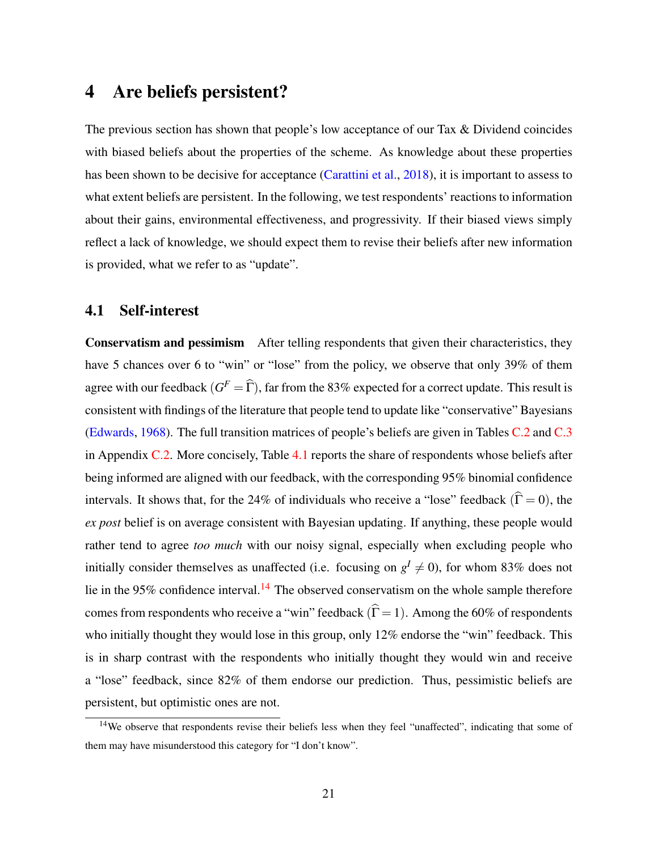### <span id="page-20-0"></span>4 Are beliefs persistent?

The previous section has shown that people's low acceptance of our Tax & Dividend coincides with biased beliefs about the properties of the scheme. As knowledge about these properties has been shown to be decisive for acceptance [\(Carattini et al.,](#page-39-0) [2018\)](#page-39-0), it is important to assess to what extent beliefs are persistent. In the following, we test respondents' reactions to information about their gains, environmental effectiveness, and progressivity. If their biased views simply reflect a lack of knowledge, we should expect them to revise their beliefs after new information is provided, what we refer to as "update".

#### <span id="page-20-1"></span>4.1 Self-interest

Conservatism and pessimism After telling respondents that given their characteristics, they have 5 chances over 6 to "win" or "lose" from the policy, we observe that only 39% of them agree with our feedback  $(G^F = \widehat{\Gamma})$ , far from the 83% expected for a correct update. This result is consistent with findings of the literature that people tend to update like "conservative" Bayesians [\(Edwards,](#page-40-4) [1968\)](#page-40-4). The full transition matrices of people's beliefs are given in Tables [C.2](#page-49-2) and [C.3](#page-49-3) in Appendix [C.2.](#page-49-1) More concisely, Table [4.1](#page-21-0) reports the share of respondents whose beliefs after being informed are aligned with our feedback, with the corresponding 95% binomial confidence intervals. It shows that, for the 24% of individuals who receive a "lose" feedback ( $\hat{\Gamma} = 0$ ), the *ex post* belief is on average consistent with Bayesian updating. If anything, these people would rather tend to agree *too much* with our noisy signal, especially when excluding people who initially consider themselves as unaffected (i.e. focusing on  $g^I \neq 0$ ), for whom 83% does not lie in the 95% confidence interval.<sup>[14](#page-0-0)</sup> The observed conservatism on the whole sample therefore comes from respondents who receive a "win" feedback ( $\hat{\Gamma} = 1$ ). Among the 60% of respondents who initially thought they would lose in this group, only 12% endorse the "win" feedback. This is in sharp contrast with the respondents who initially thought they would win and receive a "lose" feedback, since 82% of them endorse our prediction. Thus, pessimistic beliefs are persistent, but optimistic ones are not.

<sup>&</sup>lt;sup>14</sup>We observe that respondents revise their beliefs less when they feel "unaffected", indicating that some of them may have misunderstood this category for "I don't know".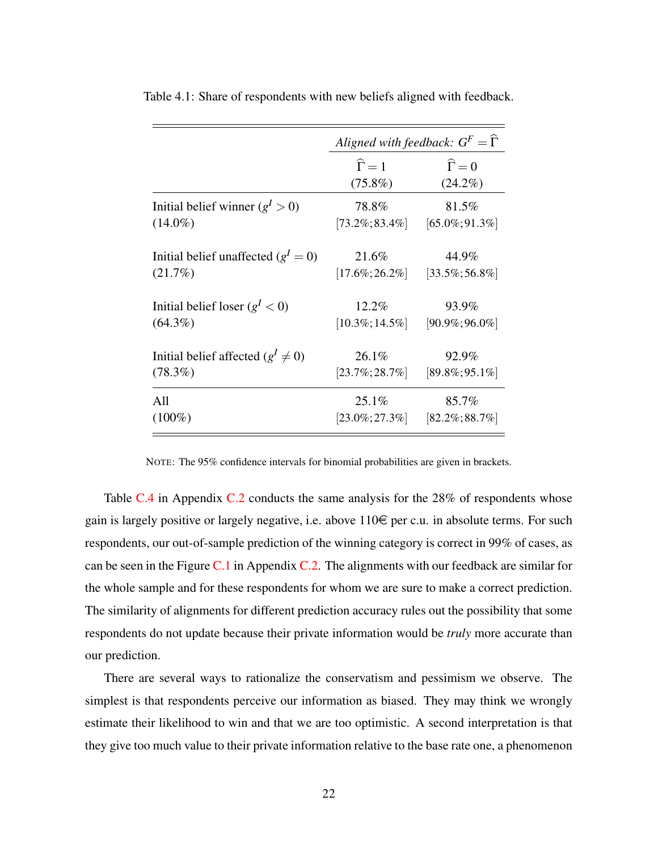| Aligned with feedback: $G^F = \hat{\Gamma}$ |                      |  |
|---------------------------------------------|----------------------|--|
| $\widehat{\Gamma} = 1$                      | $\widehat{\Gamma}=0$ |  |
| $(75.8\%)$                                  | $(24.2\%)$           |  |
| 78.8%                                       | 81.5%                |  |
| $[73.2\%;83.4\%]$                           | $[65.0\%; 91.3\%]$   |  |
|                                             | 44.9%                |  |
| $[17.6\%;26.2\%]$                           | $[33.5\%;56.8\%]$    |  |
| 12.2%                                       | 93.9%                |  |
| $[10.3\%; 14.5\%]$                          | $[90.9\%;96.0\%]$    |  |
|                                             | 92.9%                |  |
| $[23.7\%; 28.7\%]$                          | $[89.8\%;95.1\%]$    |  |
| 25.1%                                       | 85.7%                |  |
| $[23.0\%;27.3\%]$                           | $[82.2\%; 88.7\%]$   |  |
|                                             | 21.6%<br>26.1%       |  |

<span id="page-21-0"></span>Table 4.1: Share of respondents with new beliefs aligned with feedback.

NOTE: The 95% confidence intervals for binomial probabilities are given in brackets.

Table [C.4](#page-50-0) in Appendix [C.2](#page-49-1) conducts the same analysis for the 28% of respondents whose gain is largely positive or largely negative, i.e. above  $110 \in \text{per c.u.}$  in absolute terms. For such respondents, our out-of-sample prediction of the winning category is correct in 99% of cases, as can be seen in the Figure  $C.1$  in Appendix  $C.2$ . The alignments with our feedback are similar for the whole sample and for these respondents for whom we are sure to make a correct prediction. The similarity of alignments for different prediction accuracy rules out the possibility that some respondents do not update because their private information would be *truly* more accurate than our prediction.

There are several ways to rationalize the conservatism and pessimism we observe. The simplest is that respondents perceive our information as biased. They may think we wrongly estimate their likelihood to win and that we are too optimistic. A second interpretation is that they give too much value to their private information relative to the base rate one, a phenomenon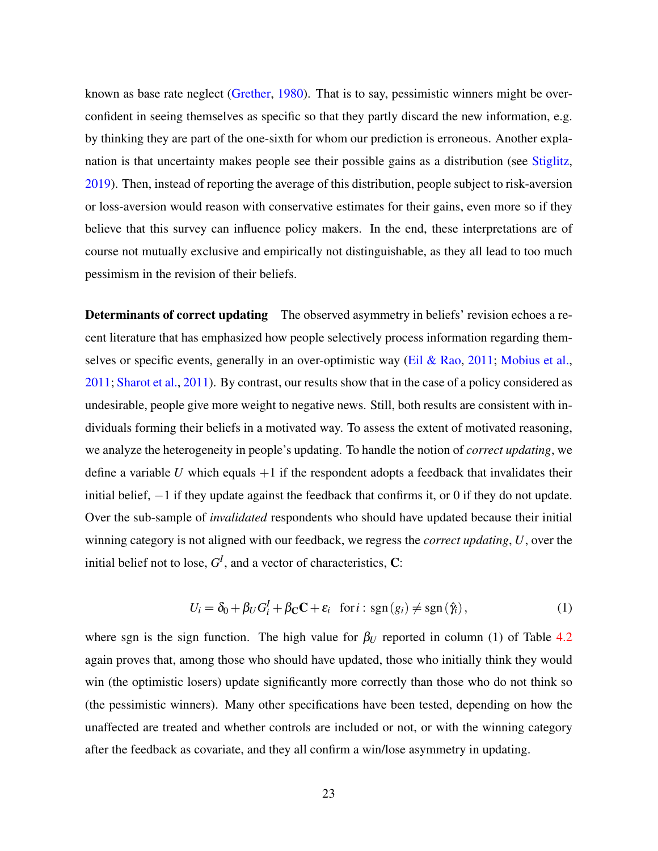known as base rate neglect [\(Grether,](#page-40-5) [1980\)](#page-40-5). That is to say, pessimistic winners might be overconfident in seeing themselves as specific so that they partly discard the new information, e.g. by thinking they are part of the one-sixth for whom our prediction is erroneous. Another explanation is that uncertainty makes people see their possible gains as a distribution (see [Stiglitz,](#page-42-6) [2019\)](#page-42-6). Then, instead of reporting the average of this distribution, people subject to risk-aversion or loss-aversion would reason with conservative estimates for their gains, even more so if they believe that this survey can influence policy makers. In the end, these interpretations are of course not mutually exclusive and empirically not distinguishable, as they all lead to too much pessimism in the revision of their beliefs.

**Determinants of correct updating** The observed asymmetry in beliefs' revision echoes a recent literature that has emphasized how people selectively process information regarding them-selves or specific events, generally in an over-optimistic way [\(Eil & Rao,](#page-40-0) [2011;](#page-40-0) [Mobius et al.,](#page-42-1) [2011;](#page-42-1) [Sharot et al.,](#page-42-2) [2011\)](#page-42-2). By contrast, our results show that in the case of a policy considered as undesirable, people give more weight to negative news. Still, both results are consistent with individuals forming their beliefs in a motivated way. To assess the extent of motivated reasoning, we analyze the heterogeneity in people's updating. To handle the notion of *correct updating*, we define a variable *U* which equals  $+1$  if the respondent adopts a feedback that invalidates their initial belief, −1 if they update against the feedback that confirms it, or 0 if they do not update. Over the sub-sample of *invalidated* respondents who should have updated because their initial winning category is not aligned with our feedback, we regress the *correct updating*, *U*, over the initial belief not to lose,  $G^I$ , and a vector of characteristics,  $C$ :

$$
U_i = \delta_0 + \beta_U G_i^I + \beta_C C + \varepsilon_i \quad \text{for } i : \text{sgn}(g_i) \neq \text{sgn}(\hat{\gamma}_i), \tag{1}
$$

where sgn is the sign function. The high value for  $\beta_U$  reported in column (1) of Table [4.2](#page-23-0) again proves that, among those who should have updated, those who initially think they would win (the optimistic losers) update significantly more correctly than those who do not think so (the pessimistic winners). Many other specifications have been tested, depending on how the unaffected are treated and whether controls are included or not, or with the winning category after the feedback as covariate, and they all confirm a win/lose asymmetry in updating.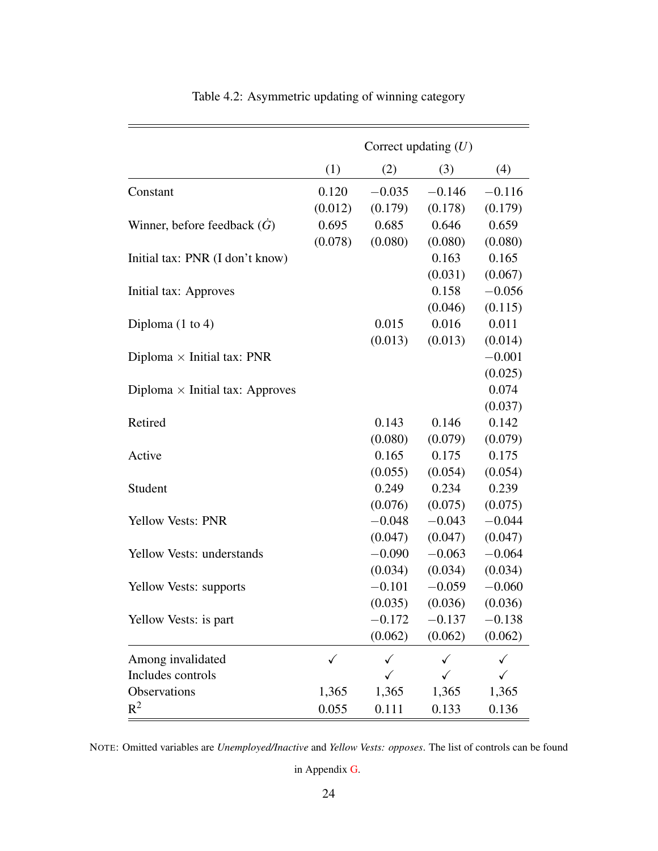<span id="page-23-0"></span>

|                                        | Correct updating $(U)$ |          |          |              |
|----------------------------------------|------------------------|----------|----------|--------------|
|                                        | (1)                    | (2)      | (3)      | (4)          |
| Constant                               | 0.120                  | $-0.035$ | $-0.146$ | $-0.116$     |
|                                        | (0.012)                | (0.179)  | (0.178)  | (0.179)      |
| Winner, before feedback $(\dot{G})$    | 0.695                  | 0.685    | 0.646    | 0.659        |
|                                        | (0.078)                | (0.080)  | (0.080)  | (0.080)      |
| Initial tax: PNR (I don't know)        |                        |          | 0.163    | 0.165        |
|                                        |                        |          | (0.031)  | (0.067)      |
| Initial tax: Approves                  |                        |          | 0.158    | $-0.056$     |
|                                        |                        |          | (0.046)  | (0.115)      |
| Diploma $(1 \text{ to } 4)$            |                        | 0.015    | 0.016    | 0.011        |
|                                        |                        | (0.013)  | (0.013)  | (0.014)      |
| Diploma $\times$ Initial tax: PNR      |                        |          |          | $-0.001$     |
|                                        |                        |          |          | (0.025)      |
| Diploma $\times$ Initial tax: Approves |                        |          |          | 0.074        |
|                                        |                        |          |          | (0.037)      |
| Retired                                |                        | 0.143    | 0.146    | 0.142        |
|                                        |                        | (0.080)  | (0.079)  | (0.079)      |
| Active                                 |                        | 0.165    | 0.175    | 0.175        |
|                                        |                        | (0.055)  | (0.054)  | (0.054)      |
| Student                                |                        | 0.249    | 0.234    | 0.239        |
|                                        |                        | (0.076)  | (0.075)  | (0.075)      |
| Yellow Vests: PNR                      |                        | $-0.048$ | $-0.043$ | $-0.044$     |
|                                        |                        | (0.047)  | (0.047)  | (0.047)      |
| <b>Yellow Vests: understands</b>       |                        | $-0.090$ | $-0.063$ | $-0.064$     |
|                                        |                        | (0.034)  | (0.034)  | (0.034)      |
| Yellow Vests: supports                 |                        | $-0.101$ | $-0.059$ | $-0.060$     |
|                                        |                        | (0.035)  | (0.036)  | (0.036)      |
| Yellow Vests: is part                  |                        | $-0.172$ | $-0.137$ | $-0.138$     |
|                                        |                        | (0.062)  | (0.062)  | (0.062)      |
| Among invalidated                      | $\checkmark$           |          | ✓        | $\checkmark$ |
| Includes controls                      |                        | ✓        |          | ✓            |
| Observations                           | 1,365                  | 1,365    | 1,365    | 1,365        |
| $R^2$                                  | 0.055                  | 0.111    | 0.133    | 0.136        |

Table 4.2: Asymmetric updating of winning category

in Appendix [G.](#page-59-0)

NOTE: Omitted variables are *Unemployed/Inactive* and *Yellow Vests: opposes*. The list of controls can be found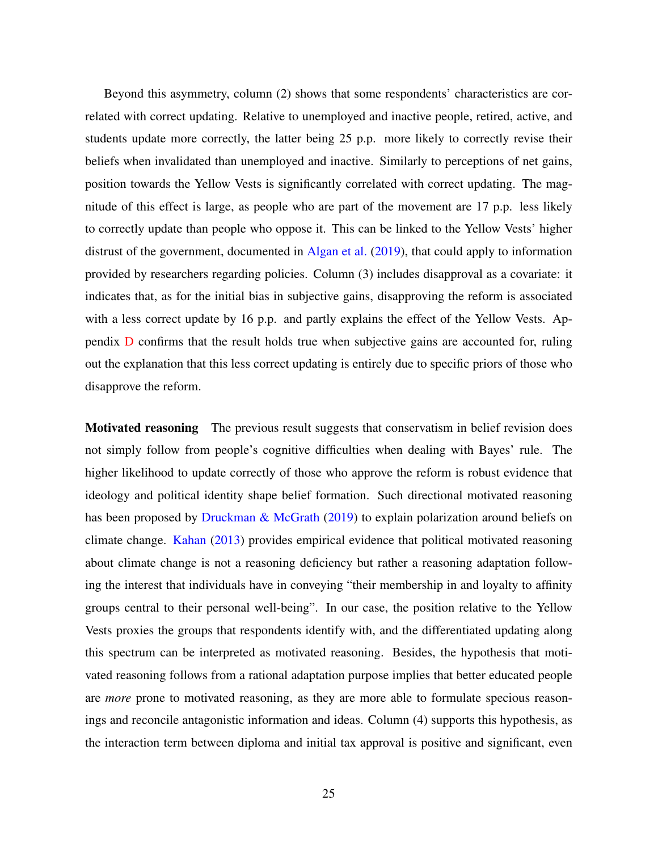Beyond this asymmetry, column (2) shows that some respondents' characteristics are correlated with correct updating. Relative to unemployed and inactive people, retired, active, and students update more correctly, the latter being 25 p.p. more likely to correctly revise their beliefs when invalidated than unemployed and inactive. Similarly to perceptions of net gains, position towards the Yellow Vests is significantly correlated with correct updating. The magnitude of this effect is large, as people who are part of the movement are 17 p.p. less likely to correctly update than people who oppose it. This can be linked to the Yellow Vests' higher distrust of the government, documented in [Algan et al.](#page-38-7) [\(2019\)](#page-38-7), that could apply to information provided by researchers regarding policies. Column (3) includes disapproval as a covariate: it indicates that, as for the initial bias in subjective gains, disapproving the reform is associated with a less correct update by 16 p.p. and partly explains the effect of the Yellow Vests. Appendix [D](#page-53-0) confirms that the result holds true when subjective gains are accounted for, ruling out the explanation that this less correct updating is entirely due to specific priors of those who disapprove the reform.

**Motivated reasoning** The previous result suggests that conservatism in belief revision does not simply follow from people's cognitive difficulties when dealing with Bayes' rule. The higher likelihood to update correctly of those who approve the reform is robust evidence that ideology and political identity shape belief formation. Such directional motivated reasoning has been proposed by [Druckman & McGrath](#page-40-1) [\(2019\)](#page-40-1) to explain polarization around beliefs on climate change. [Kahan](#page-41-5) [\(2013\)](#page-41-5) provides empirical evidence that political motivated reasoning about climate change is not a reasoning deficiency but rather a reasoning adaptation following the interest that individuals have in conveying "their membership in and loyalty to affinity groups central to their personal well-being". In our case, the position relative to the Yellow Vests proxies the groups that respondents identify with, and the differentiated updating along this spectrum can be interpreted as motivated reasoning. Besides, the hypothesis that motivated reasoning follows from a rational adaptation purpose implies that better educated people are *more* prone to motivated reasoning, as they are more able to formulate specious reasonings and reconcile antagonistic information and ideas. Column (4) supports this hypothesis, as the interaction term between diploma and initial tax approval is positive and significant, even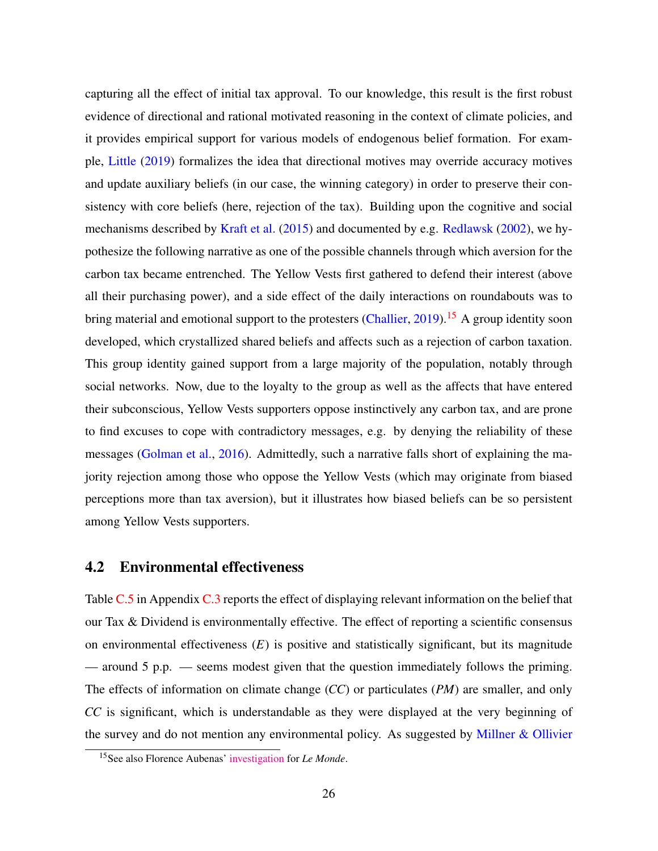capturing all the effect of initial tax approval. To our knowledge, this result is the first robust evidence of directional and rational motivated reasoning in the context of climate policies, and it provides empirical support for various models of endogenous belief formation. For example, [Little](#page-41-4) [\(2019\)](#page-41-4) formalizes the idea that directional motives may override accuracy motives and update auxiliary beliefs (in our case, the winning category) in order to preserve their consistency with core beliefs (here, rejection of the tax). Building upon the cognitive and social mechanisms described by [Kraft et al.](#page-41-9) [\(2015\)](#page-41-9) and documented by e.g. [Redlawsk](#page-42-3) [\(2002\)](#page-42-3), we hypothesize the following narrative as one of the possible channels through which aversion for the carbon tax became entrenched. The Yellow Vests first gathered to defend their interest (above all their purchasing power), and a side effect of the daily interactions on roundabouts was to bring material and emotional support to the protesters [\(Challier,](#page-39-11) [2019\)](#page-39-11).<sup>[15](#page-0-0)</sup> A group identity soon developed, which crystallized shared beliefs and affects such as a rejection of carbon taxation. This group identity gained support from a large majority of the population, notably through social networks. Now, due to the loyalty to the group as well as the affects that have entered their subconscious, Yellow Vests supporters oppose instinctively any carbon tax, and are prone to find excuses to cope with contradictory messages, e.g. by denying the reliability of these messages [\(Golman et al.,](#page-40-6) [2016\)](#page-40-6). Admittedly, such a narrative falls short of explaining the majority rejection among those who oppose the Yellow Vests (which may originate from biased perceptions more than tax aversion), but it illustrates how biased beliefs can be so persistent among Yellow Vests supporters.

#### <span id="page-25-0"></span>4.2 Environmental effectiveness

Table [C.5](#page-51-1) in Appendix [C.3](#page-51-0) reports the effect of displaying relevant information on the belief that our Tax & Dividend is environmentally effective. The effect of reporting a scientific consensus on environmental effectiveness (*E*) is positive and statistically significant, but its magnitude — around 5 p.p. — seems modest given that the question immediately follows the priming. The effects of information on climate change (*CC*) or particulates (*PM*) are smaller, and only *CC* is significant, which is understandable as they were displayed at the very beginning of the survey and do not mention any environmental policy. As suggested by [Millner & Ollivier](#page-41-1)

<sup>15</sup>See also Florence Aubenas' [investigation](https://www.lemonde.fr/societe/article/2018/12/15/sur-les-ronds-points-les-gilets-jaunes-a-la-croisee-des-chemins_5397928_3224.html) for *Le Monde*.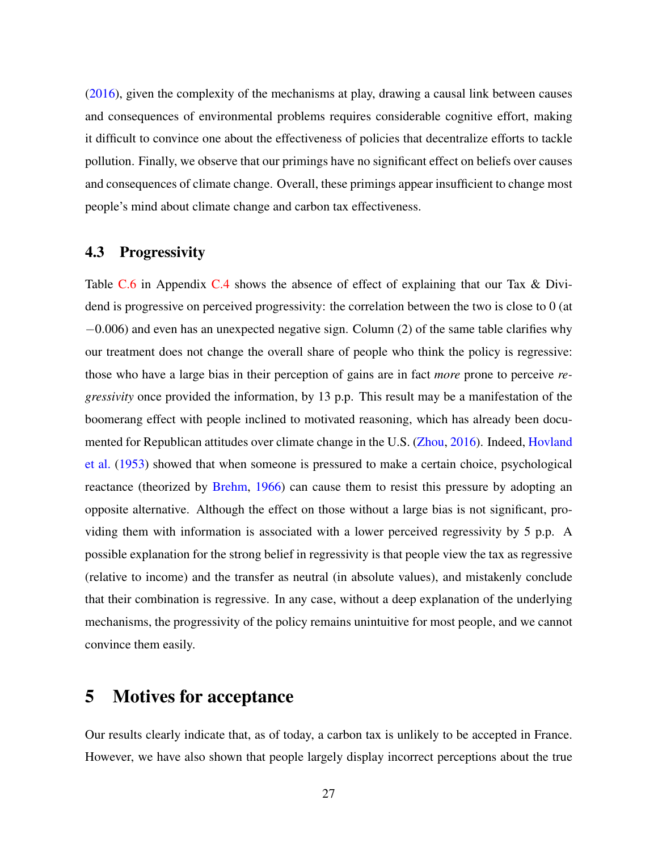[\(2016\)](#page-41-1), given the complexity of the mechanisms at play, drawing a causal link between causes and consequences of environmental problems requires considerable cognitive effort, making it difficult to convince one about the effectiveness of policies that decentralize efforts to tackle pollution. Finally, we observe that our primings have no significant effect on beliefs over causes and consequences of climate change. Overall, these primings appear insufficient to change most people's mind about climate change and carbon tax effectiveness.

### <span id="page-26-1"></span>4.3 Progressivity

Table [C.6](#page-52-0) in Appendix [C.4](#page-52-1) shows the absence of effect of explaining that our Tax & Dividend is progressive on perceived progressivity: the correlation between the two is close to 0 (at −0.006) and even has an unexpected negative sign. Column (2) of the same table clarifies why our treatment does not change the overall share of people who think the policy is regressive: those who have a large bias in their perception of gains are in fact *more* prone to perceive *regressivity* once provided the information, by 13 p.p. This result may be a manifestation of the boomerang effect with people inclined to motivated reasoning, which has already been documented for Republican attitudes over climate change in the U.S. [\(Zhou,](#page-43-5) [2016\)](#page-43-5). Indeed, [Hovland](#page-40-7) [et al.](#page-40-7) [\(1953\)](#page-40-7) showed that when someone is pressured to make a certain choice, psychological reactance (theorized by [Brehm,](#page-39-12) [1966\)](#page-39-12) can cause them to resist this pressure by adopting an opposite alternative. Although the effect on those without a large bias is not significant, providing them with information is associated with a lower perceived regressivity by 5 p.p. A possible explanation for the strong belief in regressivity is that people view the tax as regressive (relative to income) and the transfer as neutral (in absolute values), and mistakenly conclude that their combination is regressive. In any case, without a deep explanation of the underlying mechanisms, the progressivity of the policy remains unintuitive for most people, and we cannot convince them easily.

# <span id="page-26-0"></span>5 Motives for acceptance

Our results clearly indicate that, as of today, a carbon tax is unlikely to be accepted in France. However, we have also shown that people largely display incorrect perceptions about the true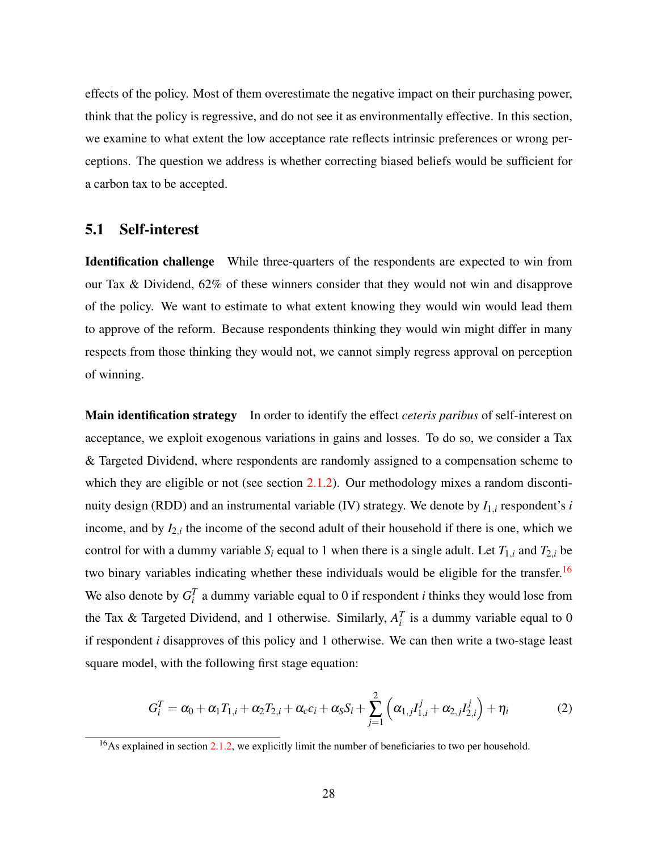effects of the policy. Most of them overestimate the negative impact on their purchasing power, think that the policy is regressive, and do not see it as environmentally effective. In this section, we examine to what extent the low acceptance rate reflects intrinsic preferences or wrong perceptions. The question we address is whether correcting biased beliefs would be sufficient for a carbon tax to be accepted.

#### 5.1 Self-interest

Identification challenge While three-quarters of the respondents are expected to win from our Tax & Dividend, 62% of these winners consider that they would not win and disapprove of the policy. We want to estimate to what extent knowing they would win would lead them to approve of the reform. Because respondents thinking they would win might differ in many respects from those thinking they would not, we cannot simply regress approval on perception of winning.

Main identification strategy In order to identify the effect *ceteris paribus* of self-interest on acceptance, we exploit exogenous variations in gains and losses. To do so, we consider a Tax & Targeted Dividend, where respondents are randomly assigned to a compensation scheme to which they are eligible or not (see section [2.1.2\)](#page-6-1). Our methodology mixes a random discontinuity design (RDD) and an instrumental variable (IV) strategy. We denote by *I*1,*<sup>i</sup>* respondent's *i* income, and by  $I_{2,i}$  the income of the second adult of their household if there is one, which we control for with a dummy variable  $S_i$  equal to 1 when there is a single adult. Let  $T_{1,i}$  and  $T_{2,i}$  be two binary variables indicating whether these individuals would be eligible for the transfer.<sup>[16](#page-0-0)</sup> We also denote by  $G_i^T$  a dummy variable equal to 0 if respondent *i* thinks they would lose from the Tax & Targeted Dividend, and 1 otherwise. Similarly,  $A_i^T$  is a dummy variable equal to 0 if respondent *i* disapproves of this policy and 1 otherwise. We can then write a two-stage least square model, with the following first stage equation:

$$
G_i^T = \alpha_0 + \alpha_1 T_{1,i} + \alpha_2 T_{2,i} + \alpha_c c_i + \alpha_s S_i + \sum_{j=1}^2 \left( \alpha_{1,j} I_{1,i}^j + \alpha_{2,j} I_{2,i}^j \right) + \eta_i
$$
 (2)

<sup>&</sup>lt;sup>16</sup>As explained in section [2.1.2,](#page-6-1) we explicitly limit the number of beneficiaries to two per household.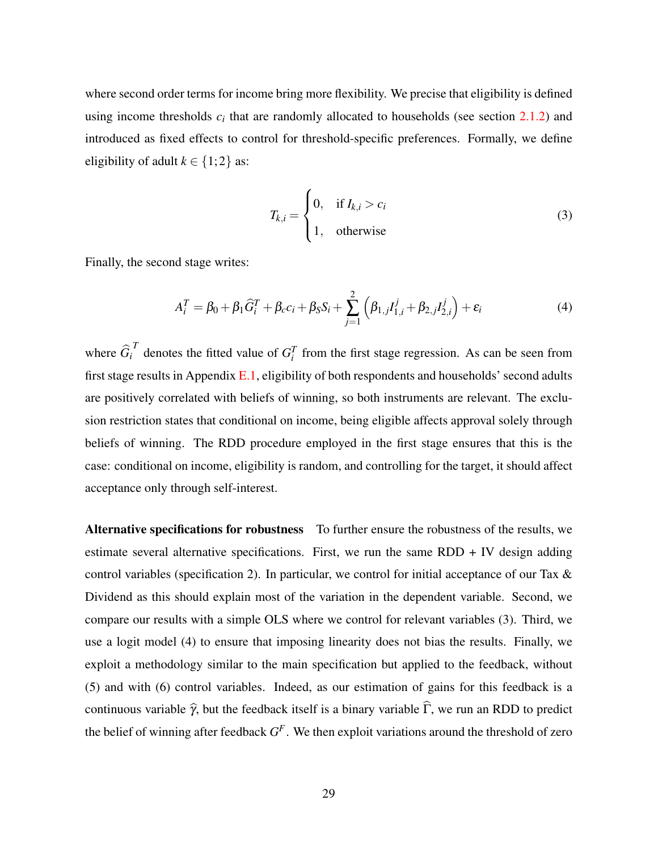where second order terms for income bring more flexibility. We precise that eligibility is defined using income thresholds  $c_i$  that are randomly allocated to households (see section  $2.1.2$ ) and introduced as fixed effects to control for threshold-specific preferences. Formally, we define eligibility of adult  $k \in \{1,2\}$  as:

$$
T_{k,i} = \begin{cases} 0, & \text{if } I_{k,i} > c_i \\ 1, & \text{otherwise} \end{cases}
$$
 (3)

Finally, the second stage writes:

$$
A_i^T = \beta_0 + \beta_1 \widehat{G}_i^T + \beta_c c_i + \beta_S S_i + \sum_{j=1}^2 \left( \beta_{1,j} I_{1,i}^j + \beta_{2,j} I_{2,i}^j \right) + \varepsilon_i
$$
\n(4)

where  $\hat{G}_i^T$  denotes the fitted value of  $G_i^T$  from the first stage regression. As can be seen from first stage results in Appendix [E.1,](#page-55-0) eligibility of both respondents and households' second adults are positively correlated with beliefs of winning, so both instruments are relevant. The exclusion restriction states that conditional on income, being eligible affects approval solely through beliefs of winning. The RDD procedure employed in the first stage ensures that this is the case: conditional on income, eligibility is random, and controlling for the target, it should affect acceptance only through self-interest.

Alternative specifications for robustness To further ensure the robustness of the results, we estimate several alternative specifications. First, we run the same  $RDD + IV$  design adding control variables (specification 2). In particular, we control for initial acceptance of our Tax & Dividend as this should explain most of the variation in the dependent variable. Second, we compare our results with a simple OLS where we control for relevant variables (3). Third, we use a logit model (4) to ensure that imposing linearity does not bias the results. Finally, we exploit a methodology similar to the main specification but applied to the feedback, without (5) and with (6) control variables. Indeed, as our estimation of gains for this feedback is a continuous variable  $\hat{\gamma}$ , but the feedback itself is a binary variable  $\hat{\Gamma}$ , we run an RDD to predict the belief of winning after feedback *G F* . We then exploit variations around the threshold of zero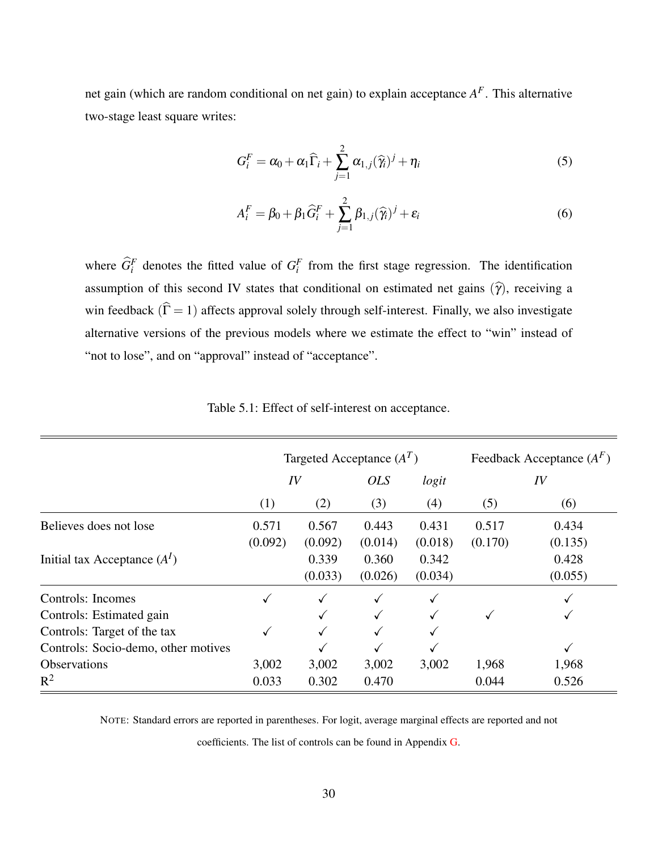net gain (which are random conditional on net gain) to explain acceptance *A F* . This alternative two-stage least square writes:

$$
G_i^F = \alpha_0 + \alpha_1 \widehat{\Gamma}_i + \sum_{j=1}^2 \alpha_{1,j} (\widehat{\gamma}_i)^j + \eta_i
$$
\n(5)

$$
A_i^F = \beta_0 + \beta_1 \widehat{G}_i^F + \sum_{j=1}^2 \beta_{1,j} (\widehat{\gamma}_i)^j + \varepsilon_i
$$
\n(6)

where  $\widehat{G}_i^F$  denotes the fitted value of  $G_i^F$  from the first stage regression. The identification assumption of this second IV states that conditional on estimated net gains  $(\hat{\gamma})$ , receiving a win feedback  $(\hat{\Gamma} = 1)$  affects approval solely through self-interest. Finally, we also investigate alternative versions of the previous models where we estimate the effect to "win" instead of "not to lose", and on "approval" instead of "acceptance".

<span id="page-29-0"></span>

|                                     |         | Targeted Acceptance $(A^T)$ | Feedback Acceptance $(A^F)$ |         |         |         |
|-------------------------------------|---------|-----------------------------|-----------------------------|---------|---------|---------|
|                                     |         | IV                          | <i>OLS</i>                  | logit   | IV      |         |
|                                     | (1)     | (2)                         | (3)                         | (4)     | (5)     | (6)     |
| Believes does not lose              | 0.571   | 0.567                       | 0.443                       | 0.431   | 0.517   | 0.434   |
|                                     | (0.092) | (0.092)                     | (0.014)                     | (0.018) | (0.170) | (0.135) |
| Initial tax Acceptance $(AI)$       |         | 0.339                       | 0.360                       | 0.342   |         | 0.428   |
|                                     |         | (0.033)                     | (0.026)                     | (0.034) |         | (0.055) |
| Controls: Incomes                   |         | ✓                           |                             |         |         |         |
| Controls: Estimated gain            |         |                             |                             |         | ✓       |         |
| Controls: Target of the tax         |         |                             |                             |         |         |         |
| Controls: Socio-demo, other motives |         |                             |                             |         |         | ✓       |
| <b>Observations</b>                 | 3,002   | 3,002                       | 3,002                       | 3,002   | 1,968   | 1,968   |
| $R^2$                               | 0.033   | 0.302                       | 0.470                       |         | 0.044   | 0.526   |

Table 5.1: Effect of self-interest on acceptance.

NOTE: Standard errors are reported in parentheses. For logit, average marginal effects are reported and not

coefficients. The list of controls can be found in Appendix [G.](#page-59-0)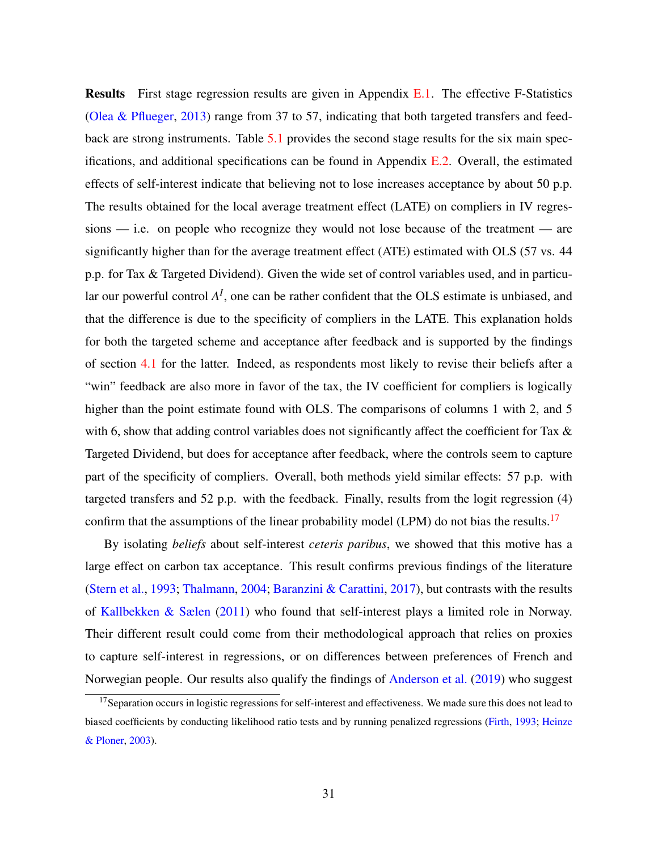Results First stage regression results are given in Appendix [E.1.](#page-55-0) The effective F-Statistics [\(Olea & Pflueger,](#page-42-7) [2013\)](#page-42-7) range from 37 to 57, indicating that both targeted transfers and feedback are strong instruments. Table [5.1](#page-29-0) provides the second stage results for the six main specifications, and additional specifications can be found in Appendix  $E.2$ . Overall, the estimated effects of self-interest indicate that believing not to lose increases acceptance by about 50 p.p. The results obtained for the local average treatment effect (LATE) on compliers in IV regressions — i.e. on people who recognize they would not lose because of the treatment — are significantly higher than for the average treatment effect (ATE) estimated with OLS (57 vs. 44 p.p. for Tax & Targeted Dividend). Given the wide set of control variables used, and in particular our powerful control  $A<sup>I</sup>$ , one can be rather confident that the OLS estimate is unbiased, and that the difference is due to the specificity of compliers in the LATE. This explanation holds for both the targeted scheme and acceptance after feedback and is supported by the findings of section [4.1](#page-20-1) for the latter. Indeed, as respondents most likely to revise their beliefs after a "win" feedback are also more in favor of the tax, the IV coefficient for compliers is logically higher than the point estimate found with OLS. The comparisons of columns 1 with 2, and 5 with 6, show that adding control variables does not significantly affect the coefficient for Tax & Targeted Dividend, but does for acceptance after feedback, where the controls seem to capture part of the specificity of compliers. Overall, both methods yield similar effects: 57 p.p. with targeted transfers and 52 p.p. with the feedback. Finally, results from the logit regression (4) confirm that the assumptions of the linear probability model (LPM) do not bias the results.<sup>[17](#page-0-0)</sup>

By isolating *beliefs* about self-interest *ceteris paribus*, we showed that this motive has a large effect on carbon tax acceptance. This result confirms previous findings of the literature [\(Stern et al.,](#page-42-0) [1993;](#page-42-0) [Thalmann,](#page-43-0) [2004;](#page-43-0) [Baranzini & Carattini,](#page-38-3) [2017\)](#page-38-3), but contrasts with the results of [Kallbekken & Sælen](#page-41-2) [\(2011\)](#page-41-2) who found that self-interest plays a limited role in Norway. Their different result could come from their methodological approach that relies on proxies to capture self-interest in regressions, or on differences between preferences of French and Norwegian people. Our results also qualify the findings of [Anderson et al.](#page-38-0) [\(2019\)](#page-38-0) who suggest

<sup>&</sup>lt;sup>17</sup>Separation occurs in logistic regressions for self-interest and effectiveness. We made sure this does not lead to biased coefficients by conducting likelihood ratio tests and by running penalized regressions [\(Firth,](#page-40-8) [1993;](#page-40-8) [Heinze](#page-40-9) [& Ploner,](#page-40-9) [2003\)](#page-40-9).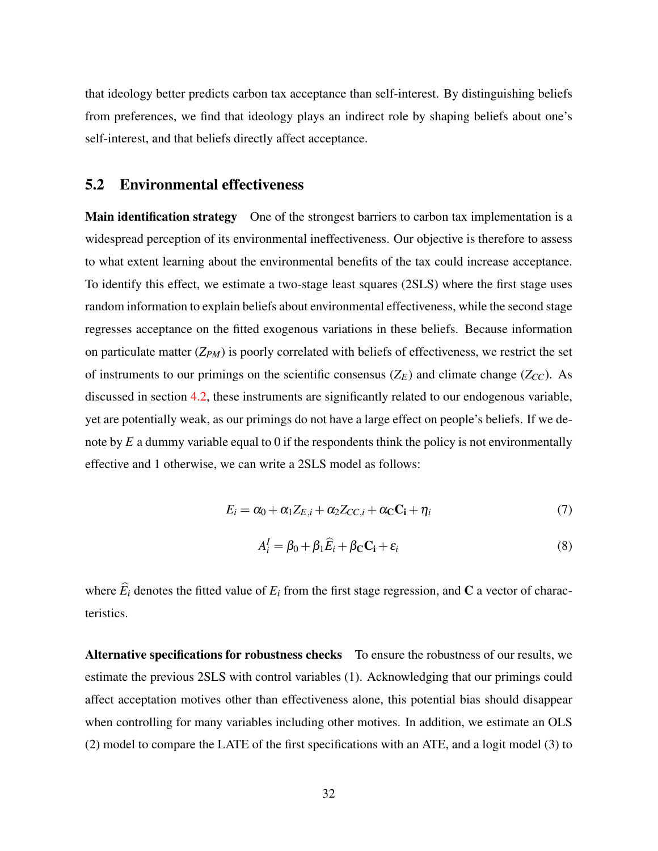that ideology better predicts carbon tax acceptance than self-interest. By distinguishing beliefs from preferences, we find that ideology plays an indirect role by shaping beliefs about one's self-interest, and that beliefs directly affect acceptance.

#### <span id="page-31-0"></span>5.2 Environmental effectiveness

Main identification strategy One of the strongest barriers to carbon tax implementation is a widespread perception of its environmental ineffectiveness. Our objective is therefore to assess to what extent learning about the environmental benefits of the tax could increase acceptance. To identify this effect, we estimate a two-stage least squares (2SLS) where the first stage uses random information to explain beliefs about environmental effectiveness, while the second stage regresses acceptance on the fitted exogenous variations in these beliefs. Because information on particulate matter (*ZPM*) is poorly correlated with beliefs of effectiveness, we restrict the set of instruments to our primings on the scientific consensus  $(Z_E)$  and climate change  $(Z_{CC})$ . As discussed in section [4.2,](#page-25-0) these instruments are significantly related to our endogenous variable, yet are potentially weak, as our primings do not have a large effect on people's beliefs. If we denote by *E* a dummy variable equal to 0 if the respondents think the policy is not environmentally effective and 1 otherwise, we can write a 2SLS model as follows:

$$
E_i = \alpha_0 + \alpha_1 Z_{E,i} + \alpha_2 Z_{CC,i} + \alpha_C C_i + \eta_i
$$
\n<sup>(7)</sup>

$$
A_i^I = \beta_0 + \beta_1 \widehat{E}_i + \beta_{\mathbf{C}} \mathbf{C_i} + \varepsilon_i
$$
 (8)

where  $\widehat{E}_i$  denotes the fitted value of  $E_i$  from the first stage regression, and **C** a vector of characteristics.

Alternative specifications for robustness checks To ensure the robustness of our results, we estimate the previous 2SLS with control variables (1). Acknowledging that our primings could affect acceptation motives other than effectiveness alone, this potential bias should disappear when controlling for many variables including other motives. In addition, we estimate an OLS (2) model to compare the LATE of the first specifications with an ATE, and a logit model (3) to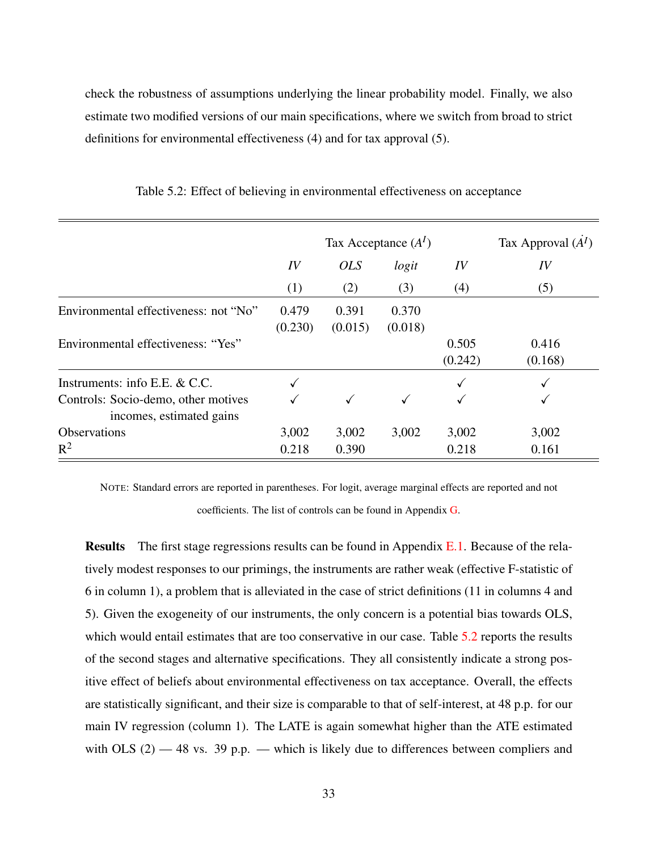check the robustness of assumptions underlying the linear probability model. Finally, we also estimate two modified versions of our main specifications, where we switch from broad to strict definitions for environmental effectiveness (4) and for tax approval (5).

|                                                                 |                  | Tax Acceptance $(A^I)$ | Tax Approval $(AI)$ |                  |                  |
|-----------------------------------------------------------------|------------------|------------------------|---------------------|------------------|------------------|
|                                                                 | IV               | <i>OLS</i>             | logit               | IV               | IV               |
|                                                                 | (1)              | (2)                    | (3)                 | (4)              | (5)              |
| Environmental effectiveness: not "No"                           | 0.479<br>(0.230) | 0.391<br>(0.015)       | 0.370<br>(0.018)    |                  |                  |
| Environmental effectiveness: "Yes"                              |                  |                        |                     | 0.505<br>(0.242) | 0.416<br>(0.168) |
| Instruments: info E.E. & C.C.                                   |                  |                        |                     |                  |                  |
| Controls: Socio-demo, other motives<br>incomes, estimated gains |                  |                        |                     |                  |                  |
| <b>Observations</b>                                             | 3,002            | 3,002                  | 3,002               | 3,002            | 3,002            |
| $R^2$                                                           | 0.218            | 0.390                  |                     | 0.218            | 0.161            |

<span id="page-32-0"></span>Table 5.2: Effect of believing in environmental effectiveness on acceptance

NOTE: Standard errors are reported in parentheses. For logit, average marginal effects are reported and not coefficients. The list of controls can be found in Appendix [G.](#page-59-0)

Results The first stage regressions results can be found in Appendix [E.1.](#page-55-0) Because of the relatively modest responses to our primings, the instruments are rather weak (effective F-statistic of 6 in column 1), a problem that is alleviated in the case of strict definitions (11 in columns 4 and 5). Given the exogeneity of our instruments, the only concern is a potential bias towards OLS, which would entail estimates that are too conservative in our case. Table [5.2](#page-32-0) reports the results of the second stages and alternative specifications. They all consistently indicate a strong positive effect of beliefs about environmental effectiveness on tax acceptance. Overall, the effects are statistically significant, and their size is comparable to that of self-interest, at 48 p.p. for our main IV regression (column 1). The LATE is again somewhat higher than the ATE estimated with OLS  $(2)$  -48 vs. 39 p.p. - which is likely due to differences between compliers and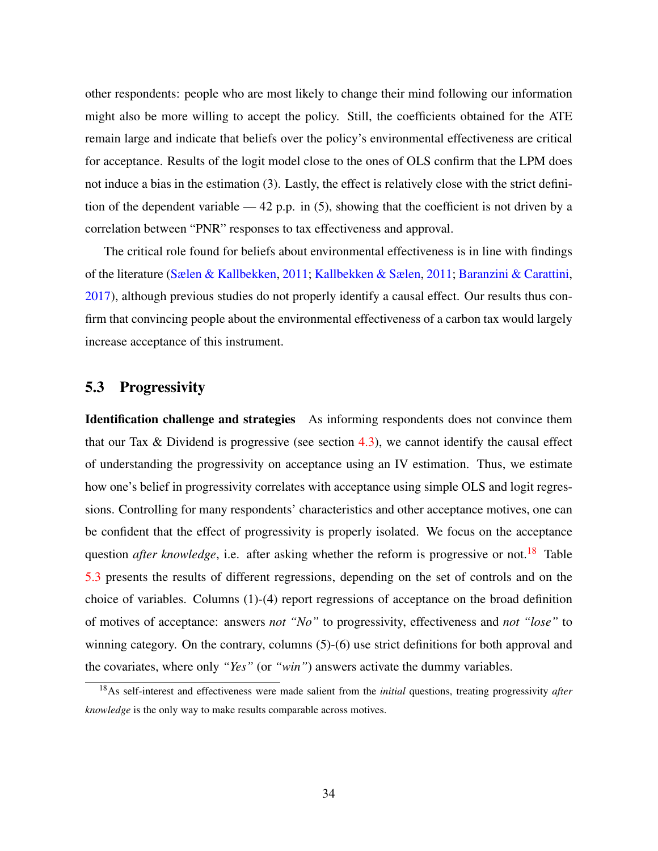other respondents: people who are most likely to change their mind following our information might also be more willing to accept the policy. Still, the coefficients obtained for the ATE remain large and indicate that beliefs over the policy's environmental effectiveness are critical for acceptance. Results of the logit model close to the ones of OLS confirm that the LPM does not induce a bias in the estimation (3). Lastly, the effect is relatively close with the strict definition of the dependent variable — 42 p.p. in (5), showing that the coefficient is not driven by a correlation between "PNR" responses to tax effectiveness and approval.

The critical role found for beliefs about environmental effectiveness is in line with findings of the literature [\(Sælen & Kallbekken,](#page-42-8) [2011;](#page-42-8) [Kallbekken & Sælen,](#page-41-2) [2011;](#page-41-2) [Baranzini & Carattini,](#page-38-3) [2017\)](#page-38-3), although previous studies do not properly identify a causal effect. Our results thus confirm that convincing people about the environmental effectiveness of a carbon tax would largely increase acceptance of this instrument.

#### 5.3 Progressivity

Identification challenge and strategies As informing respondents does not convince them that our Tax & Dividend is progressive (see section  $4.3$ ), we cannot identify the causal effect of understanding the progressivity on acceptance using an IV estimation. Thus, we estimate how one's belief in progressivity correlates with acceptance using simple OLS and logit regressions. Controlling for many respondents' characteristics and other acceptance motives, one can be confident that the effect of progressivity is properly isolated. We focus on the acceptance question *after knowledge*, i.e. after asking whether the reform is progressive or not.<sup>[18](#page-0-0)</sup> Table [5.3](#page-34-0) presents the results of different regressions, depending on the set of controls and on the choice of variables. Columns (1)-(4) report regressions of acceptance on the broad definition of motives of acceptance: answers *not "No"* to progressivity, effectiveness and *not "lose"* to winning category. On the contrary, columns  $(5)-(6)$  use strict definitions for both approval and the covariates, where only *"Yes"* (or *"win"*) answers activate the dummy variables.

<sup>18</sup>As self-interest and effectiveness were made salient from the *initial* questions, treating progressivity *after knowledge* is the only way to make results comparable across motives.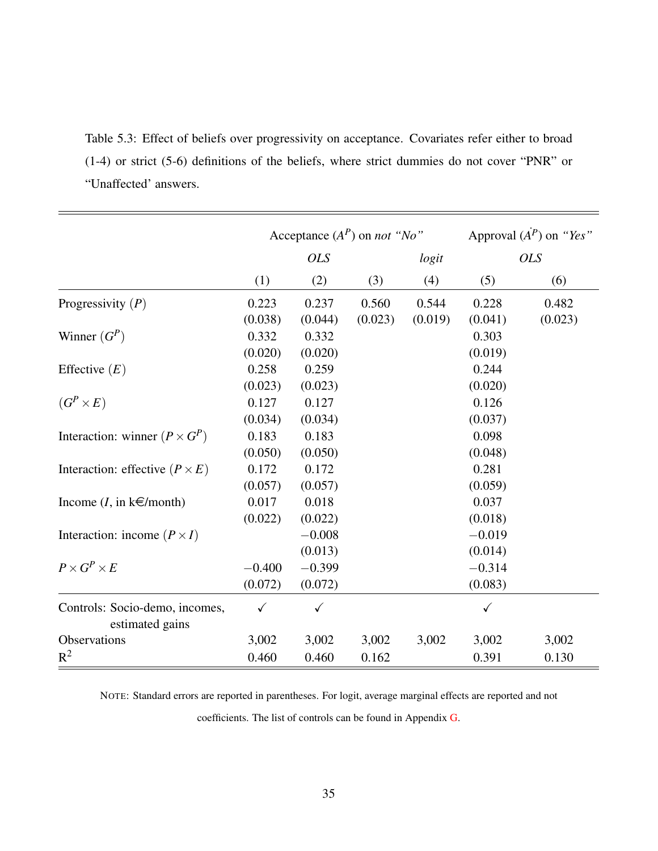<span id="page-34-0"></span>Table 5.3: Effect of beliefs over progressivity on acceptance. Covariates refer either to broad (1-4) or strict (5-6) definitions of the beliefs, where strict dummies do not cover "PNR" or "Unaffected' answers.

|                                                   | Acceptance $(A^P)$ on <i>not</i> "No" |              |         | Approval $(A^P)$ on "Yes" |              |            |
|---------------------------------------------------|---------------------------------------|--------------|---------|---------------------------|--------------|------------|
|                                                   |                                       | <b>OLS</b>   |         | logit                     |              | <b>OLS</b> |
|                                                   | (1)                                   | (2)          | (3)     | (4)                       | (5)          | (6)        |
| Progressivity $(P)$                               | 0.223                                 | 0.237        | 0.560   | 0.544                     | 0.228        | 0.482      |
|                                                   | (0.038)                               | (0.044)      | (0.023) | (0.019)                   | (0.041)      | (0.023)    |
| Winner $(G^P)$                                    | 0.332                                 | 0.332        |         |                           | 0.303        |            |
|                                                   | (0.020)                               | (0.020)      |         |                           | (0.019)      |            |
| Effective $(E)$                                   | 0.258                                 | 0.259        |         |                           | 0.244        |            |
|                                                   | (0.023)                               | (0.023)      |         |                           | (0.020)      |            |
| $(G^P\times E)$                                   | 0.127                                 | 0.127        |         |                           | 0.126        |            |
|                                                   | (0.034)                               | (0.034)      |         |                           | (0.037)      |            |
| Interaction: winner $(P \times G^P)$              | 0.183                                 | 0.183        |         |                           | 0.098        |            |
|                                                   | (0.050)                               | (0.050)      |         |                           | (0.048)      |            |
| Interaction: effective $(P \times E)$             | 0.172                                 | 0.172        |         |                           | 0.281        |            |
|                                                   | (0.057)                               | (0.057)      |         |                           | (0.059)      |            |
| Income $(I, \text{in } k \in \text{/month})$      | 0.017                                 | 0.018        |         |                           | 0.037        |            |
|                                                   | (0.022)                               | (0.022)      |         |                           | (0.018)      |            |
| Interaction: income $(P \times I)$                |                                       | $-0.008$     |         |                           | $-0.019$     |            |
|                                                   |                                       | (0.013)      |         |                           | (0.014)      |            |
| $P\times G^P\times E$                             | $-0.400$                              | $-0.399$     |         |                           | $-0.314$     |            |
|                                                   | (0.072)                               | (0.072)      |         |                           | (0.083)      |            |
| Controls: Socio-demo, incomes,<br>estimated gains | $\checkmark$                          | $\checkmark$ |         |                           | $\checkmark$ |            |
| Observations                                      | 3,002                                 | 3,002        | 3,002   | 3,002                     | 3,002        | 3,002      |
| $R^2$                                             | 0.460                                 | 0.460        | 0.162   |                           | 0.391        | 0.130      |

NOTE: Standard errors are reported in parentheses. For logit, average marginal effects are reported and not

coefficients. The list of controls can be found in Appendix [G.](#page-59-0)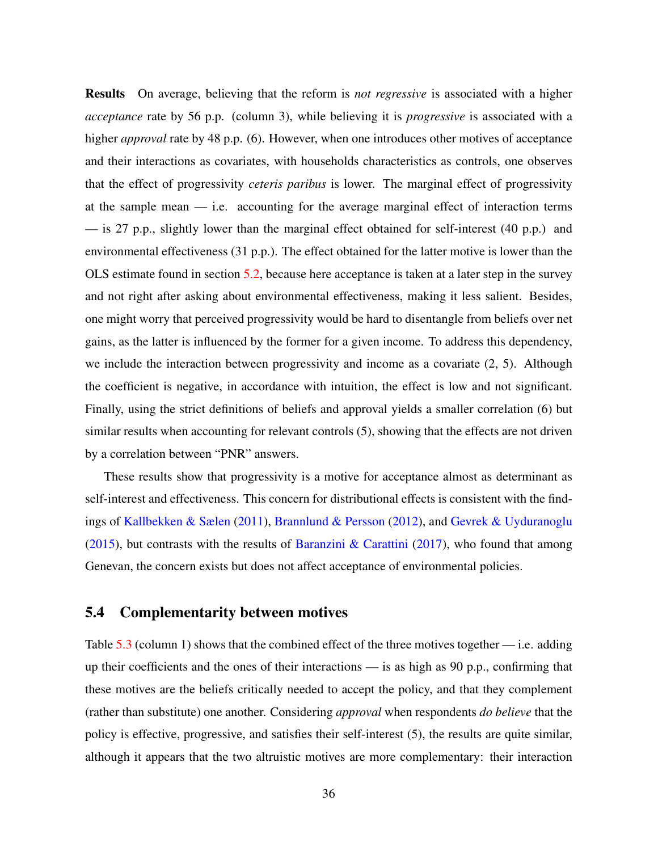Results On average, believing that the reform is *not regressive* is associated with a higher *acceptance* rate by 56 p.p. (column 3), while believing it is *progressive* is associated with a higher *approval* rate by 48 p.p. (6). However, when one introduces other motives of acceptance and their interactions as covariates, with households characteristics as controls, one observes that the effect of progressivity *ceteris paribus* is lower. The marginal effect of progressivity at the sample mean — i.e. accounting for the average marginal effect of interaction terms  $\sim$  is 27 p.p., slightly lower than the marginal effect obtained for self-interest (40 p.p.) and environmental effectiveness (31 p.p.). The effect obtained for the latter motive is lower than the OLS estimate found in section [5.2,](#page-31-0) because here acceptance is taken at a later step in the survey and not right after asking about environmental effectiveness, making it less salient. Besides, one might worry that perceived progressivity would be hard to disentangle from beliefs over net gains, as the latter is influenced by the former for a given income. To address this dependency, we include the interaction between progressivity and income as a covariate (2, 5). Although the coefficient is negative, in accordance with intuition, the effect is low and not significant. Finally, using the strict definitions of beliefs and approval yields a smaller correlation (6) but similar results when accounting for relevant controls (5), showing that the effects are not driven by a correlation between "PNR" answers.

These results show that progressivity is a motive for acceptance almost as determinant as self-interest and effectiveness. This concern for distributional effects is consistent with the findings of [Kallbekken & Sælen](#page-41-2) [\(2011\)](#page-41-2), [Brannlund & Persson](#page-38-2) [\(2012\)](#page-38-2), and [Gevrek & Uyduranoglu](#page-40-2) [\(2015\)](#page-40-2), but contrasts with the results of [Baranzini & Carattini](#page-38-3) [\(2017\)](#page-38-3), who found that among Genevan, the concern exists but does not affect acceptance of environmental policies.

#### 5.4 Complementarity between motives

Table  $5.3$  (column 1) shows that the combined effect of the three motives together — i.e. adding up their coefficients and the ones of their interactions — is as high as 90 p.p., confirming that these motives are the beliefs critically needed to accept the policy, and that they complement (rather than substitute) one another. Considering *approval* when respondents *do believe* that the policy is effective, progressive, and satisfies their self-interest (5), the results are quite similar, although it appears that the two altruistic motives are more complementary: their interaction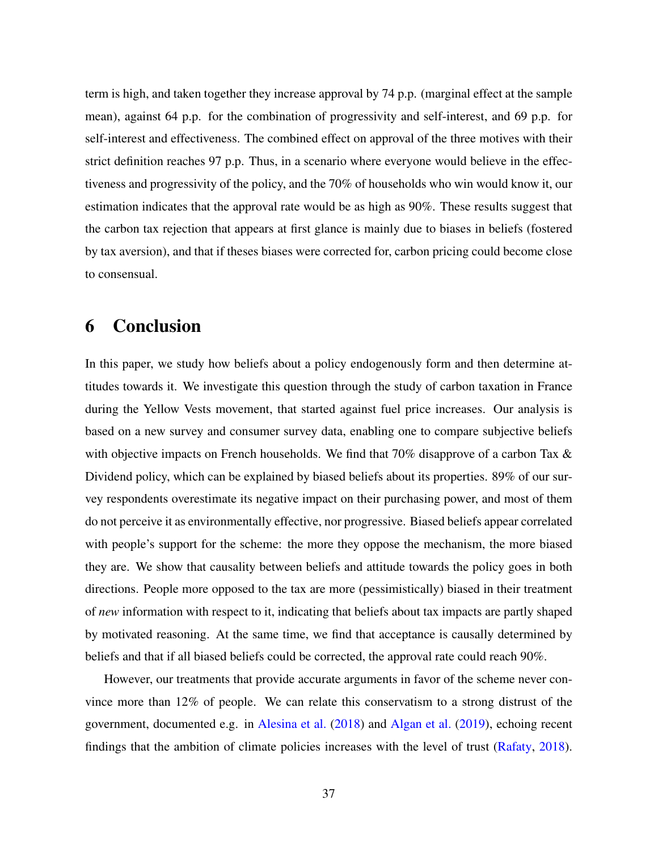term is high, and taken together they increase approval by 74 p.p. (marginal effect at the sample mean), against 64 p.p. for the combination of progressivity and self-interest, and 69 p.p. for self-interest and effectiveness. The combined effect on approval of the three motives with their strict definition reaches 97 p.p. Thus, in a scenario where everyone would believe in the effectiveness and progressivity of the policy, and the 70% of households who win would know it, our estimation indicates that the approval rate would be as high as 90%. These results suggest that the carbon tax rejection that appears at first glance is mainly due to biases in beliefs (fostered by tax aversion), and that if theses biases were corrected for, carbon pricing could become close to consensual.

# <span id="page-36-0"></span>6 Conclusion

In this paper, we study how beliefs about a policy endogenously form and then determine attitudes towards it. We investigate this question through the study of carbon taxation in France during the Yellow Vests movement, that started against fuel price increases. Our analysis is based on a new survey and consumer survey data, enabling one to compare subjective beliefs with objective impacts on French households. We find that 70% disapprove of a carbon Tax & Dividend policy, which can be explained by biased beliefs about its properties. 89% of our survey respondents overestimate its negative impact on their purchasing power, and most of them do not perceive it as environmentally effective, nor progressive. Biased beliefs appear correlated with people's support for the scheme: the more they oppose the mechanism, the more biased they are. We show that causality between beliefs and attitude towards the policy goes in both directions. People more opposed to the tax are more (pessimistically) biased in their treatment of *new* information with respect to it, indicating that beliefs about tax impacts are partly shaped by motivated reasoning. At the same time, we find that acceptance is causally determined by beliefs and that if all biased beliefs could be corrected, the approval rate could reach 90%.

However, our treatments that provide accurate arguments in favor of the scheme never convince more than 12% of people. We can relate this conservatism to a strong distrust of the government, documented e.g. in [Alesina et al.](#page-38-8) [\(2018\)](#page-38-8) and [Algan et al.](#page-38-7) [\(2019\)](#page-38-7), echoing recent findings that the ambition of climate policies increases with the level of trust [\(Rafaty,](#page-42-9) [2018\)](#page-42-9).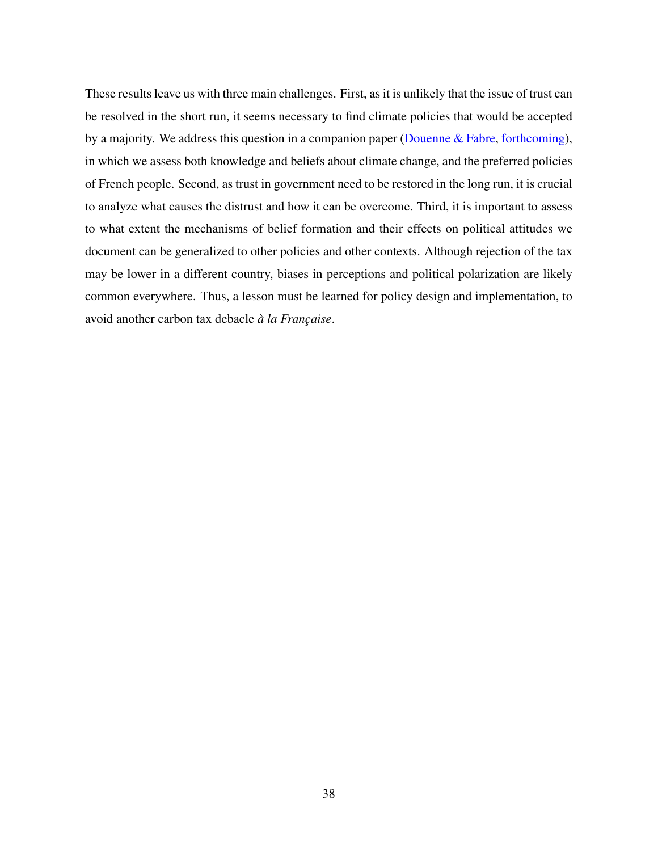These results leave us with three main challenges. First, as it is unlikely that the issue of trust can be resolved in the short run, it seems necessary to find climate policies that would be accepted by a majority. We address this question in a companion paper [\(Douenne & Fabre,](#page-39-4) [forthcoming\)](#page-39-4), in which we assess both knowledge and beliefs about climate change, and the preferred policies of French people. Second, as trust in government need to be restored in the long run, it is crucial to analyze what causes the distrust and how it can be overcome. Third, it is important to assess to what extent the mechanisms of belief formation and their effects on political attitudes we document can be generalized to other policies and other contexts. Although rejection of the tax may be lower in a different country, biases in perceptions and political polarization are likely common everywhere. Thus, a lesson must be learned for policy design and implementation, to avoid another carbon tax debacle *à la Française*.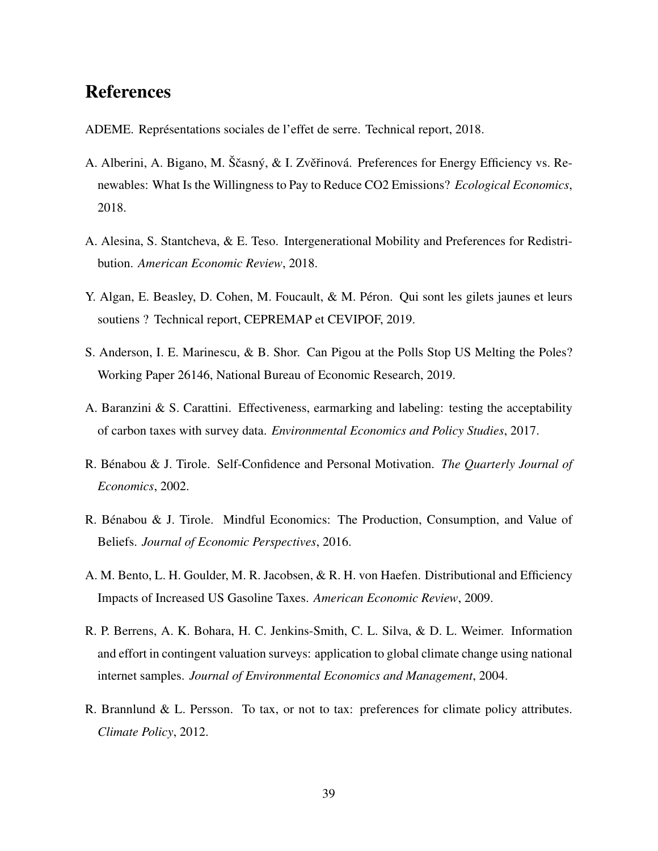# References

- <span id="page-38-1"></span>ADEME. Représentations sociales de l'effet de serre. Technical report, 2018.
- <span id="page-38-10"></span>A. Alberini, A. Bigano, M. Ščasný, & I. Zvěřinová. Preferences for Energy Efficiency vs. Renewables: What Is the Willingness to Pay to Reduce CO2 Emissions? *Ecological Economics*, 2018.
- <span id="page-38-8"></span>A. Alesina, S. Stantcheva, & E. Teso. Intergenerational Mobility and Preferences for Redistribution. *American Economic Review*, 2018.
- <span id="page-38-7"></span>Y. Algan, E. Beasley, D. Cohen, M. Foucault, & M. Péron. Qui sont les gilets jaunes et leurs soutiens ? Technical report, CEPREMAP et CEVIPOF, 2019.
- <span id="page-38-0"></span>S. Anderson, I. E. Marinescu, & B. Shor. Can Pigou at the Polls Stop US Melting the Poles? Working Paper 26146, National Bureau of Economic Research, 2019.
- <span id="page-38-3"></span>A. Baranzini & S. Carattini. Effectiveness, earmarking and labeling: testing the acceptability of carbon taxes with survey data. *Environmental Economics and Policy Studies*, 2017.
- <span id="page-38-4"></span>R. Bénabou & J. Tirole. Self-Confidence and Personal Motivation. *The Quarterly Journal of Economics*, 2002.
- <span id="page-38-5"></span>R. Bénabou & J. Tirole. Mindful Economics: The Production, Consumption, and Value of Beliefs. *Journal of Economic Perspectives*, 2016.
- <span id="page-38-6"></span>A. M. Bento, L. H. Goulder, M. R. Jacobsen, & R. H. von Haefen. Distributional and Efficiency Impacts of Increased US Gasoline Taxes. *American Economic Review*, 2009.
- <span id="page-38-9"></span>R. P. Berrens, A. K. Bohara, H. C. Jenkins-Smith, C. L. Silva, & D. L. Weimer. Information and effort in contingent valuation surveys: application to global climate change using national internet samples. *Journal of Environmental Economics and Management*, 2004.
- <span id="page-38-2"></span>R. Brannlund & L. Persson. To tax, or not to tax: preferences for climate policy attributes. *Climate Policy*, 2012.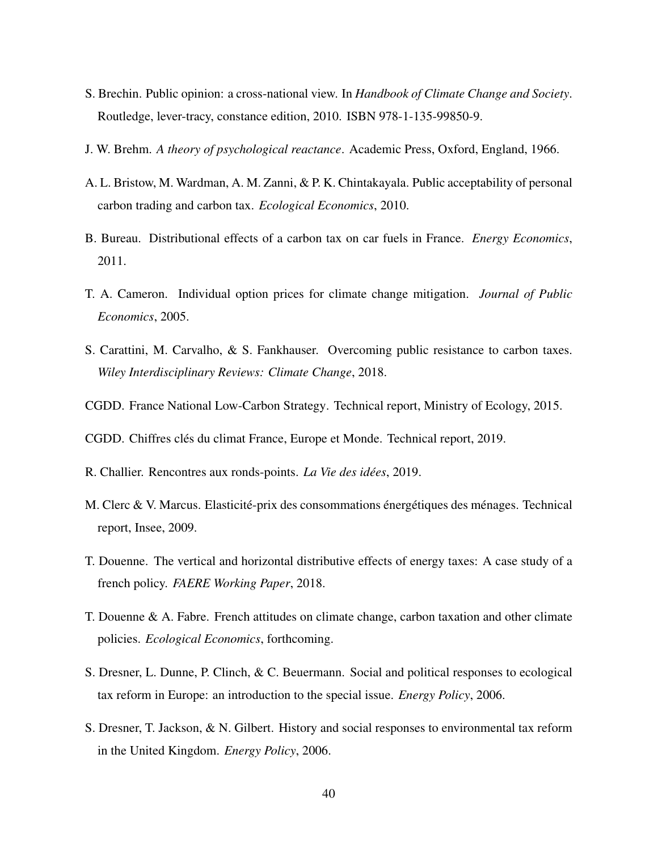- <span id="page-39-1"></span>S. Brechin. Public opinion: a cross-national view. In *Handbook of Climate Change and Society*. Routledge, lever-tracy, constance edition, 2010. ISBN 978-1-135-99850-9.
- <span id="page-39-12"></span>J. W. Brehm. *A theory of psychological reactance*. Academic Press, Oxford, England, 1966.
- <span id="page-39-2"></span>A. L. Bristow, M. Wardman, A. M. Zanni, & P. K. Chintakayala. Public acceptability of personal carbon trading and carbon tax. *Ecological Economics*, 2010.
- <span id="page-39-7"></span>B. Bureau. Distributional effects of a carbon tax on car fuels in France. *Energy Economics*, 2011.
- <span id="page-39-13"></span>T. A. Cameron. Individual option prices for climate change mitigation. *Journal of Public Economics*, 2005.
- <span id="page-39-0"></span>S. Carattini, M. Carvalho, & S. Fankhauser. Overcoming public resistance to carbon taxes. *Wiley Interdisciplinary Reviews: Climate Change*, 2018.
- <span id="page-39-10"></span>CGDD. France National Low-Carbon Strategy. Technical report, Ministry of Ecology, 2015.
- <span id="page-39-9"></span>CGDD. Chiffres clés du climat France, Europe et Monde. Technical report, 2019.
- <span id="page-39-11"></span>R. Challier. Rencontres aux ronds-points. *La Vie des idées*, 2019.
- <span id="page-39-6"></span>M. Clerc & V. Marcus. Elasticité-prix des consommations énergétiques des ménages. Technical report, Insee, 2009.
- <span id="page-39-5"></span>T. Douenne. The vertical and horizontal distributive effects of energy taxes: A case study of a french policy. *FAERE Working Paper*, 2018.
- <span id="page-39-4"></span>T. Douenne & A. Fabre. French attitudes on climate change, carbon taxation and other climate policies. *Ecological Economics*, forthcoming.
- <span id="page-39-8"></span>S. Dresner, L. Dunne, P. Clinch, & C. Beuermann. Social and political responses to ecological tax reform in Europe: an introduction to the special issue. *Energy Policy*, 2006.
- <span id="page-39-3"></span>S. Dresner, T. Jackson, & N. Gilbert. History and social responses to environmental tax reform in the United Kingdom. *Energy Policy*, 2006.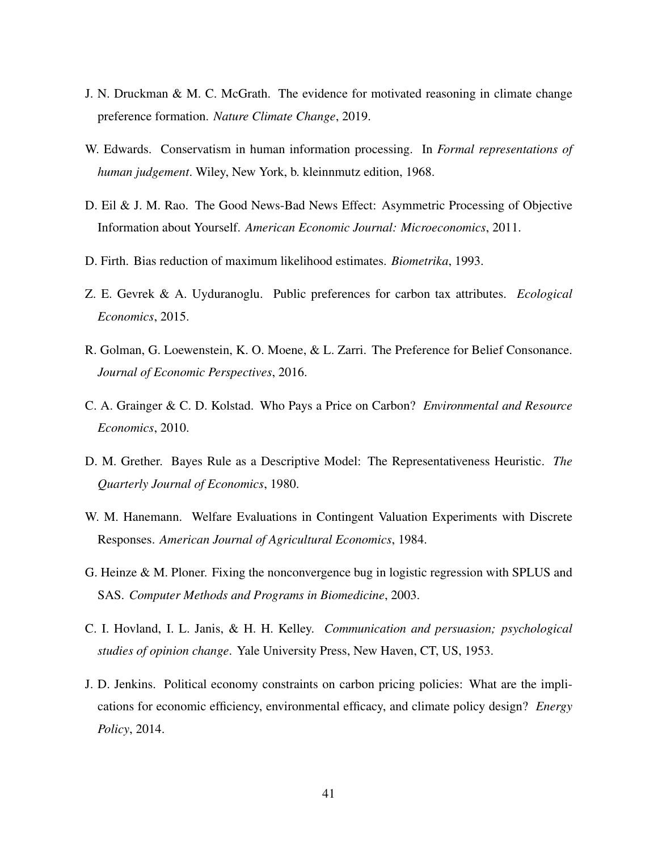- <span id="page-40-1"></span>J. N. Druckman & M. C. McGrath. The evidence for motivated reasoning in climate change preference formation. *Nature Climate Change*, 2019.
- <span id="page-40-4"></span>W. Edwards. Conservatism in human information processing. In *Formal representations of human judgement*. Wiley, New York, b. kleinnmutz edition, 1968.
- <span id="page-40-0"></span>D. Eil & J. M. Rao. The Good News-Bad News Effect: Asymmetric Processing of Objective Information about Yourself. *American Economic Journal: Microeconomics*, 2011.
- <span id="page-40-8"></span>D. Firth. Bias reduction of maximum likelihood estimates. *Biometrika*, 1993.
- <span id="page-40-2"></span>Z. E. Gevrek & A. Uyduranoglu. Public preferences for carbon tax attributes. *Ecological Economics*, 2015.
- <span id="page-40-6"></span>R. Golman, G. Loewenstein, K. O. Moene, & L. Zarri. The Preference for Belief Consonance. *Journal of Economic Perspectives*, 2016.
- <span id="page-40-3"></span>C. A. Grainger & C. D. Kolstad. Who Pays a Price on Carbon? *Environmental and Resource Economics*, 2010.
- <span id="page-40-5"></span>D. M. Grether. Bayes Rule as a Descriptive Model: The Representativeness Heuristic. *The Quarterly Journal of Economics*, 1980.
- <span id="page-40-10"></span>W. M. Hanemann. Welfare Evaluations in Contingent Valuation Experiments with Discrete Responses. *American Journal of Agricultural Economics*, 1984.
- <span id="page-40-9"></span>G. Heinze & M. Ploner. Fixing the nonconvergence bug in logistic regression with SPLUS and SAS. *Computer Methods and Programs in Biomedicine*, 2003.
- <span id="page-40-7"></span>C. I. Hovland, I. L. Janis, & H. H. Kelley. *Communication and persuasion; psychological studies of opinion change*. Yale University Press, New Haven, CT, US, 1953.
- <span id="page-40-11"></span>J. D. Jenkins. Political economy constraints on carbon pricing policies: What are the implications for economic efficiency, environmental efficacy, and climate policy design? *Energy Policy*, 2014.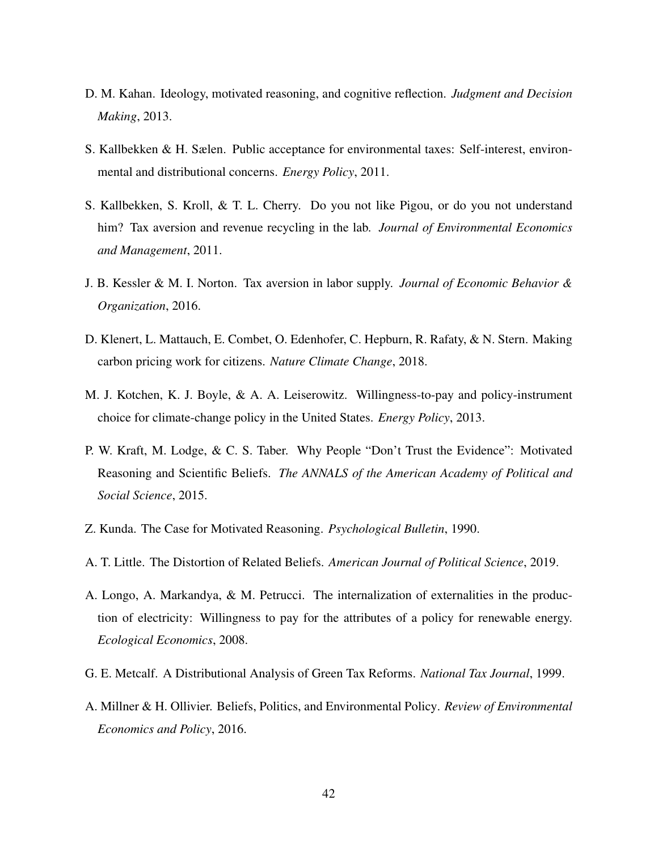- <span id="page-41-5"></span>D. M. Kahan. Ideology, motivated reasoning, and cognitive reflection. *Judgment and Decision Making*, 2013.
- <span id="page-41-2"></span>S. Kallbekken & H. Sælen. Public acceptance for environmental taxes: Self-interest, environmental and distributional concerns. *Energy Policy*, 2011.
- <span id="page-41-6"></span>S. Kallbekken, S. Kroll, & T. L. Cherry. Do you not like Pigou, or do you not understand him? Tax aversion and revenue recycling in the lab. *Journal of Environmental Economics and Management*, 2011.
- <span id="page-41-7"></span>J. B. Kessler & M. I. Norton. Tax aversion in labor supply. *Journal of Economic Behavior & Organization*, 2016.
- <span id="page-41-0"></span>D. Klenert, L. Mattauch, E. Combet, O. Edenhofer, C. Hepburn, R. Rafaty, & N. Stern. Making carbon pricing work for citizens. *Nature Climate Change*, 2018.
- <span id="page-41-10"></span>M. J. Kotchen, K. J. Boyle, & A. A. Leiserowitz. Willingness-to-pay and policy-instrument choice for climate-change policy in the United States. *Energy Policy*, 2013.
- <span id="page-41-9"></span>P. W. Kraft, M. Lodge, & C. S. Taber. Why People "Don't Trust the Evidence": Motivated Reasoning and Scientific Beliefs. *The ANNALS of the American Academy of Political and Social Science*, 2015.
- <span id="page-41-3"></span>Z. Kunda. The Case for Motivated Reasoning. *Psychological Bulletin*, 1990.
- <span id="page-41-4"></span>A. T. Little. The Distortion of Related Beliefs. *American Journal of Political Science*, 2019.
- <span id="page-41-11"></span>A. Longo, A. Markandya, & M. Petrucci. The internalization of externalities in the production of electricity: Willingness to pay for the attributes of a policy for renewable energy. *Ecological Economics*, 2008.
- <span id="page-41-8"></span>G. E. Metcalf. A Distributional Analysis of Green Tax Reforms. *National Tax Journal*, 1999.
- <span id="page-41-1"></span>A. Millner & H. Ollivier. Beliefs, Politics, and Environmental Policy. *Review of Environmental Economics and Policy*, 2016.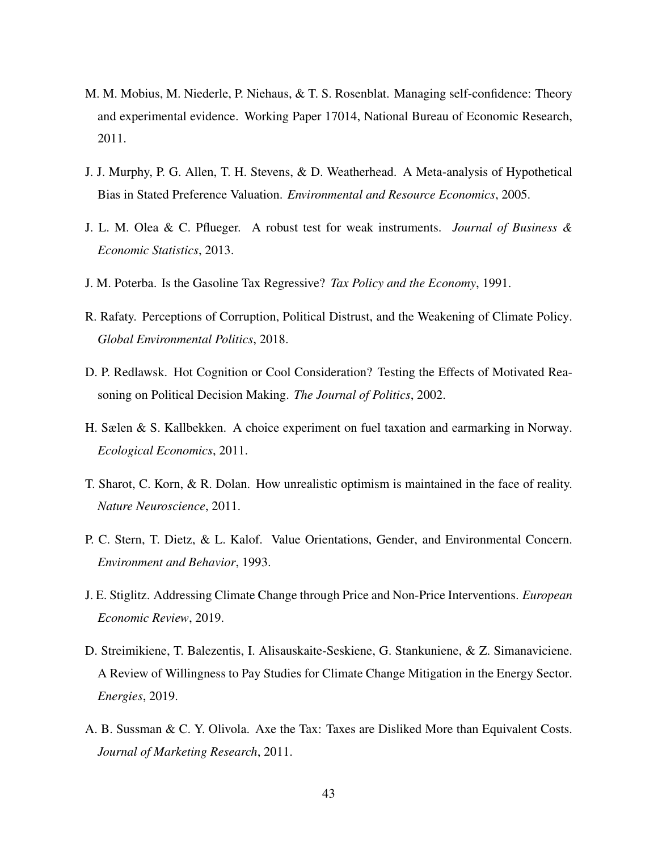- <span id="page-42-1"></span>M. M. Mobius, M. Niederle, P. Niehaus, & T. S. Rosenblat. Managing self-confidence: Theory and experimental evidence. Working Paper 17014, National Bureau of Economic Research, 2011.
- <span id="page-42-10"></span>J. J. Murphy, P. G. Allen, T. H. Stevens, & D. Weatherhead. A Meta-analysis of Hypothetical Bias in Stated Preference Valuation. *Environmental and Resource Economics*, 2005.
- <span id="page-42-7"></span>J. L. M. Olea & C. Pflueger. A robust test for weak instruments. *Journal of Business & Economic Statistics*, 2013.
- <span id="page-42-5"></span>J. M. Poterba. Is the Gasoline Tax Regressive? *Tax Policy and the Economy*, 1991.
- <span id="page-42-9"></span>R. Rafaty. Perceptions of Corruption, Political Distrust, and the Weakening of Climate Policy. *Global Environmental Politics*, 2018.
- <span id="page-42-3"></span>D. P. Redlawsk. Hot Cognition or Cool Consideration? Testing the Effects of Motivated Reasoning on Political Decision Making. *The Journal of Politics*, 2002.
- <span id="page-42-8"></span>H. Sælen & S. Kallbekken. A choice experiment on fuel taxation and earmarking in Norway. *Ecological Economics*, 2011.
- <span id="page-42-2"></span>T. Sharot, C. Korn, & R. Dolan. How unrealistic optimism is maintained in the face of reality. *Nature Neuroscience*, 2011.
- <span id="page-42-0"></span>P. C. Stern, T. Dietz, & L. Kalof. Value Orientations, Gender, and Environmental Concern. *Environment and Behavior*, 1993.
- <span id="page-42-6"></span>J. E. Stiglitz. Addressing Climate Change through Price and Non-Price Interventions. *European Economic Review*, 2019.
- <span id="page-42-11"></span>D. Streimikiene, T. Balezentis, I. Alisauskaite-Seskiene, G. Stankuniene, & Z. Simanaviciene. A Review of Willingness to Pay Studies for Climate Change Mitigation in the Energy Sector. *Energies*, 2019.
- <span id="page-42-4"></span>A. B. Sussman & C. Y. Olivola. Axe the Tax: Taxes are Disliked More than Equivalent Costs. *Journal of Marketing Research*, 2011.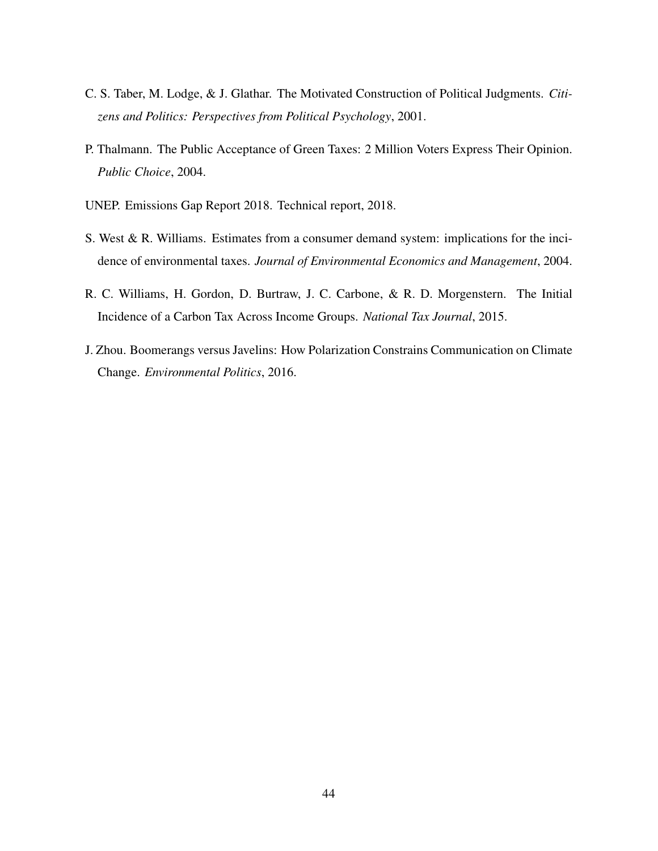- <span id="page-43-1"></span>C. S. Taber, M. Lodge, & J. Glathar. The Motivated Construction of Political Judgments. *Citizens and Politics: Perspectives from Political Psychology*, 2001.
- <span id="page-43-0"></span>P. Thalmann. The Public Acceptance of Green Taxes: 2 Million Voters Express Their Opinion. *Public Choice*, 2004.
- <span id="page-43-4"></span>UNEP. Emissions Gap Report 2018. Technical report, 2018.
- <span id="page-43-2"></span>S. West & R. Williams. Estimates from a consumer demand system: implications for the incidence of environmental taxes. *Journal of Environmental Economics and Management*, 2004.
- <span id="page-43-3"></span>R. C. Williams, H. Gordon, D. Burtraw, J. C. Carbone, & R. D. Morgenstern. The Initial Incidence of a Carbon Tax Across Income Groups. *National Tax Journal*, 2015.
- <span id="page-43-5"></span>J. Zhou. Boomerangs versus Javelins: How Polarization Constrains Communication on Climate Change. *Environmental Politics*, 2016.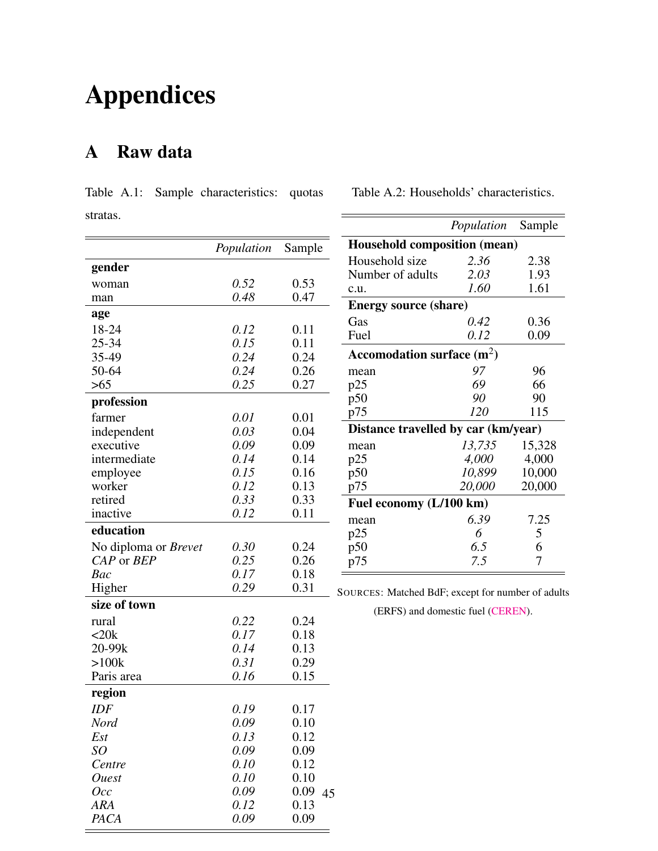# Appendices

# <span id="page-44-1"></span>A Raw data

 $=$ 

<span id="page-44-0"></span>

|          |  | Table A.1: Sample characteristics: quotas |  |
|----------|--|-------------------------------------------|--|
| stratas. |  |                                           |  |

<span id="page-44-2"></span>Table A.2: Households' characteristics.

 $=$ 

|                             | Population   | Sample       | Household co            |
|-----------------------------|--------------|--------------|-------------------------|
| gender                      |              |              | Household siz           |
| woman                       | 0.52         | 0.53         | Number of ad            |
| man                         | 0.48         | 0.47         | c.u.                    |
| age                         |              |              | <b>Energy source</b>    |
| 18-24                       | 0.12         | 0.11         | Gas                     |
| 25-34                       | 0.15         | 0.11         | Fuel                    |
| 35-49                       | 0.24         | 0.24         | Accomodation            |
| 50-64                       | 0.24         | 0.26         | mean                    |
| >65                         | 0.25         | 0.27         | p25                     |
| profession                  |              |              | p50                     |
|                             |              |              | p75                     |
| farmer                      | 0.01<br>0.03 | 0.01<br>0.04 | <b>Distance trave</b>   |
| independent<br>executive    | 0.09         | 0.09         |                         |
| intermediate                | 0.14         | 0.14         | mean<br>p25             |
| employee                    | 0.15         | 0.16         | p50                     |
| worker                      | 0.12         | 0.13         | p75                     |
| retired                     | 0.33         | 0.33         |                         |
| inactive                    | 0.12         | 0.11         | <b>Fuel economy</b>     |
| education                   |              |              | mean                    |
| No diploma or <i>Brevet</i> | 0.30         | 0.24         | p25<br>p50              |
| CAP or BEP                  | 0.25         | 0.26         | p75                     |
| Bac                         | 0.17         | 0.18         |                         |
| Higher                      | 0.29         | 0.31         |                         |
| size of town                |              |              | <b>SOURCES: Matched</b> |
| rural                       | 0.22         | 0.24         | (ERFS) and              |
| <20k                        | 0.17         | 0.18         |                         |
| 20-99k                      | 0.14         | 0.13         |                         |
| >100k                       | 0.31         | 0.29         |                         |
| Paris area                  | 0.16         | 0.15         |                         |
| region                      |              |              |                         |
| IDF                         | 0.19         | 0.17         |                         |
| Nord                        | 0.09         | 0.10         |                         |
| Est                         | 0.13         | 0.12         |                         |
| SO                          | 0.09         | 0.09         |                         |
| Centre                      | 0.10         | 0.12         |                         |
| <i>Ouest</i>                | 0.10         | 0.10         |                         |
| Occ                         | 0.09         | 0.09<br>45   |                         |
| ARA                         | 0.12         | 0.13         |                         |
| PACA                        | 0.09         | 0.09         |                         |

 $=$ 

|                                     | <i>Population</i> Sample |        |  |  |  |
|-------------------------------------|--------------------------|--------|--|--|--|
| <b>Household composition (mean)</b> |                          |        |  |  |  |
| Household size                      | 2.36                     | 2.38   |  |  |  |
| Number of adults                    | 2.03                     | 1.93   |  |  |  |
| c.u.                                | 1.60                     | 1.61   |  |  |  |
| <b>Energy source (share)</b>        |                          |        |  |  |  |
| Gas                                 | 0.42                     | 0.36   |  |  |  |
| Fuel                                | 0.12                     | 0.09   |  |  |  |
| Accomodation surface $(m^2)$        |                          |        |  |  |  |
| mean                                | 97                       | 96     |  |  |  |
| p25                                 | 69                       | 66     |  |  |  |
| p50                                 | 90                       | 90     |  |  |  |
| p75                                 | 120                      | 115    |  |  |  |
| Distance travelled by car (km/year) |                          |        |  |  |  |
| mean                                | 13,735                   | 15,328 |  |  |  |
| p25                                 | 4,000                    | 4,000  |  |  |  |
| p50                                 | 10,899                   | 10,000 |  |  |  |
| p75                                 | 20,000                   | 20,000 |  |  |  |
| Fuel economy (L/100 km)             |                          |        |  |  |  |
| mean                                | 6.39                     | 7.25   |  |  |  |
| p25                                 | 6                        | 5      |  |  |  |
| p50                                 | 6.5                      | 6      |  |  |  |
| p75                                 | 7.5                      | 7      |  |  |  |

d BdF; except for number of adults

d domestic fuel [\(CEREN\)](https://www.lesechos.fr/industrie-services/energie-environnement/le-chauffage-au-fioul-devient-de-plus-en-plus-cher-147372).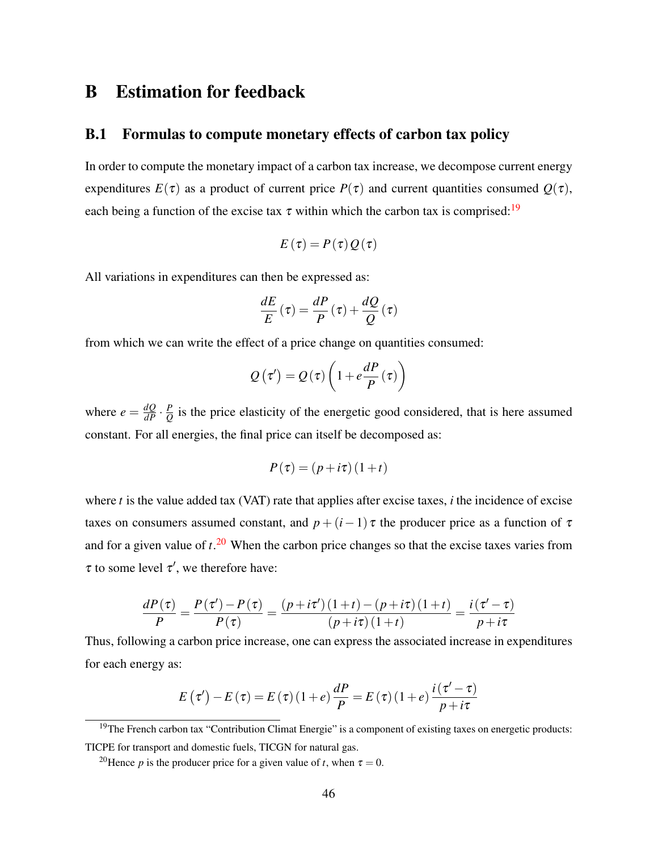# B Estimation for feedback

#### <span id="page-45-0"></span>B.1 Formulas to compute monetary effects of carbon tax policy

In order to compute the monetary impact of a carbon tax increase, we decompose current energy expenditures  $E(\tau)$  as a product of current price  $P(\tau)$  and current quantities consumed  $Q(\tau)$ , each being a function of the excise tax  $\tau$  within which the carbon tax is comprised:<sup>[19](#page-0-0)</sup>

$$
E(\tau) = P(\tau) Q(\tau)
$$

All variations in expenditures can then be expressed as:

$$
\frac{dE}{E}\left(\tau\right) = \frac{dP}{P}\left(\tau\right) + \frac{dQ}{Q}\left(\tau\right)
$$

from which we can write the effect of a price change on quantities consumed:

$$
Q(\tau') = Q(\tau) \left(1 + e\frac{dP}{P}(\tau)\right)
$$

where  $e = \frac{dQ}{dP} \cdot \frac{P}{Q}$  $\frac{p}{Q}$  is the price elasticity of the energetic good considered, that is here assumed constant. For all energies, the final price can itself be decomposed as:

$$
P(\tau) = (p + i\tau)(1 + t)
$$

where *t* is the value added tax (VAT) rate that applies after excise taxes, *i* the incidence of excise taxes on consumers assumed constant, and  $p + (i-1)\tau$  the producer price as a function of  $\tau$ and for a given value of *t*. [20](#page-0-0) When the carbon price changes so that the excise taxes varies from  $\tau$  to some level  $\tau'$ , we therefore have:

$$
\frac{dP(\tau)}{P} = \frac{P(\tau') - P(\tau)}{P(\tau)} = \frac{(p + i\tau') (1 + t) - (p + i\tau) (1 + t)}{(p + i\tau) (1 + t)} = \frac{i(\tau' - \tau)}{p + i\tau}
$$

Thus, following a carbon price increase, one can express the associated increase in expenditures for each energy as:

$$
E(\tau') - E(\tau) = E(\tau)(1+e) \frac{dP}{P} = E(\tau)(1+e) \frac{i(\tau'-\tau)}{p+i\tau}
$$

<sup>19</sup>The French carbon tax "Contribution Climat Energie" is a component of existing taxes on energetic products: TICPE for transport and domestic fuels, TICGN for natural gas.

<sup>&</sup>lt;sup>20</sup>Hence *p* is the producer price for a given value of *t*, when  $\tau = 0$ .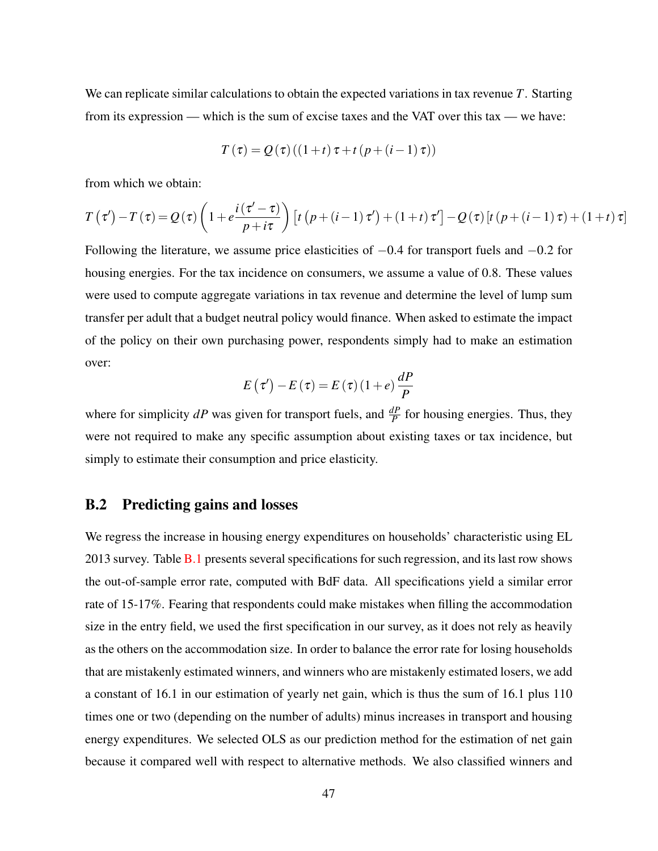We can replicate similar calculations to obtain the expected variations in tax revenue *T*. Starting from its expression — which is the sum of excise taxes and the VAT over this tax — we have:

$$
T(\tau) = Q(\tau)((1+t)\tau + t(p + (i-1)\tau))
$$

from which we obtain:

$$
T(\tau') - T(\tau) = Q(\tau) \left( 1 + e^{\frac{i(\tau' - \tau)}{p + i\tau}} \right) \left[ t \left( p + (i - 1)\tau' \right) + (1 + t)\tau' \right] - Q(\tau) \left[ t \left( p + (i - 1)\tau \right) + (1 + t)\tau \right]
$$

Following the literature, we assume price elasticities of −0.4 for transport fuels and −0.2 for housing energies. For the tax incidence on consumers, we assume a value of 0.8. These values were used to compute aggregate variations in tax revenue and determine the level of lump sum transfer per adult that a budget neutral policy would finance. When asked to estimate the impact of the policy on their own purchasing power, respondents simply had to make an estimation over:

$$
E(\tau') - E(\tau) = E(\tau)(1+e)\frac{dP}{P}
$$

where for simplicity  $dP$  was given for transport fuels, and  $\frac{dP}{P}$  for housing energies. Thus, they were not required to make any specific assumption about existing taxes or tax incidence, but simply to estimate their consumption and price elasticity.

#### <span id="page-46-0"></span>B.2 Predicting gains and losses

We regress the increase in housing energy expenditures on households' characteristic using EL 2013 survey. Table [B.1](#page-47-0) presents several specifications for such regression, and its last row shows the out-of-sample error rate, computed with BdF data. All specifications yield a similar error rate of 15-17%. Fearing that respondents could make mistakes when filling the accommodation size in the entry field, we used the first specification in our survey, as it does not rely as heavily as the others on the accommodation size. In order to balance the error rate for losing households that are mistakenly estimated winners, and winners who are mistakenly estimated losers, we add a constant of 16.1 in our estimation of yearly net gain, which is thus the sum of 16.1 plus 110 times one or two (depending on the number of adults) minus increases in transport and housing energy expenditures. We selected OLS as our prediction method for the estimation of net gain because it compared well with respect to alternative methods. We also classified winners and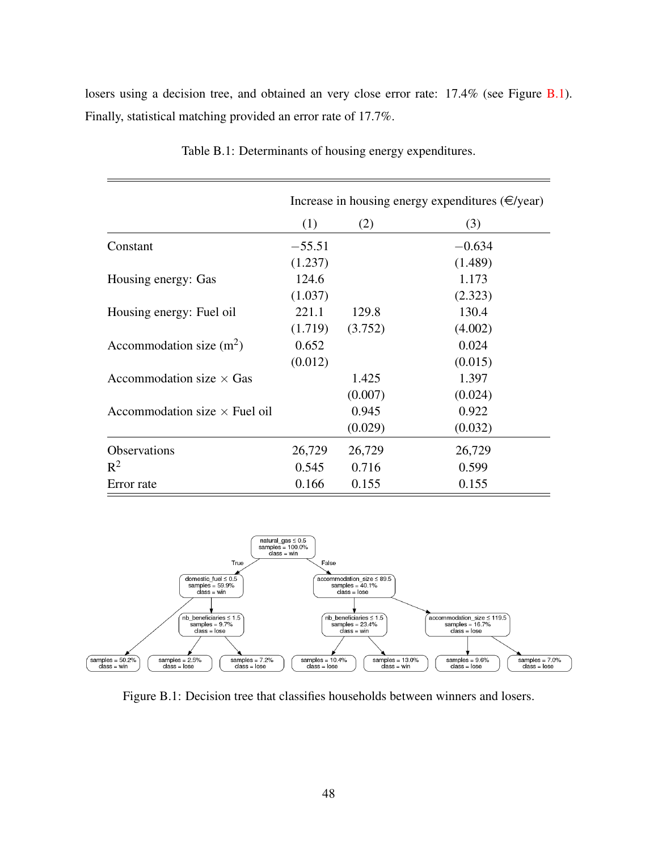<span id="page-47-0"></span>losers using a decision tree, and obtained an very close error rate:  $17.4\%$  (see Figure [B.1\)](#page-47-1). Finally, statistical matching provided an error rate of 17.7%.

|                                      |          |         | Increase in housing energy expenditures $(\infty)$ /year) |
|--------------------------------------|----------|---------|-----------------------------------------------------------|
|                                      | (1)      | (2)     | (3)                                                       |
| Constant                             | $-55.51$ |         | $-0.634$                                                  |
|                                      | (1.237)  |         | (1.489)                                                   |
| Housing energy: Gas                  | 124.6    |         | 1.173                                                     |
|                                      | (1.037)  |         | (2.323)                                                   |
| Housing energy: Fuel oil             | 221.1    | 129.8   | 130.4                                                     |
|                                      | (1.719)  | (3.752) | (4.002)                                                   |
| Accommodation size $(m^2)$           | 0.652    |         | 0.024                                                     |
|                                      | (0.012)  |         | (0.015)                                                   |
| Accommodation size $\times$ Gas      |          | 1.425   | 1.397                                                     |
|                                      |          | (0.007) | (0.024)                                                   |
| Accommodation size $\times$ Fuel oil |          | 0.945   | 0.922                                                     |
|                                      |          | (0.029) | (0.032)                                                   |
| Observations                         | 26,729   | 26,729  | 26,729                                                    |
| $R^2$                                | 0.545    | 0.716   | 0.599                                                     |
| Error rate                           | 0.166    | 0.155   | 0.155                                                     |

Table B.1: Determinants of housing energy expenditures.

<span id="page-47-1"></span>

Figure B.1: Decision tree that classifies households between winners and losers.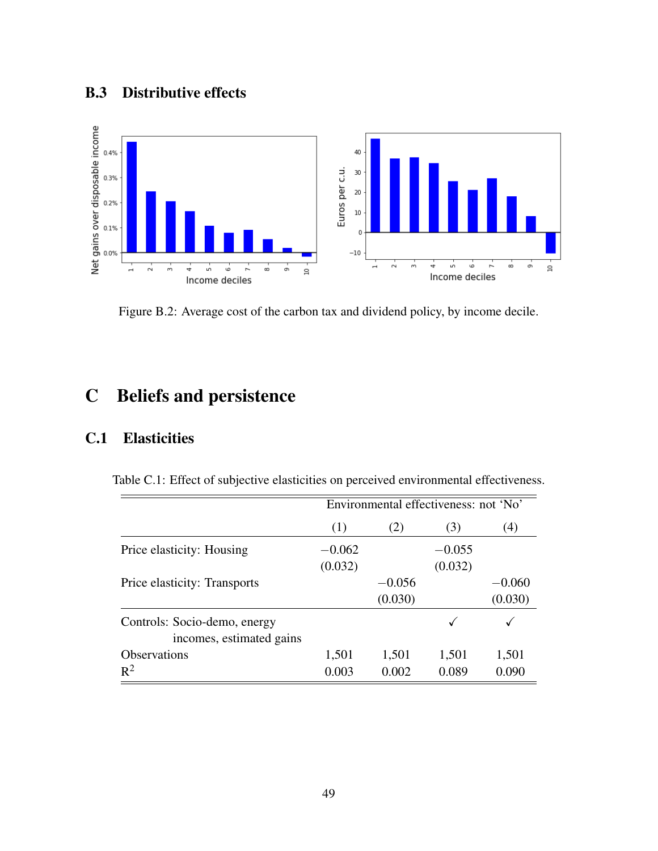# <span id="page-48-2"></span>B.3 Distributive effects

<span id="page-48-1"></span>

Figure B.2: Average cost of the carbon tax and dividend policy, by income decile.

# C Beliefs and persistence

## <span id="page-48-0"></span>C.1 Elasticities

Table C.1: Effect of subjective elasticities on perceived environmental effectiveness.

|                                                          | Environmental effectiveness: not 'No' |          |          |          |  |
|----------------------------------------------------------|---------------------------------------|----------|----------|----------|--|
|                                                          | (1)                                   |          | (3)      | (4)      |  |
| Price elasticity: Housing                                | $-0.062$                              |          | $-0.055$ |          |  |
|                                                          | (0.032)                               |          | (0.032)  |          |  |
| Price elasticity: Transports                             |                                       | $-0.056$ |          | $-0.060$ |  |
|                                                          |                                       | (0.030)  |          | (0.030)  |  |
| Controls: Socio-demo, energy<br>incomes, estimated gains |                                       |          |          |          |  |
| <b>Observations</b>                                      | 1,501                                 | 1,501    | 1,501    | 1,501    |  |
| $R^2$                                                    | 0.003                                 | 0.002    | 0.089    | 0.090    |  |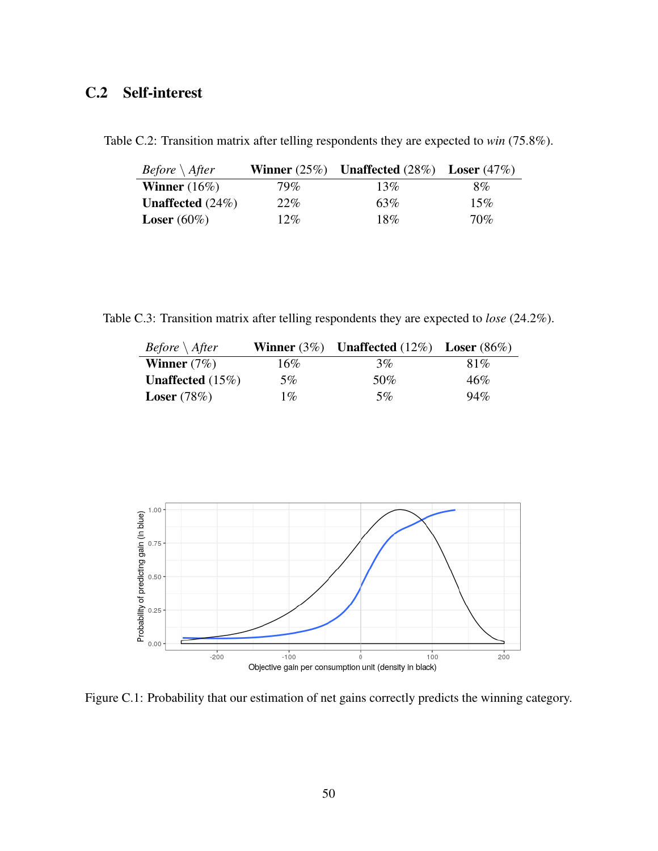# <span id="page-49-1"></span>C.2 Self-interest

| <i>Before</i> $\setminus$ <i>After</i> |      | Winner $(25\%)$ Unaffected $(28\%)$ Loser $(47\%)$ |     |
|----------------------------------------|------|----------------------------------------------------|-----|
| <b>Winner</b> $(16\%)$                 | 79%  | 13%                                                | 8%  |
| <b>Unaffected</b> $(24\%)$             | 22\% | 63%                                                | 15% |
| <b>Loser</b> $(60\%)$                  | 12%  | 18%                                                | 70% |

<span id="page-49-2"></span>Table C.2: Transition matrix after telling respondents they are expected to *win* (75.8%).

<span id="page-49-3"></span>Table C.3: Transition matrix after telling respondents they are expected to *lose* (24.2%).

| <i>Before</i> $\setminus$ <i>After</i> |       | Winner $(3\%)$ Unaffected $(12\%)$ Loser $(86\%)$ |      |
|----------------------------------------|-------|---------------------------------------------------|------|
| <b>Winner</b> $(7\%)$                  | 16%   | 3%                                                | 81\% |
| <b>Unaffected</b> $(15\%)$             | 5%    | 50%                                               | 46%  |
| <b>Loser</b> $(78%)$                   | $1\%$ | 5%                                                | 94%  |

<span id="page-49-0"></span>

Figure C.1: Probability that our estimation of net gains correctly predicts the winning category.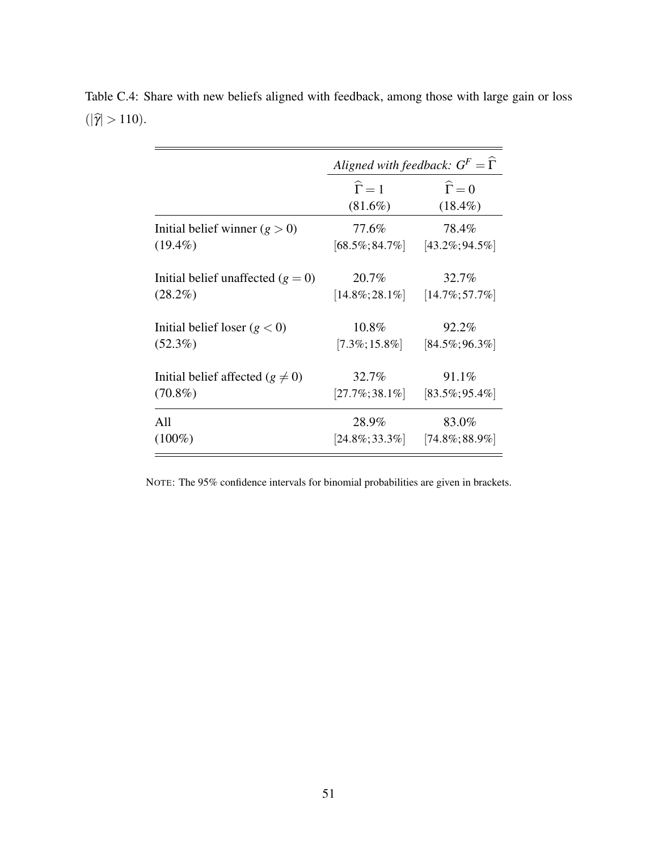|                                      | Aligned with feedback: $G^F = \Gamma$ |                      |
|--------------------------------------|---------------------------------------|----------------------|
|                                      | $\widehat{\Gamma} = 1$                | $\widehat{\Gamma}=0$ |
|                                      | $(81.6\%)$                            | $(18.4\%)$           |
| Initial belief winner $(g > 0)$      | 77.6%                                 | 78.4%                |
| $(19.4\%)$                           | $[68.5\%; 84.7\%]$                    | $[43.2\%; 94.5\%]$   |
| Initial belief unaffected $(g = 0)$  | 20.7%                                 | 32.7%                |
| $(28.2\%)$                           | $[14.8\%;28.1\%]$                     | $[14.7\%;57.7\%]$    |
| Initial belief loser $(g < 0)$       | 10.8%                                 | 92.2%                |
| $(52.3\%)$                           | $[7.3\%;15.8\%]$                      | $[84.5\%;96.3\%]$    |
| Initial belief affected $(g \neq 0)$ | 32.7%                                 | 91.1%                |
| $(70.8\%)$                           | $[27.7\%;38.1\%]$                     | $[83.5\%;95.4\%]$    |
| All                                  | 28.9%                                 | 83.0%                |
| $(100\%)$                            | $[24.8\%;33.3\%]$                     | $[74.8\%;88.9\%]$    |

<span id="page-50-0"></span>Table C.4: Share with new beliefs aligned with feedback, among those with large gain or loss  $(|\hat{\gamma}| > 110).$ 

NOTE: The 95% confidence intervals for binomial probabilities are given in brackets.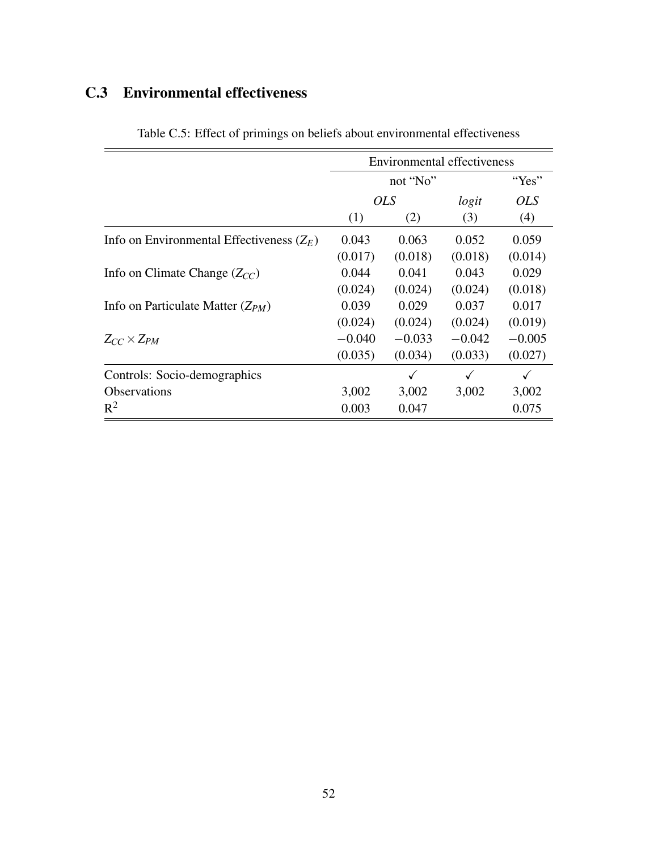# <span id="page-51-1"></span><span id="page-51-0"></span>C.3 Environmental effectiveness

|                                             | <b>Environmental effectiveness</b> |            |          |            |
|---------------------------------------------|------------------------------------|------------|----------|------------|
|                                             |                                    |            | "Yes"    |            |
|                                             |                                    | <i>OLS</i> | logit    | <i>OLS</i> |
|                                             | (1)                                | (2)        | (3)      | (4)        |
| Info on Environmental Effectiveness $(Z_E)$ | 0.043                              | 0.063      | 0.052    | 0.059      |
|                                             | (0.017)                            | (0.018)    | (0.018)  | (0.014)    |
| Info on Climate Change $(Z_{CC})$           | 0.044                              | 0.041      | 0.043    | 0.029      |
|                                             | (0.024)                            | (0.024)    | (0.024)  | (0.018)    |
| Info on Particulate Matter $(Z_{PM})$       | 0.039                              | 0.029      | 0.037    | 0.017      |
|                                             | (0.024)                            | (0.024)    | (0.024)  | (0.019)    |
| $Z_{CC}\times Z_{PM}$                       | $-0.040$                           | $-0.033$   | $-0.042$ | $-0.005$   |
|                                             | (0.035)                            | (0.034)    | (0.033)  | (0.027)    |
| Controls: Socio-demographics                |                                    |            |          | ✓          |
| <b>Observations</b>                         | 3,002                              | 3,002      | 3,002    | 3,002      |
| $R^2$                                       | 0.003                              | 0.047      |          | 0.075      |

Table C.5: Effect of primings on beliefs about environmental effectiveness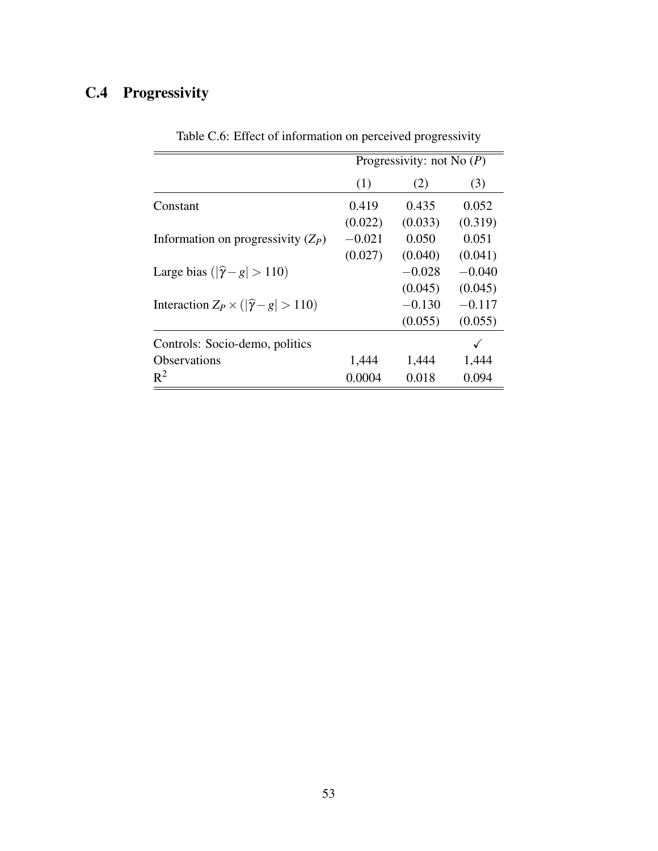# <span id="page-52-1"></span><span id="page-52-0"></span>C.4 Progressivity

|                                                     | Progressivity: not No $(P)$ |          |          |  |
|-----------------------------------------------------|-----------------------------|----------|----------|--|
|                                                     | (1)                         | (2)      | (3)      |  |
| Constant                                            | 0.419                       | 0.435    | 0.052    |  |
|                                                     | (0.022)                     | (0.033)  | (0.319)  |  |
| Information on progressivity $(Z_P)$                | $-0.021$                    | 0.050    | 0.051    |  |
|                                                     | (0.027)                     | (0.040)  | (0.041)  |  |
| Large bias $( \hat{\gamma} - g  > 110)$             |                             | $-0.028$ | $-0.040$ |  |
|                                                     |                             | (0.045)  | (0.045)  |  |
| Interaction $Z_P \times ( \hat{\gamma} - g  > 110)$ |                             | $-0.130$ | $-0.117$ |  |
|                                                     |                             | (0.055)  | (0.055)  |  |
| Controls: Socio-demo, politics                      |                             |          |          |  |
| Observations                                        | 1,444                       | 1,444    | 1,444    |  |
| $R^2$                                               | 0.0004                      | 0.018    | 0.094    |  |

Table C.6: Effect of information on perceived progressivity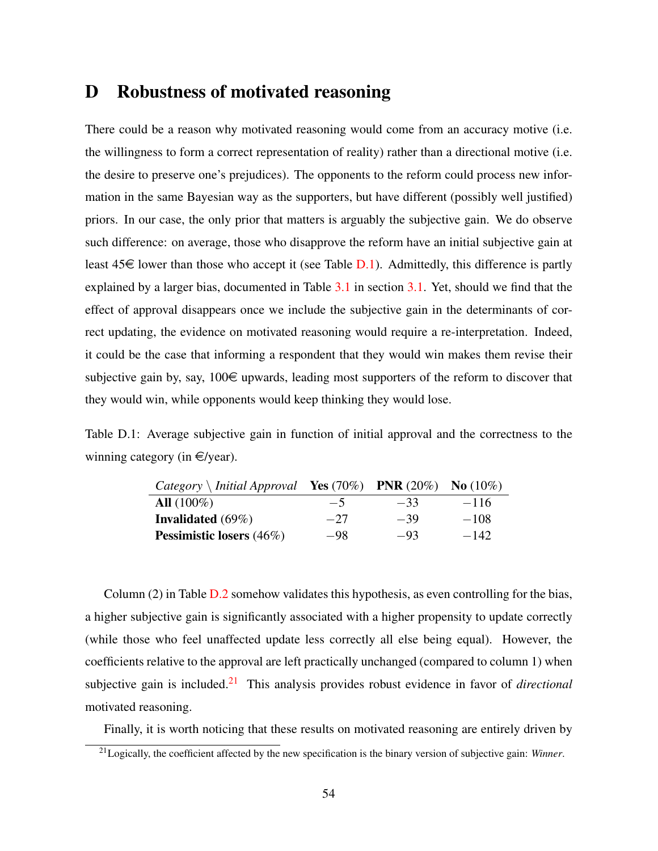## <span id="page-53-0"></span>D Robustness of motivated reasoning

There could be a reason why motivated reasoning would come from an accuracy motive (i.e. the willingness to form a correct representation of reality) rather than a directional motive (i.e. the desire to preserve one's prejudices). The opponents to the reform could process new information in the same Bayesian way as the supporters, but have different (possibly well justified) priors. In our case, the only prior that matters is arguably the subjective gain. We do observe such difference: on average, those who disapprove the reform have an initial subjective gain at least  $45\epsilon$  lower than those who accept it (see Table [D.1\)](#page-53-1). Admittedly, this difference is partly explained by a larger bias, documented in Table [3.1](#page-18-0) in section [3.1.](#page-15-1) Yet, should we find that the effect of approval disappears once we include the subjective gain in the determinants of correct updating, the evidence on motivated reasoning would require a re-interpretation. Indeed, it could be the case that informing a respondent that they would win makes them revise their subjective gain by, say,  $100 \in \text{upwards}$ , leading most supporters of the reform to discover that they would win, while opponents would keep thinking they would lose.

<span id="page-53-1"></span>Table D.1: Average subjective gain in function of initial approval and the correctness to the winning category (in  $\in$ /year).

| $Category \setminus Initial\, Approach$ |       | <b>Yes</b> $(70\%)$ <b>PNR</b> $(20\%)$ | <b>No</b> $(10\%)$ |
|-----------------------------------------|-------|-----------------------------------------|--------------------|
| $All (100\%)$                           | $-5$  | $-33$                                   | $-116$             |
| <b>Invalidated</b> $(69\%)$             | $-27$ | $-39$                                   | $-108$             |
| <b>Pessimistic losers</b> (46%)         | $-98$ | $-93$                                   | $-142$             |

Column (2) in Table [D.2](#page-54-0) somehow validates this hypothesis, as even controlling for the bias, a higher subjective gain is significantly associated with a higher propensity to update correctly (while those who feel unaffected update less correctly all else being equal). However, the coefficients relative to the approval are left practically unchanged (compared to column 1) when subjective gain is included.[21](#page-0-0) This analysis provides robust evidence in favor of *directional* motivated reasoning.

Finally, it is worth noticing that these results on motivated reasoning are entirely driven by

<sup>21</sup>Logically, the coefficient affected by the new specification is the binary version of subjective gain: *Winner*.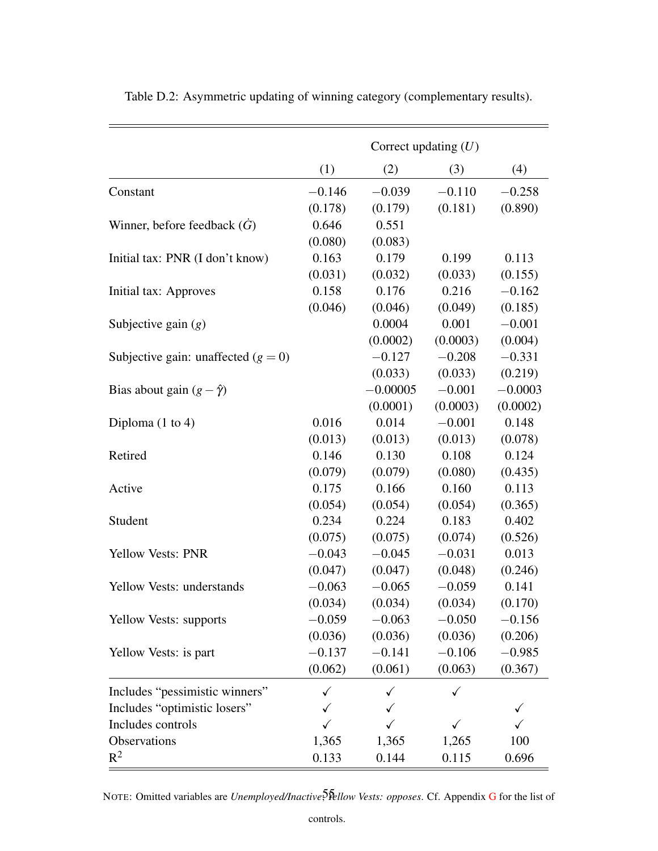|                                       | Correct updating $(U)$ |            |          |           |
|---------------------------------------|------------------------|------------|----------|-----------|
|                                       | (1)                    | (2)        | (3)      | (4)       |
| Constant                              | $-0.146$               | $-0.039$   | $-0.110$ | $-0.258$  |
|                                       | (0.178)                | (0.179)    | (0.181)  | (0.890)   |
| Winner, before feedback $(G)$         | 0.646                  | 0.551      |          |           |
|                                       | (0.080)                | (0.083)    |          |           |
| Initial tax: PNR (I don't know)       | 0.163                  | 0.179      | 0.199    | 0.113     |
|                                       | (0.031)                | (0.032)    | (0.033)  | (0.155)   |
| Initial tax: Approves                 | 0.158                  | 0.176      | 0.216    | $-0.162$  |
|                                       | (0.046)                | (0.046)    | (0.049)  | (0.185)   |
| Subjective gain $(g)$                 |                        | 0.0004     | 0.001    | $-0.001$  |
|                                       |                        | (0.0002)   | (0.0003) | (0.004)   |
| Subjective gain: unaffected $(g = 0)$ |                        | $-0.127$   | $-0.208$ | $-0.331$  |
|                                       |                        | (0.033)    | (0.033)  | (0.219)   |
| Bias about gain $(g - \hat{\gamma})$  |                        | $-0.00005$ | $-0.001$ | $-0.0003$ |
|                                       |                        | (0.0001)   | (0.0003) | (0.0002)  |
| Diploma $(1 \text{ to } 4)$           | 0.016                  | 0.014      | $-0.001$ | 0.148     |
|                                       | (0.013)                | (0.013)    | (0.013)  | (0.078)   |
| Retired                               | 0.146                  | 0.130      | 0.108    | 0.124     |
|                                       | (0.079)                | (0.079)    | (0.080)  | (0.435)   |
| Active                                | 0.175                  | 0.166      | 0.160    | 0.113     |
|                                       | (0.054)                | (0.054)    | (0.054)  | (0.365)   |
| Student                               | 0.234                  | 0.224      | 0.183    | 0.402     |
|                                       | (0.075)                | (0.075)    | (0.074)  | (0.526)   |
| <b>Yellow Vests: PNR</b>              | $-0.043$               | $-0.045$   | $-0.031$ | 0.013     |
|                                       | (0.047)                | (0.047)    | (0.048)  | (0.246)   |
| Yellow Vests: understands             | $-0.063$               | $-0.065$   | $-0.059$ | 0.141     |
|                                       | (0.034)                | (0.034)    | (0.034)  | (0.170)   |
| Yellow Vests: supports                | $-0.059$               | $-0.063$   | $-0.050$ | $-0.156$  |
|                                       | (0.036)                | (0.036)    | (0.036)  | (0.206)   |
| Yellow Vests: is part                 | $-0.137$               | $-0.141$   | $-0.106$ | $-0.985$  |
|                                       | (0.062)                | (0.061)    | (0.063)  | (0.367)   |
| Includes "pessimistic winners"        | ✓                      |            |          |           |
| Includes "optimistic losers"          | ✓                      |            |          | ✓         |
| Includes controls                     | ✓                      |            |          |           |
| Observations                          | 1,365                  | 1,365      | 1,265    | 100       |
| $R^2$                                 | 0.133                  | 0.144      | 0.115    | 0.696     |

<span id="page-54-0"></span>Table D.2: Asymmetric updating of winning category (complementary results).

NOTE: Omitted variables are *Unemployed/Inactive*, 5 *Phellow Vests: opposes*. Cf. Appendix [G](#page-59-0) for the list of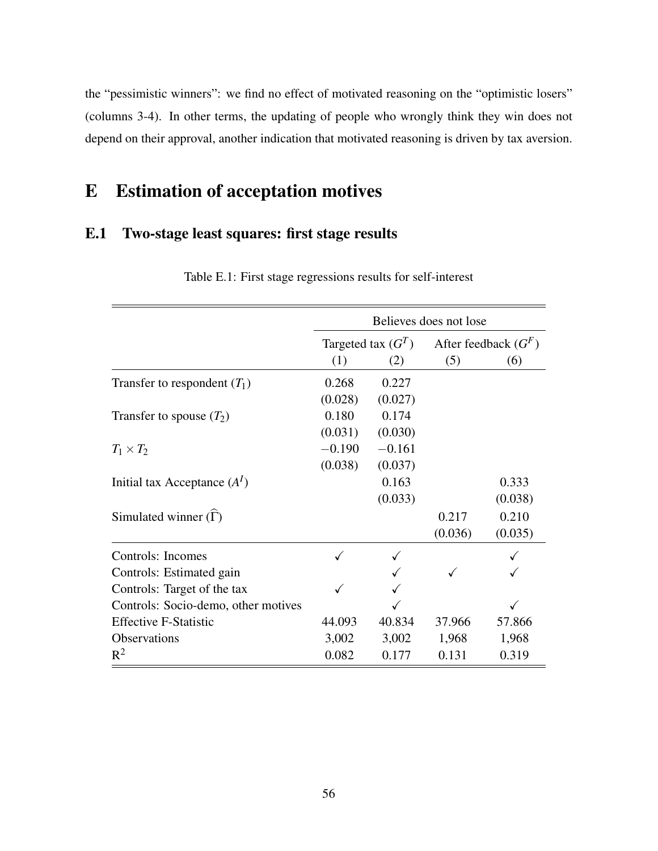the "pessimistic winners": we find no effect of motivated reasoning on the "optimistic losers" (columns 3-4). In other terms, the updating of people who wrongly think they win does not depend on their approval, another indication that motivated reasoning is driven by tax aversion.

# E Estimation of acceptation motives

### <span id="page-55-0"></span>E.1 Two-stage least squares: first stage results

|                                     | Believes does not lose |                      |         |                        |  |
|-------------------------------------|------------------------|----------------------|---------|------------------------|--|
|                                     |                        | Targeted tax $(G^T)$ |         | After feedback $(G^F)$ |  |
|                                     | (1)                    | (2)                  | (5)     | (6)                    |  |
| Transfer to respondent $(T_1)$      | 0.268                  | 0.227                |         |                        |  |
|                                     | (0.028)                | (0.027)              |         |                        |  |
| Transfer to spouse $(T_2)$          | 0.180                  | 0.174                |         |                        |  |
|                                     | (0.031)                | (0.030)              |         |                        |  |
| $T_1 \times T_2$                    | $-0.190$               | $-0.161$             |         |                        |  |
|                                     | (0.038)                | (0.037)              |         |                        |  |
| Initial tax Acceptance $(AI)$       |                        | 0.163                |         | 0.333                  |  |
|                                     |                        | (0.033)              |         | (0.038)                |  |
| Simulated winner $(\Gamma)$         |                        |                      | 0.217   | 0.210                  |  |
|                                     |                        |                      | (0.036) | (0.035)                |  |
| Controls: Incomes                   | ✓                      |                      |         |                        |  |
| Controls: Estimated gain            |                        |                      |         |                        |  |
| Controls: Target of the tax         |                        |                      |         |                        |  |
| Controls: Socio-demo, other motives |                        |                      |         |                        |  |
| <b>Effective F-Statistic</b>        | 44.093                 | 40.834               | 37.966  | 57.866                 |  |
| Observations                        | 3,002                  | 3,002                | 1,968   | 1,968                  |  |
| $R^2$                               | 0.082                  | 0.177                | 0.131   | 0.319                  |  |

Table E.1: First stage regressions results for self-interest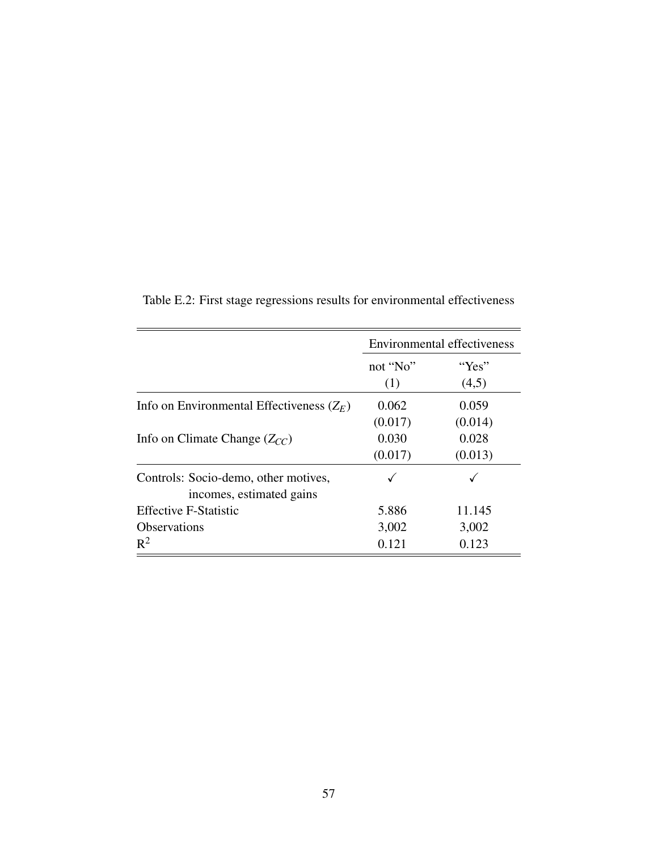|                                                                  | <b>Environmental effectiveness</b> |         |  |
|------------------------------------------------------------------|------------------------------------|---------|--|
|                                                                  | not "No"                           | "Yes"   |  |
|                                                                  | (1)                                | (4,5)   |  |
| Info on Environmental Effectiveness $(Z_E)$                      | 0.062                              | 0.059   |  |
|                                                                  | (0.017)                            | (0.014) |  |
| Info on Climate Change $(Z_{CC})$                                | 0.030                              | 0.028   |  |
|                                                                  | (0.017)                            | (0.013) |  |
| Controls: Socio-demo, other motives,<br>incomes, estimated gains |                                    |         |  |
| <b>Effective F-Statistic</b>                                     | 5.886                              | 11.145  |  |
| <b>Observations</b>                                              | 3,002                              | 3,002   |  |
| $R^2$                                                            | 0.121                              | 0.123   |  |

Table E.2: First stage regressions results for environmental effectiveness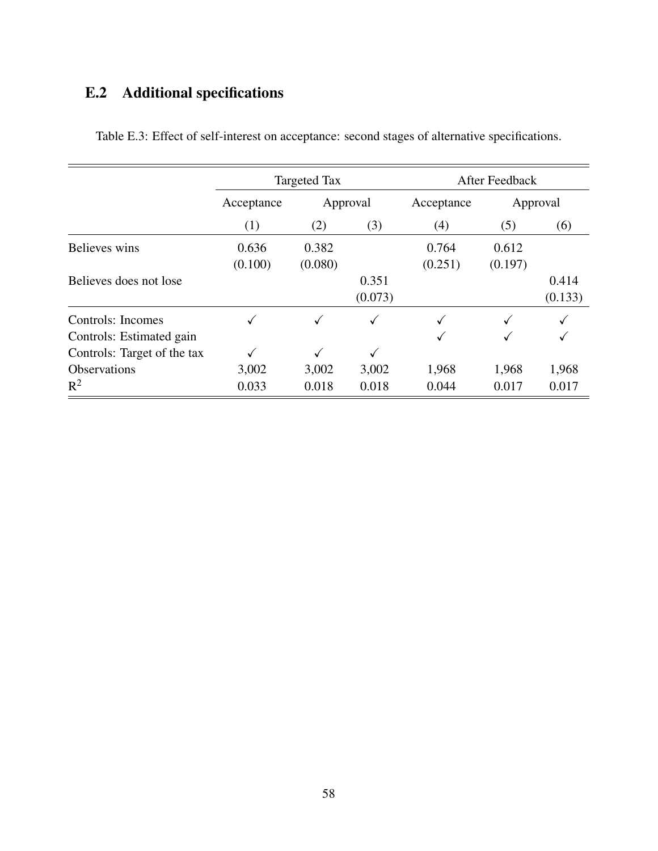# <span id="page-57-0"></span>E.2 Additional specifications

|                             | <b>Targeted Tax</b>    |         |         | After Feedback |          |         |
|-----------------------------|------------------------|---------|---------|----------------|----------|---------|
|                             | Approval<br>Acceptance |         |         | Acceptance     | Approval |         |
|                             | (1)                    | (2)     | (3)     | (4)            | (5)      | (6)     |
| Believes wins               | 0.636                  | 0.382   |         | 0.764          | 0.612    |         |
|                             | (0.100)                | (0.080) |         | (0.251)        | (0.197)  |         |
| Believes does not lose      |                        |         | 0.351   |                |          | 0.414   |
|                             |                        |         | (0.073) |                |          | (0.133) |
| Controls: Incomes           |                        |         | ✓       |                |          |         |
| Controls: Estimated gain    |                        |         |         |                |          |         |
| Controls: Target of the tax |                        |         |         |                |          |         |
| <b>Observations</b>         | 3,002                  | 3,002   | 3,002   | 1,968          | 1,968    | 1,968   |
| $R^2$                       | 0.033                  | 0.018   | 0.018   | 0.044          | 0.017    | 0.017   |

Table E.3: Effect of self-interest on acceptance: second stages of alternative specifications.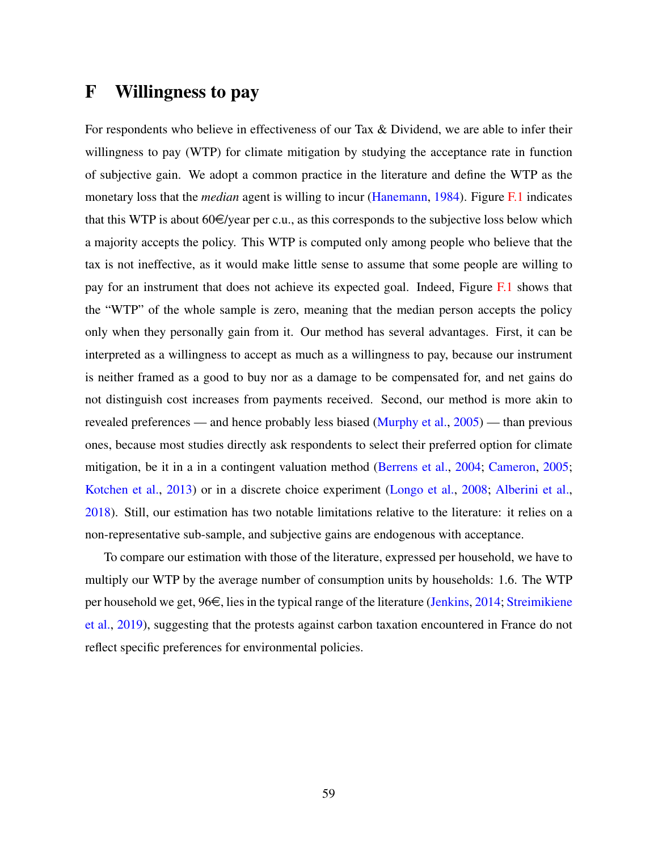## <span id="page-58-0"></span>F Willingness to pay

For respondents who believe in effectiveness of our Tax & Dividend, we are able to infer their willingness to pay (WTP) for climate mitigation by studying the acceptance rate in function of subjective gain. We adopt a common practice in the literature and define the WTP as the monetary loss that the *median* agent is willing to incur [\(Hanemann,](#page-40-10) [1984\)](#page-40-10). Figure [F.1](#page-59-1) indicates that this WTP is about  $60 \in \text{year}$  per c.u., as this corresponds to the subjective loss below which a majority accepts the policy. This WTP is computed only among people who believe that the tax is not ineffective, as it would make little sense to assume that some people are willing to pay for an instrument that does not achieve its expected goal. Indeed, Figure [F.1](#page-59-1) shows that the "WTP" of the whole sample is zero, meaning that the median person accepts the policy only when they personally gain from it. Our method has several advantages. First, it can be interpreted as a willingness to accept as much as a willingness to pay, because our instrument is neither framed as a good to buy nor as a damage to be compensated for, and net gains do not distinguish cost increases from payments received. Second, our method is more akin to revealed preferences — and hence probably less biased [\(Murphy et al.,](#page-42-10) [2005\)](#page-42-10) — than previous ones, because most studies directly ask respondents to select their preferred option for climate mitigation, be it in a in a contingent valuation method [\(Berrens et al.,](#page-38-9) [2004;](#page-38-9) [Cameron,](#page-39-13) [2005;](#page-39-13) [Kotchen et al.,](#page-41-10) [2013\)](#page-41-10) or in a discrete choice experiment [\(Longo et al.,](#page-41-11) [2008;](#page-41-11) [Alberini et al.,](#page-38-10) [2018\)](#page-38-10). Still, our estimation has two notable limitations relative to the literature: it relies on a non-representative sub-sample, and subjective gains are endogenous with acceptance.

To compare our estimation with those of the literature, expressed per household, we have to multiply our WTP by the average number of consumption units by households: 1.6. The WTP per household we get,  $96\epsilon$ , lies in the typical range of the literature [\(Jenkins,](#page-40-11) [2014;](#page-40-11) [Streimikiene](#page-42-11) [et al.,](#page-42-11) [2019\)](#page-42-11), suggesting that the protests against carbon taxation encountered in France do not reflect specific preferences for environmental policies.